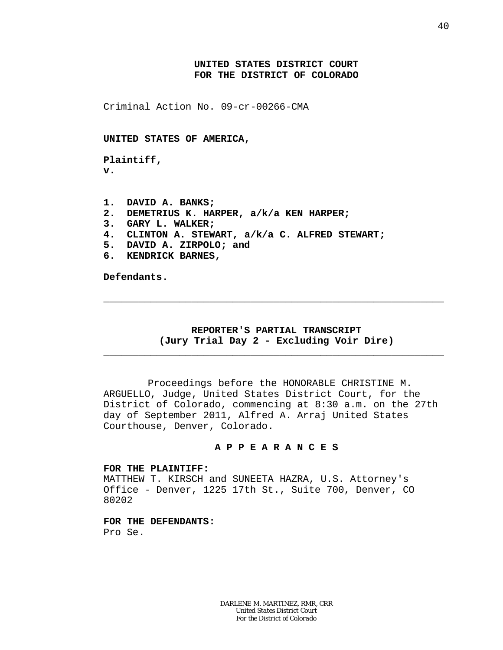# **UNITED STATES DISTRICT COURT FOR THE DISTRICT OF COLORADO**

Criminal Action No. 09-cr-00266-CMA

### **UNITED STATES OF AMERICA,**

**Plaintiff, v.**

**1. DAVID A. BANKS; 2. DEMETRIUS K. HARPER, a/k/a KEN HARPER; 3. GARY L. WALKER; 4. CLINTON A. STEWART, a/k/a C. ALFRED STEWART; 5. DAVID A. ZIRPOLO; and 6. KENDRICK BARNES,**

**Defendants.**

# **REPORTER'S PARTIAL TRANSCRIPT (Jury Trial Day 2 - Excluding Voir Dire)**

\_\_\_\_\_\_\_\_\_\_\_\_\_\_\_\_\_\_\_\_\_\_\_\_\_\_\_\_\_\_\_\_\_\_\_\_\_\_\_\_\_\_\_\_\_\_\_\_\_\_\_\_\_\_\_\_\_\_

\_\_\_\_\_\_\_\_\_\_\_\_\_\_\_\_\_\_\_\_\_\_\_\_\_\_\_\_\_\_\_\_\_\_\_\_\_\_\_\_\_\_\_\_\_\_\_\_\_\_\_\_\_\_\_\_\_\_

Proceedings before the HONORABLE CHRISTINE M. ARGUELLO, Judge, United States District Court, for the District of Colorado, commencing at 8:30 a.m. on the 27th day of September 2011, Alfred A. Arraj United States Courthouse, Denver, Colorado.

## **A P P E A R A N C E S**

### **FOR THE PLAINTIFF:**

MATTHEW T. KIRSCH and SUNEETA HAZRA, U.S. Attorney's Office - Denver, 1225 17th St., Suite 700, Denver, CO 80202

**FOR THE DEFENDANTS:** Pro Se.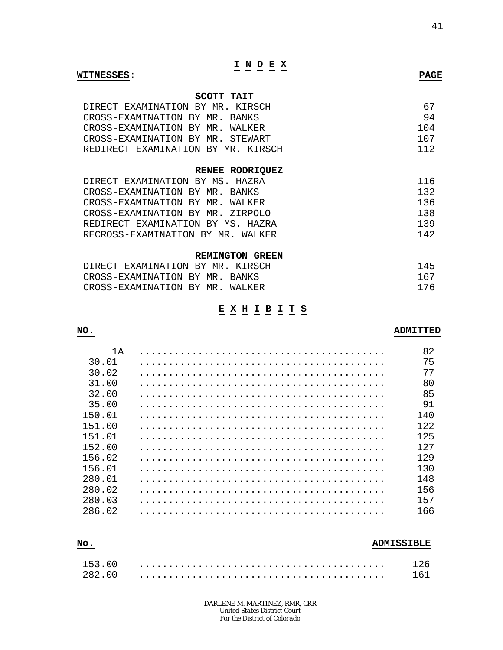# **I N D E X**

#### **WITNESSES: PAGE**

# **SCOTT TAIT**

| DIRECT EXAMINATION BY MR. KIRSCH   | 67.   |
|------------------------------------|-------|
| CROSS-EXAMINATION BY MR. BANKS     | 94    |
| CROSS-EXAMINATION BY MR. WALKER    | 1 0 4 |
| CROSS-EXAMINATION BY MR. STEWART   | 107   |
| REDIRECT EXAMINATION BY MR. KIRSCH | 112   |

### **RENEE RODRIQUEZ**

| DIRECT EXAMINATION BY MS. HAZRA   | 116 |
|-----------------------------------|-----|
| CROSS-EXAMINATION BY MR. BANKS    | 132 |
| CROSS-EXAMINATION BY MR. WALKER   | 136 |
| CROSS-EXAMINATION BY MR. ZIRPOLO  | 138 |
| REDIRECT EXAMINATION BY MS. HAZRA | 139 |
| RECROSS-EXAMINATION BY MR. WALKER | 142 |

#### **REMINGTON GREEN**

| DIRECT EXAMINATION BY MR. KIRSCH |  | 145 |
|----------------------------------|--|-----|
| CROSS-EXAMINATION BY MR. BANKS   |  | 167 |
| CROSS-EXAMINATION BY MR. WALKER  |  | 176 |

# **E X H I B I T S**

# 1A .......................................... 82 30.01 .......................................... 75 30.02 .......................................... 77 31.00 .......................................... 80 32.00 .......................................... 85 35.00 .......................................... 91 150.01 .......................................... 140 151.00 .......................................... 122 151.01 .......................................... 125 152.00 .......................................... 127 156.02 .......................................... 129 156.01 .......................................... 130 280.01 .......................................... 148 280.02 .......................................... 156 280.03 .......................................... 157 286.02 .......................................... 166

# 153.00 .......................................... 126 282.00 .......................................... 161

*DARLENE M. MARTINEZ, RMR, CRR United States District Court For the District of Colorado*

# **NO. ADMITTED**

# **No. ADMISSIBLE**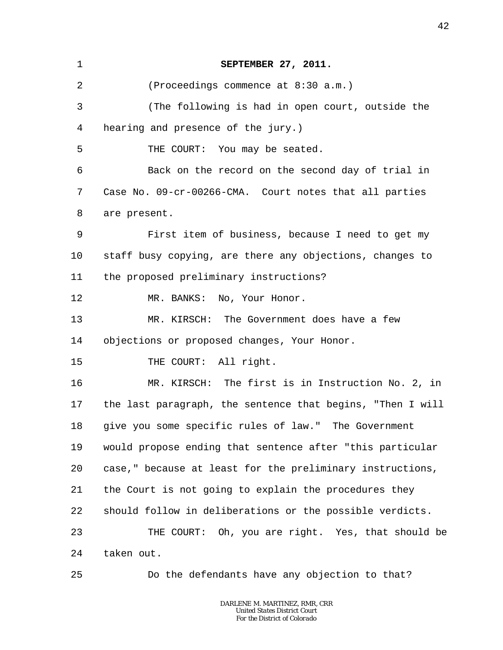| 1  | SEPTEMBER 27, 2011.                                        |
|----|------------------------------------------------------------|
| 2  | (Proceedings commence at 8:30 a.m.)                        |
| 3  | (The following is had in open court, outside the           |
| 4  | hearing and presence of the jury.)                         |
| 5  | THE COURT: You may be seated.                              |
| 6  | Back on the record on the second day of trial in           |
| 7  | Case No. 09-cr-00266-CMA. Court notes that all parties     |
| 8  | are present.                                               |
| 9  | First item of business, because I need to get my           |
| 10 | staff busy copying, are there any objections, changes to   |
| 11 | the proposed preliminary instructions?                     |
| 12 | MR. BANKS: No, Your Honor.                                 |
| 13 | MR. KIRSCH: The Government does have a few                 |
| 14 | objections or proposed changes, Your Honor.                |
| 15 | THE COURT: All right.                                      |
| 16 | MR. KIRSCH: The first is in Instruction No. 2, in          |
| 17 | the last paragraph, the sentence that begins, "Then I will |
| 18 | give you some specific rules of law." The Government       |
| 19 | would propose ending that sentence after "this particular  |
| 20 | case," because at least for the preliminary instructions,  |
| 21 | the Court is not going to explain the procedures they      |
| 22 | should follow in deliberations or the possible verdicts.   |
| 23 | THE COURT: Oh, you are right. Yes, that should be          |
| 24 | taken out.                                                 |
| 25 | Do the defendants have any objection to that?              |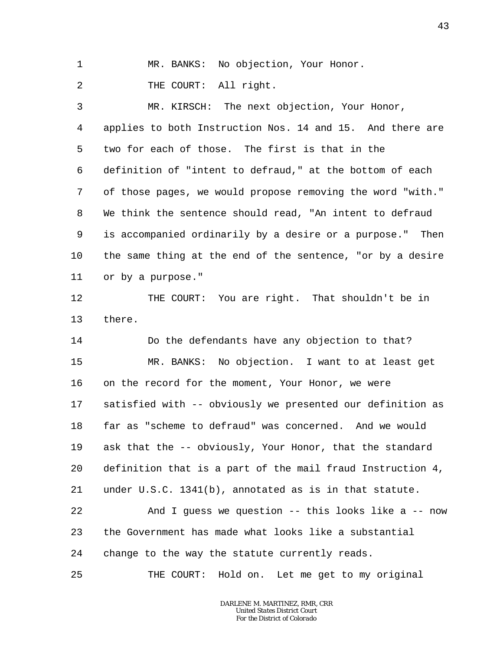1 MR. BANKS: No objection, Your Honor.

2 THE COURT: All right.

3 4 5 6 7 8 9 10 11 MR. KIRSCH: The next objection, Your Honor, applies to both Instruction Nos. 14 and 15. And there are two for each of those. The first is that in the definition of "intent to defraud," at the bottom of each of those pages, we would propose removing the word "with." We think the sentence should read, "An intent to defraud is accompanied ordinarily by a desire or a purpose." Then the same thing at the end of the sentence, "or by a desire or by a purpose."

12 13 THE COURT: You are right. That shouldn't be in there.

14 15 16 17 18 19 20 21 22 23 24 Do the defendants have any objection to that? MR. BANKS: No objection. I want to at least get on the record for the moment, Your Honor, we were satisfied with -- obviously we presented our definition as far as "scheme to defraud" was concerned. And we would ask that the -- obviously, Your Honor, that the standard definition that is a part of the mail fraud Instruction 4, under U.S.C. 1341(b), annotated as is in that statute. And I quess we question  $--$  this looks like a  $--$  now the Government has made what looks like a substantial change to the way the statute currently reads.

25 THE COURT: Hold on. Let me get to my original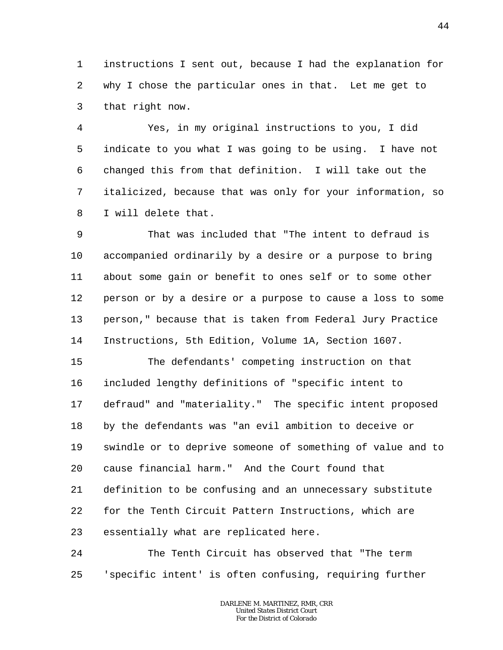1 2 3 instructions I sent out, because I had the explanation for why I chose the particular ones in that. Let me get to that right now.

4 5 6 7 8 Yes, in my original instructions to you, I did indicate to you what I was going to be using. I have not changed this from that definition. I will take out the italicized, because that was only for your information, so I will delete that.

9 10 11 12 13 14 That was included that "The intent to defraud is accompanied ordinarily by a desire or a purpose to bring about some gain or benefit to ones self or to some other person or by a desire or a purpose to cause a loss to some person," because that is taken from Federal Jury Practice Instructions, 5th Edition, Volume 1A, Section 1607.

15 16 17 18 19 20 21 22 23 The defendants' competing instruction on that included lengthy definitions of "specific intent to defraud" and "materiality." The specific intent proposed by the defendants was "an evil ambition to deceive or swindle or to deprive someone of something of value and to cause financial harm." And the Court found that definition to be confusing and an unnecessary substitute for the Tenth Circuit Pattern Instructions, which are essentially what are replicated here.

24 25 The Tenth Circuit has observed that "The term 'specific intent' is often confusing, requiring further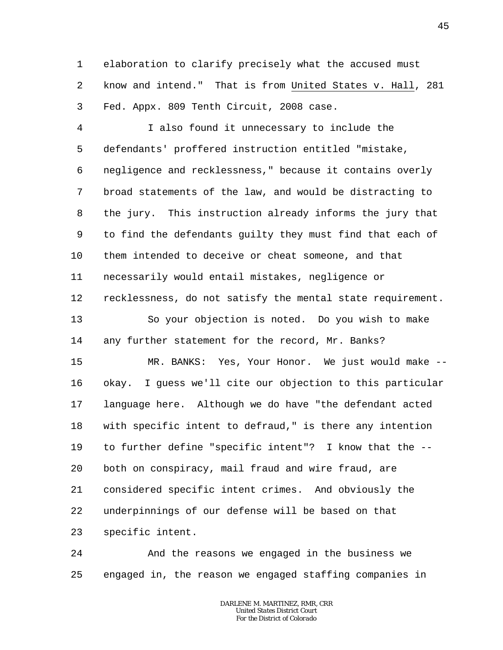1 2 3 elaboration to clarify precisely what the accused must know and intend." That is from United States v. Hall, 281 Fed. Appx. 809 Tenth Circuit, 2008 case.

4 5 6 7 8 9 10 11 12 13 14 15 16 17 18 19 20 21 22 23 I also found it unnecessary to include the defendants' proffered instruction entitled "mistake, negligence and recklessness," because it contains overly broad statements of the law, and would be distracting to the jury. This instruction already informs the jury that to find the defendants guilty they must find that each of them intended to deceive or cheat someone, and that necessarily would entail mistakes, negligence or recklessness, do not satisfy the mental state requirement. So your objection is noted. Do you wish to make any further statement for the record, Mr. Banks? MR. BANKS: Yes, Your Honor. We just would make - okay. I guess we'll cite our objection to this particular language here. Although we do have "the defendant acted with specific intent to defraud," is there any intention to further define "specific intent"? I know that the - both on conspiracy, mail fraud and wire fraud, are considered specific intent crimes. And obviously the underpinnings of our defense will be based on that specific intent.

24 25 And the reasons we engaged in the business we engaged in, the reason we engaged staffing companies in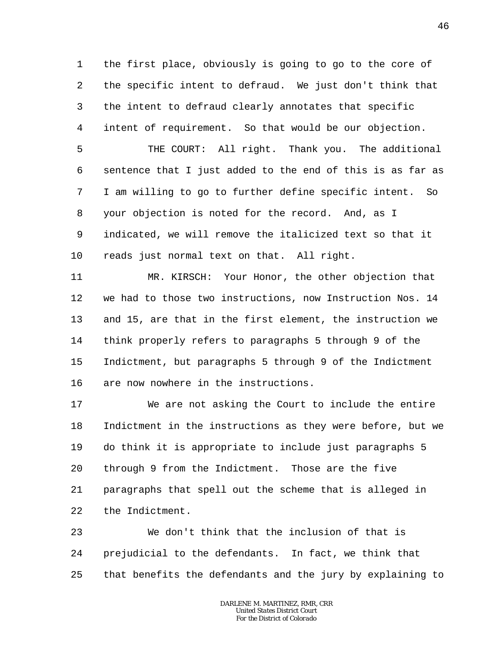1 2 3 4 the first place, obviously is going to go to the core of the specific intent to defraud. We just don't think that the intent to defraud clearly annotates that specific intent of requirement. So that would be our objection.

5 6 7 8 9 10 THE COURT: All right. Thank you. The additional sentence that I just added to the end of this is as far as I am willing to go to further define specific intent. So your objection is noted for the record. And, as I indicated, we will remove the italicized text so that it reads just normal text on that. All right.

11 12 13 14 15 16 MR. KIRSCH: Your Honor, the other objection that we had to those two instructions, now Instruction Nos. 14 and 15, are that in the first element, the instruction we think properly refers to paragraphs 5 through 9 of the Indictment, but paragraphs 5 through 9 of the Indictment are now nowhere in the instructions.

17 18 19 20 21 22 We are not asking the Court to include the entire Indictment in the instructions as they were before, but we do think it is appropriate to include just paragraphs 5 through 9 from the Indictment. Those are the five paragraphs that spell out the scheme that is alleged in the Indictment.

23 24 25 We don't think that the inclusion of that is prejudicial to the defendants. In fact, we think that that benefits the defendants and the jury by explaining to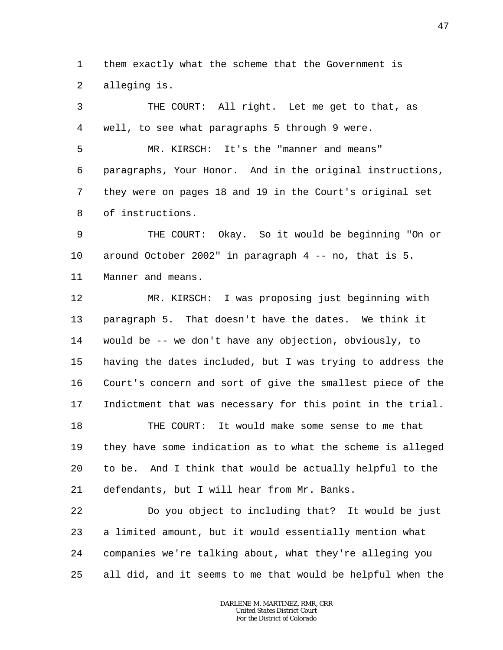1 2 them exactly what the scheme that the Government is alleging is.

3 4 THE COURT: All right. Let me get to that, as well, to see what paragraphs 5 through 9 were.

5 6 7 8 MR. KIRSCH: It's the "manner and means" paragraphs, Your Honor. And in the original instructions, they were on pages 18 and 19 in the Court's original set of instructions.

9 10 11 THE COURT: Okay. So it would be beginning "On or around October 2002" in paragraph 4 -- no, that is 5. Manner and means.

12 13 14 15 16 17 MR. KIRSCH: I was proposing just beginning with paragraph 5. That doesn't have the dates. We think it would be -- we don't have any objection, obviously, to having the dates included, but I was trying to address the Court's concern and sort of give the smallest piece of the Indictment that was necessary for this point in the trial.

18 19 20 21 THE COURT: It would make some sense to me that they have some indication as to what the scheme is alleged to be. And I think that would be actually helpful to the defendants, but I will hear from Mr. Banks.

22 23 24 25 Do you object to including that? It would be just a limited amount, but it would essentially mention what companies we're talking about, what they're alleging you all did, and it seems to me that would be helpful when the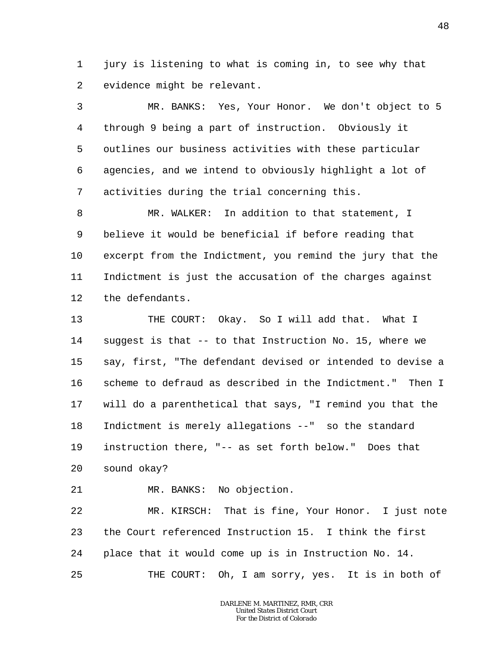1 2 jury is listening to what is coming in, to see why that evidence might be relevant.

3 4 5 6 7 MR. BANKS: Yes, Your Honor. We don't object to 5 through 9 being a part of instruction. Obviously it outlines our business activities with these particular agencies, and we intend to obviously highlight a lot of activities during the trial concerning this.

8 9 10 11 12 MR. WALKER: In addition to that statement, I believe it would be beneficial if before reading that excerpt from the Indictment, you remind the jury that the Indictment is just the accusation of the charges against the defendants.

13 14 15 16 17 18 19 20 THE COURT: Okay. So I will add that. What I suggest is that -- to that Instruction No. 15, where we say, first, "The defendant devised or intended to devise a scheme to defraud as described in the Indictment." Then I will do a parenthetical that says, "I remind you that the Indictment is merely allegations --" so the standard instruction there, "-- as set forth below." Does that sound okay?

21 MR. BANKS: No objection.

22 23 24 25 MR. KIRSCH: That is fine, Your Honor. I just note the Court referenced Instruction 15. I think the first place that it would come up is in Instruction No. 14. THE COURT: Oh, I am sorry, yes. It is in both of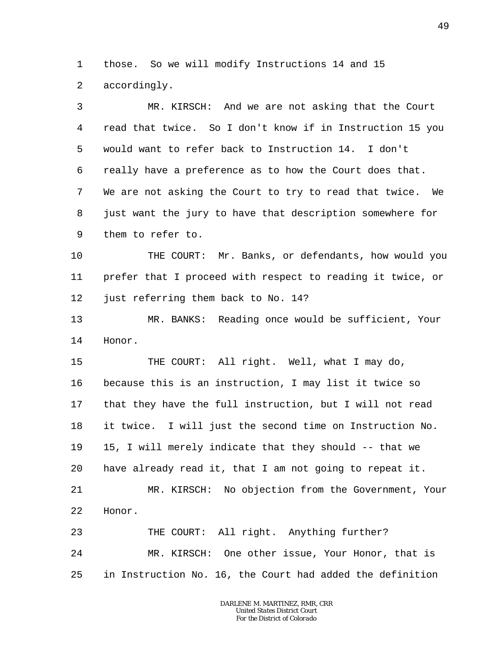1 2 those. So we will modify Instructions 14 and 15 accordingly.

3 4 5 6 7 8 9 MR. KIRSCH: And we are not asking that the Court read that twice. So I don't know if in Instruction 15 you would want to refer back to Instruction 14. I don't really have a preference as to how the Court does that. We are not asking the Court to try to read that twice. We just want the jury to have that description somewhere for them to refer to.

10 11 12 THE COURT: Mr. Banks, or defendants, how would you prefer that I proceed with respect to reading it twice, or just referring them back to No. 14?

13 14 MR. BANKS: Reading once would be sufficient, Your Honor.

15 16 17 18 19 20 21 22 THE COURT: All right. Well, what I may do, because this is an instruction, I may list it twice so that they have the full instruction, but I will not read it twice. I will just the second time on Instruction No. 15, I will merely indicate that they should -- that we have already read it, that I am not going to repeat it. MR. KIRSCH: No objection from the Government, Your Honor.

23 24 25 THE COURT: All right. Anything further? MR. KIRSCH: One other issue, Your Honor, that is in Instruction No. 16, the Court had added the definition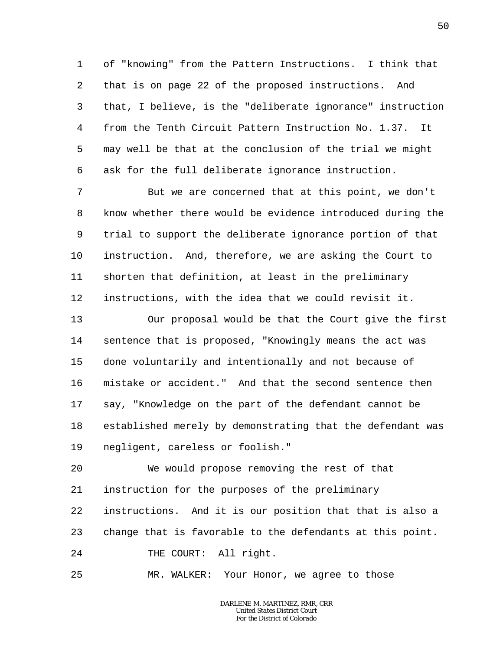1 2 3 4 5 6 of "knowing" from the Pattern Instructions. I think that that is on page 22 of the proposed instructions. And that, I believe, is the "deliberate ignorance" instruction from the Tenth Circuit Pattern Instruction No. 1.37. It may well be that at the conclusion of the trial we might ask for the full deliberate ignorance instruction.

7 8 9 10 11 12 But we are concerned that at this point, we don't know whether there would be evidence introduced during the trial to support the deliberate ignorance portion of that instruction. And, therefore, we are asking the Court to shorten that definition, at least in the preliminary instructions, with the idea that we could revisit it.

13 14 15 16 17 18 19 Our proposal would be that the Court give the first sentence that is proposed, "Knowingly means the act was done voluntarily and intentionally and not because of mistake or accident." And that the second sentence then say, "Knowledge on the part of the defendant cannot be established merely by demonstrating that the defendant was negligent, careless or foolish."

20 21 22 23 24 We would propose removing the rest of that instruction for the purposes of the preliminary instructions. And it is our position that that is also a change that is favorable to the defendants at this point. THE COURT: All right.

25 MR. WALKER: Your Honor, we agree to those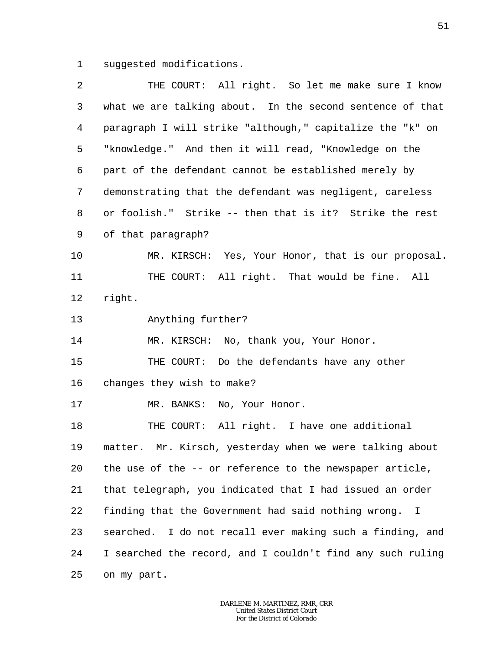1 suggested modifications.

| 2       | THE COURT: All right. So let me make sure I know           |
|---------|------------------------------------------------------------|
| 3       | what we are talking about. In the second sentence of that  |
| 4       | paragraph I will strike "although," capitalize the "k" on  |
| 5       | "knowledge." And then it will read, "Knowledge on the      |
| 6       | part of the defendant cannot be established merely by      |
| 7       | demonstrating that the defendant was negligent, careless   |
| 8       | or foolish." Strike -- then that is it? Strike the rest    |
| 9       | of that paragraph?                                         |
| $10 \,$ | MR. KIRSCH: Yes, Your Honor, that is our proposal.         |
| 11      | THE COURT: All right. That would be fine. All              |
| 12      | right.                                                     |
| 13      | Anything further?                                          |
| 14      | MR. KIRSCH: No, thank you, Your Honor.                     |
| 15      | THE COURT: Do the defendants have any other                |
| 16      | changes they wish to make?                                 |
| 17      | MR. BANKS: No, Your Honor.                                 |
| 18      | THE COURT: All right. I have one additional                |
| 19      | matter. Mr. Kirsch, yesterday when we were talking about   |
| 20      | the use of the -- or reference to the newspaper article,   |
| 21      | that telegraph, you indicated that I had issued an order   |
| 22      | finding that the Government had said nothing wrong. I      |
| 23      | searched. I do not recall ever making such a finding, and  |
| 24      | I searched the record, and I couldn't find any such ruling |
| 25      | on my part.                                                |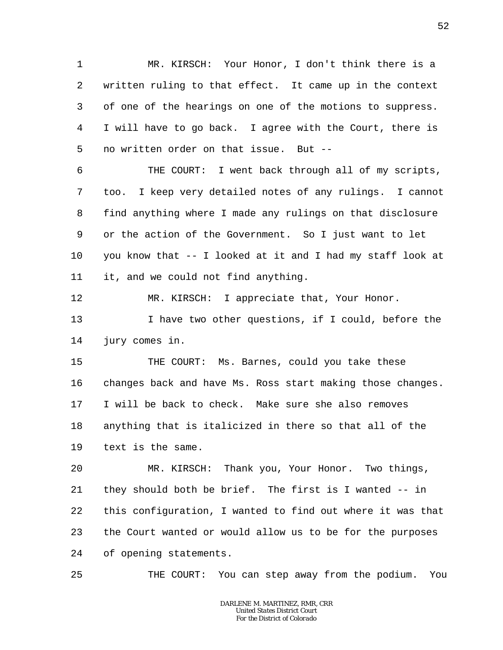1 2 3 4 5 MR. KIRSCH: Your Honor, I don't think there is a written ruling to that effect. It came up in the context of one of the hearings on one of the motions to suppress. I will have to go back. I agree with the Court, there is no written order on that issue. But --

6 7 8 9 10 11 THE COURT: I went back through all of my scripts, too. I keep very detailed notes of any rulings. I cannot find anything where I made any rulings on that disclosure or the action of the Government. So I just want to let you know that -- I looked at it and I had my staff look at it, and we could not find anything.

12 MR. KIRSCH: I appreciate that, Your Honor.

13 14 I have two other questions, if I could, before the jury comes in.

15 16 17 18 19 THE COURT: Ms. Barnes, could you take these changes back and have Ms. Ross start making those changes. I will be back to check. Make sure she also removes anything that is italicized in there so that all of the text is the same.

20 21 22 23 24 MR. KIRSCH: Thank you, Your Honor. Two things, they should both be brief. The first is I wanted -- in this configuration, I wanted to find out where it was that the Court wanted or would allow us to be for the purposes of opening statements.

25 THE COURT: You can step away from the podium. You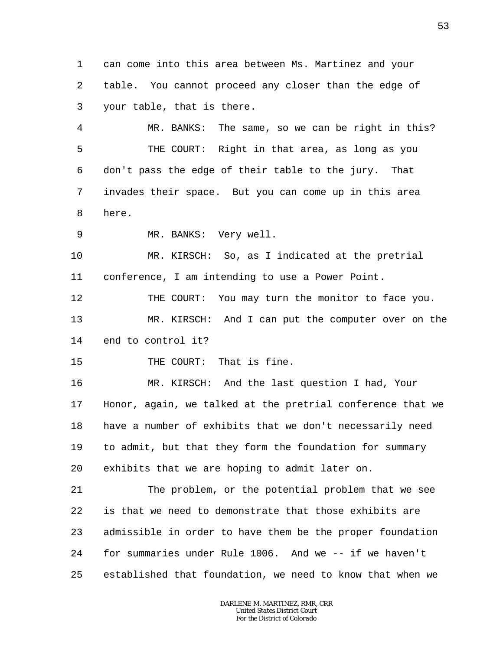1 2 3 can come into this area between Ms. Martinez and your table. You cannot proceed any closer than the edge of your table, that is there.

4 5 6 7 8 MR. BANKS: The same, so we can be right in this? THE COURT: Right in that area, as long as you don't pass the edge of their table to the jury. That invades their space. But you can come up in this area here.

9 MR. BANKS: Very well.

10 11 MR. KIRSCH: So, as I indicated at the pretrial conference, I am intending to use a Power Point.

12 13 14 THE COURT: You may turn the monitor to face you. MR. KIRSCH: And I can put the computer over on the end to control it?

15 THE COURT: That is fine.

16 17 18 19 20 MR. KIRSCH: And the last question I had, Your Honor, again, we talked at the pretrial conference that we have a number of exhibits that we don't necessarily need to admit, but that they form the foundation for summary exhibits that we are hoping to admit later on.

21 22 23 24 25 The problem, or the potential problem that we see is that we need to demonstrate that those exhibits are admissible in order to have them be the proper foundation for summaries under Rule 1006. And we -- if we haven't established that foundation, we need to know that when we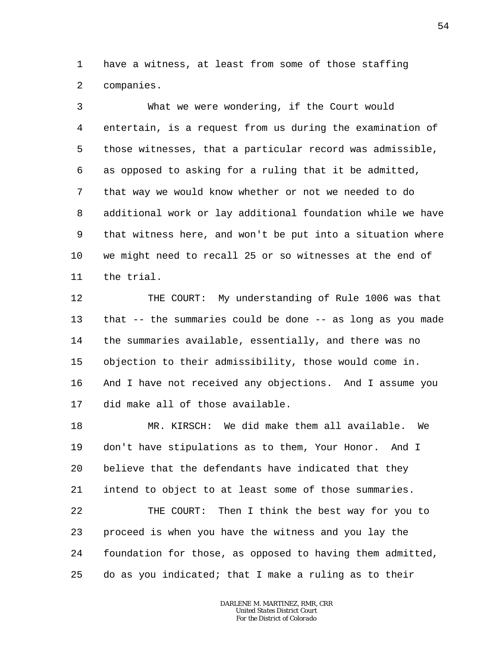1 2 have a witness, at least from some of those staffing companies.

3 4 5 6 7 8 9 10 11 What we were wondering, if the Court would entertain, is a request from us during the examination of those witnesses, that a particular record was admissible, as opposed to asking for a ruling that it be admitted, that way we would know whether or not we needed to do additional work or lay additional foundation while we have that witness here, and won't be put into a situation where we might need to recall 25 or so witnesses at the end of the trial.

12 13 14 15 16 17 THE COURT: My understanding of Rule 1006 was that that -- the summaries could be done -- as long as you made the summaries available, essentially, and there was no objection to their admissibility, those would come in. And I have not received any objections. And I assume you did make all of those available.

18 19 20 21 22 23 24 25 MR. KIRSCH: We did make them all available. We don't have stipulations as to them, Your Honor. And I believe that the defendants have indicated that they intend to object to at least some of those summaries. THE COURT: Then I think the best way for you to proceed is when you have the witness and you lay the foundation for those, as opposed to having them admitted, do as you indicated; that I make a ruling as to their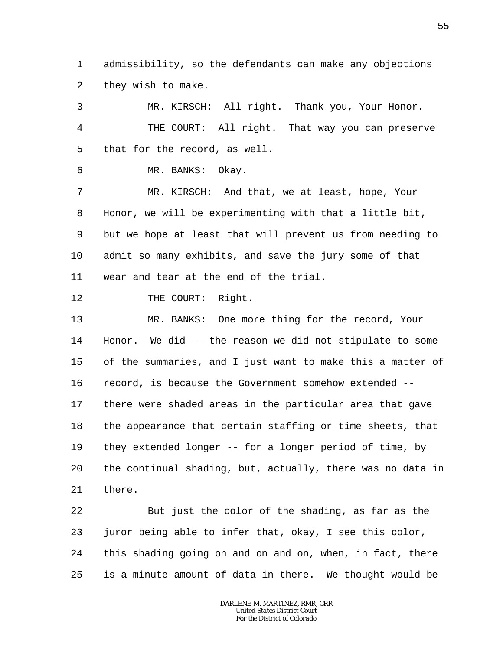1 2 admissibility, so the defendants can make any objections they wish to make.

3 4 5 6 7 8 9 10 11 12 13 14 15 16 17 18 19 20 21 22 23 MR. KIRSCH: All right. Thank you, Your Honor. THE COURT: All right. That way you can preserve that for the record, as well. MR. BANKS: Okay. MR. KIRSCH: And that, we at least, hope, Your Honor, we will be experimenting with that a little bit, but we hope at least that will prevent us from needing to admit so many exhibits, and save the jury some of that wear and tear at the end of the trial. THE COURT: Right. MR. BANKS: One more thing for the record, Your Honor. We did -- the reason we did not stipulate to some of the summaries, and I just want to make this a matter of record, is because the Government somehow extended - there were shaded areas in the particular area that gave the appearance that certain staffing or time sheets, that they extended longer -- for a longer period of time, by the continual shading, but, actually, there was no data in there. But just the color of the shading, as far as the juror being able to infer that, okay, I see this color,

24 25 this shading going on and on and on, when, in fact, there is a minute amount of data in there. We thought would be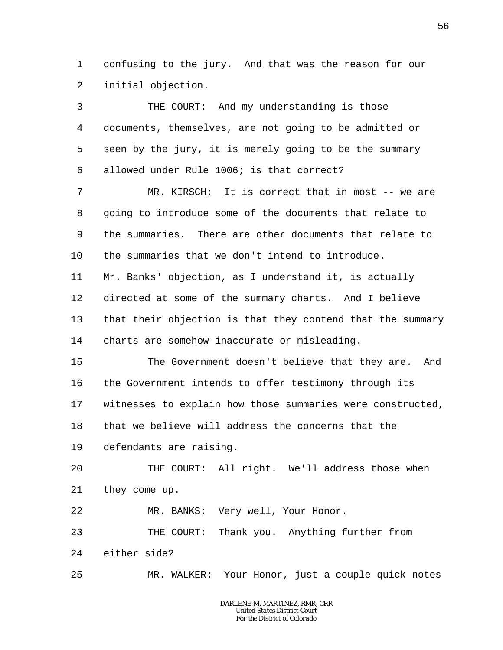1 2 confusing to the jury. And that was the reason for our initial objection.

3 4 5 6 7 8 9 10 11 12 13 14 15 16 17 18 19  $2.0$ 21 22 23 24 25 THE COURT: And my understanding is those documents, themselves, are not going to be admitted or seen by the jury, it is merely going to be the summary allowed under Rule 1006; is that correct? MR. KIRSCH: It is correct that in most -- we are going to introduce some of the documents that relate to the summaries. There are other documents that relate to the summaries that we don't intend to introduce. Mr. Banks' objection, as I understand it, is actually directed at some of the summary charts. And I believe that their objection is that they contend that the summary charts are somehow inaccurate or misleading. The Government doesn't believe that they are. And the Government intends to offer testimony through its witnesses to explain how those summaries were constructed, that we believe will address the concerns that the defendants are raising. THE COURT: All right. We'll address those when they come up. MR. BANKS: Very well, Your Honor. THE COURT: Thank you. Anything further from either side? MR. WALKER: Your Honor, just a couple quick notes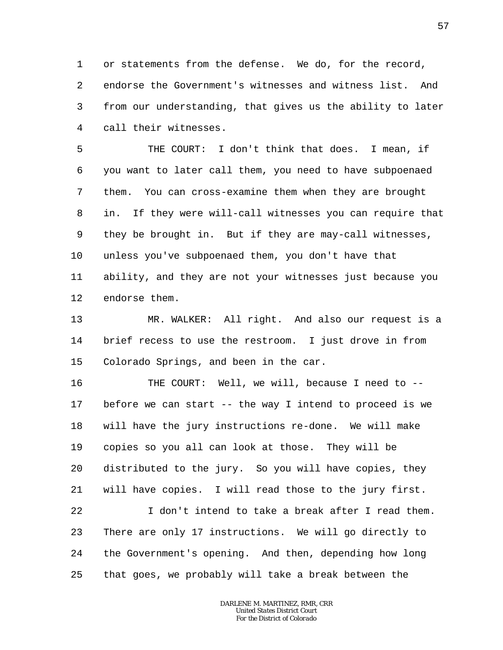1 2 3 4 or statements from the defense. We do, for the record, endorse the Government's witnesses and witness list. And from our understanding, that gives us the ability to later call their witnesses.

5 6 7 8 9 10 11 12 THE COURT: I don't think that does. I mean, if you want to later call them, you need to have subpoenaed them. You can cross-examine them when they are brought in. If they were will-call witnesses you can require that they be brought in. But if they are may-call witnesses, unless you've subpoenaed them, you don't have that ability, and they are not your witnesses just because you endorse them.

13 14 15 MR. WALKER: All right. And also our request is a brief recess to use the restroom. I just drove in from Colorado Springs, and been in the car.

16 17 18 19 20 21 22 23 24 25 THE COURT: Well, we will, because I need to -before we can start -- the way I intend to proceed is we will have the jury instructions re-done. We will make copies so you all can look at those. They will be distributed to the jury. So you will have copies, they will have copies. I will read those to the jury first. I don't intend to take a break after I read them. There are only 17 instructions. We will go directly to the Government's opening. And then, depending how long that goes, we probably will take a break between the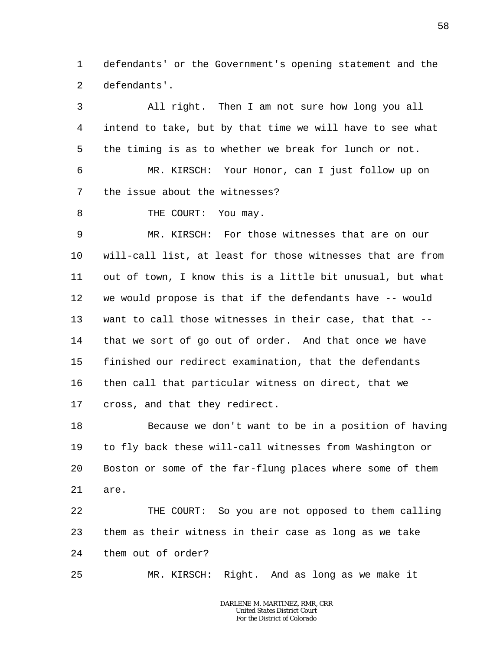1 2 defendants' or the Government's opening statement and the defendants'.

3 4 5 6 7 8 9 10 11 12 13 14 15 16 17 All right. Then I am not sure how long you all intend to take, but by that time we will have to see what the timing is as to whether we break for lunch or not. MR. KIRSCH: Your Honor, can I just follow up on the issue about the witnesses? THE COURT: You may. MR. KIRSCH: For those witnesses that are on our will-call list, at least for those witnesses that are from out of town, I know this is a little bit unusual, but what we would propose is that if the defendants have -- would want to call those witnesses in their case, that that -that we sort of go out of order. And that once we have finished our redirect examination, that the defendants then call that particular witness on direct, that we cross, and that they redirect.

18 19 20 21 Because we don't want to be in a position of having to fly back these will-call witnesses from Washington or Boston or some of the far-flung places where some of them are.

22 23 24 THE COURT: So you are not opposed to them calling them as their witness in their case as long as we take them out of order?

25 MR. KIRSCH: Right. And as long as we make it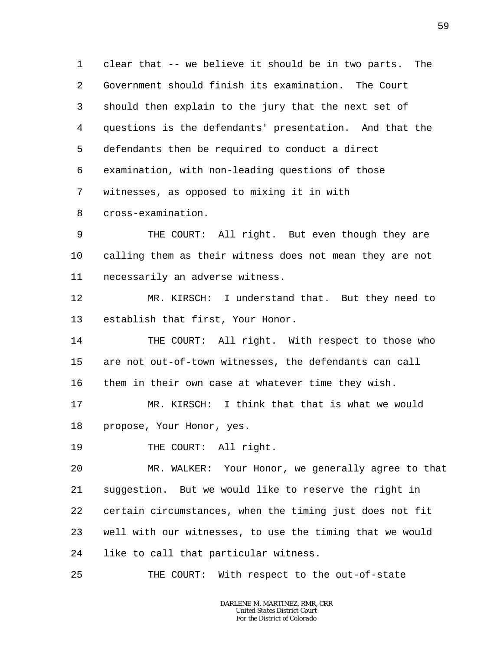1 2 3 4 5 6 7 8 clear that -- we believe it should be in two parts. The Government should finish its examination. The Court should then explain to the jury that the next set of questions is the defendants' presentation. And that the defendants then be required to conduct a direct examination, with non-leading questions of those witnesses, as opposed to mixing it in with cross-examination.

9 10 11 THE COURT: All right. But even though they are calling them as their witness does not mean they are not necessarily an adverse witness.

12 13 MR. KIRSCH: I understand that. But they need to establish that first, Your Honor.

14 15 16 THE COURT: All right. With respect to those who are not out-of-town witnesses, the defendants can call them in their own case at whatever time they wish.

17 18 MR. KIRSCH: I think that that is what we would propose, Your Honor, yes.

19 THE COURT: All right.

20 21 22 23 24 MR. WALKER: Your Honor, we generally agree to that suggestion. But we would like to reserve the right in certain circumstances, when the timing just does not fit well with our witnesses, to use the timing that we would like to call that particular witness.

25 THE COURT: With respect to the out-of-state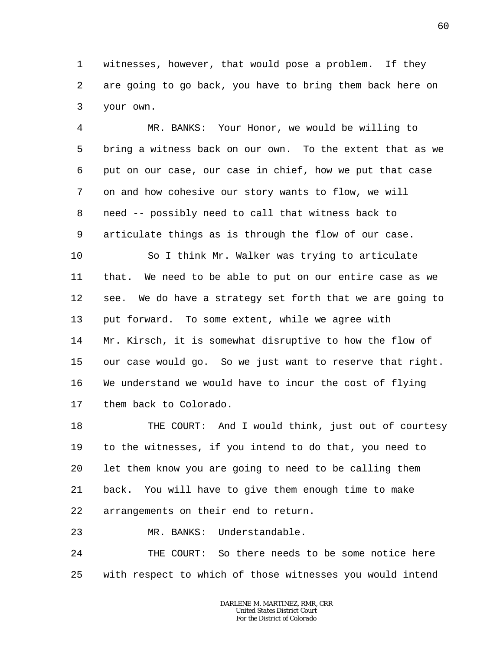1 2 3 witnesses, however, that would pose a problem. If they are going to go back, you have to bring them back here on your own.

4 5 6 7 8 9 MR. BANKS: Your Honor, we would be willing to bring a witness back on our own. To the extent that as we put on our case, our case in chief, how we put that case on and how cohesive our story wants to flow, we will need -- possibly need to call that witness back to articulate things as is through the flow of our case.

10 11 12 13 14 15 16 17 So I think Mr. Walker was trying to articulate that. We need to be able to put on our entire case as we see. We do have a strategy set forth that we are going to put forward. To some extent, while we agree with Mr. Kirsch, it is somewhat disruptive to how the flow of our case would go. So we just want to reserve that right. We understand we would have to incur the cost of flying them back to Colorado.

18 19 20 21 22 THE COURT: And I would think, just out of courtesy to the witnesses, if you intend to do that, you need to let them know you are going to need to be calling them back. You will have to give them enough time to make arrangements on their end to return.

23 MR. BANKS: Understandable.

24 25 THE COURT: So there needs to be some notice here with respect to which of those witnesses you would intend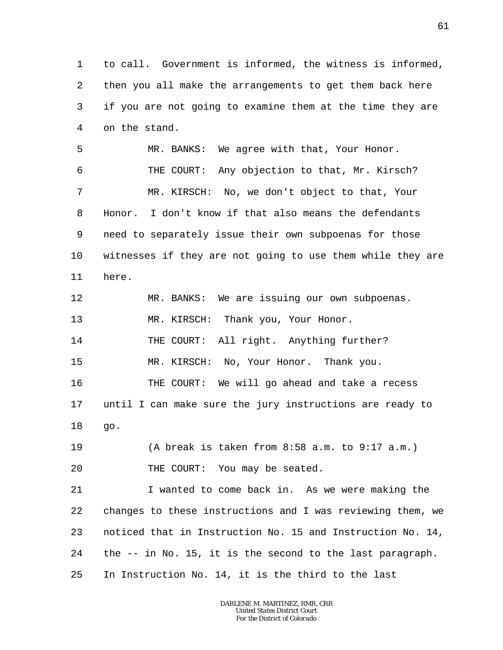1 2 3 4 5 6 7 8 9 10 11 12 13 14 15 16 17 18 19 20 21 22 23 24 25 to call. Government is informed, the witness is informed, then you all make the arrangements to get them back here if you are not going to examine them at the time they are on the stand. MR. BANKS: We agree with that, Your Honor. THE COURT: Any objection to that, Mr. Kirsch? MR. KIRSCH: No, we don't object to that, Your Honor. I don't know if that also means the defendants need to separately issue their own subpoenas for those witnesses if they are not going to use them while they are here. MR. BANKS: We are issuing our own subpoenas. MR. KIRSCH: Thank you, Your Honor. THE COURT: All right. Anything further? MR. KIRSCH: No, Your Honor. Thank you. THE COURT: We will go ahead and take a recess until I can make sure the jury instructions are ready to go. (A break is taken from 8:58 a.m. to 9:17 a.m.) THE COURT: You may be seated. I wanted to come back in. As we were making the changes to these instructions and I was reviewing them, we noticed that in Instruction No. 15 and Instruction No. 14, the -- in No. 15, it is the second to the last paragraph. In Instruction No. 14, it is the third to the last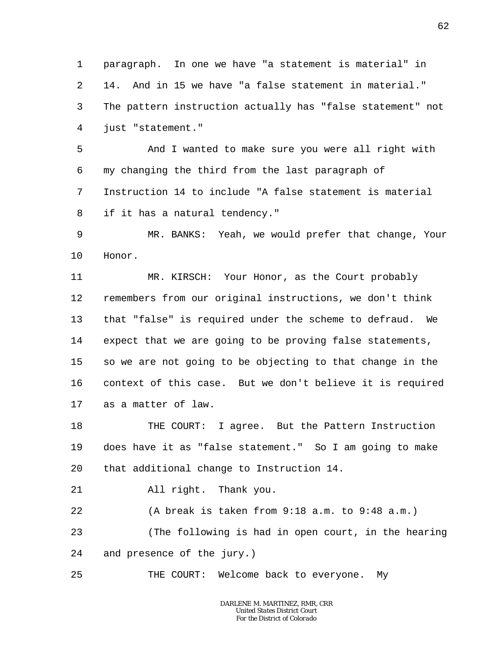1  $\overline{a}$ 3 4 paragraph. In one we have "a statement is material" in 14. And in 15 we have "a false statement in material." The pattern instruction actually has "false statement" not just "statement."

5 6 7 8 And I wanted to make sure you were all right with my changing the third from the last paragraph of Instruction 14 to include "A false statement is material if it has a natural tendency."

9 10 MR. BANKS: Yeah, we would prefer that change, Your Honor.

11 12 13 14 15 16 17 MR. KIRSCH: Your Honor, as the Court probably remembers from our original instructions, we don't think that "false" is required under the scheme to defraud. We expect that we are going to be proving false statements, so we are not going to be objecting to that change in the context of this case. But we don't believe it is required as a matter of law.

18 19 20 THE COURT: I agree. But the Pattern Instruction does have it as "false statement." So I am going to make that additional change to Instruction 14.

21 All right. Thank you.

22 (A break is taken from 9:18 a.m. to 9:48 a.m.)

23 24 (The following is had in open court, in the hearing and presence of the jury.)

25 THE COURT: Welcome back to everyone. My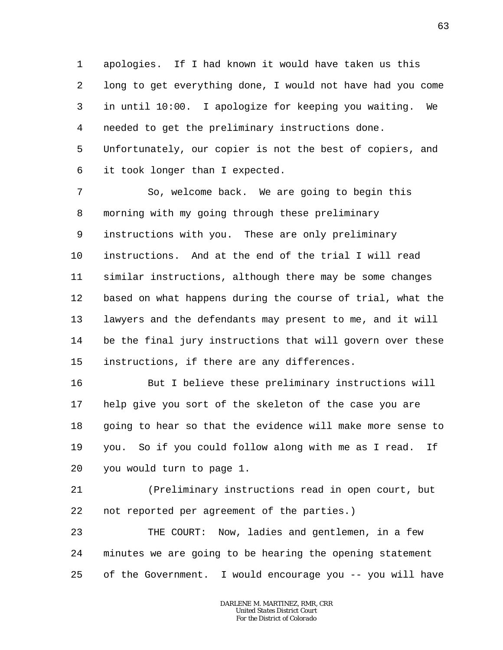1 2 3 4 5 6 apologies. If I had known it would have taken us this long to get everything done, I would not have had you come in until 10:00. I apologize for keeping you waiting. We needed to get the preliminary instructions done. Unfortunately, our copier is not the best of copiers, and it took longer than I expected.

7 8 9 10 11 12 13 14 15 So, welcome back. We are going to begin this morning with my going through these preliminary instructions with you. These are only preliminary instructions. And at the end of the trial I will read similar instructions, although there may be some changes based on what happens during the course of trial, what the lawyers and the defendants may present to me, and it will be the final jury instructions that will govern over these instructions, if there are any differences.

16 17 18 19 20 But I believe these preliminary instructions will help give you sort of the skeleton of the case you are going to hear so that the evidence will make more sense to you. So if you could follow along with me as I read. If you would turn to page 1.

21 22 (Preliminary instructions read in open court, but not reported per agreement of the parties.)

23 24 25 THE COURT: Now, ladies and gentlemen, in a few minutes we are going to be hearing the opening statement of the Government. I would encourage you -- you will have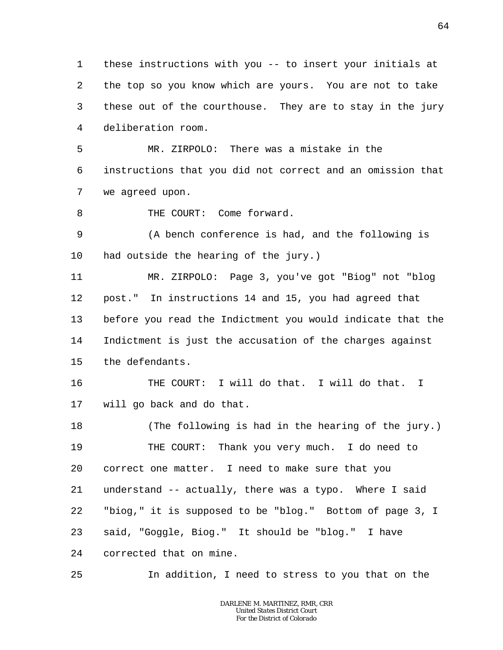1 2 3 4 these instructions with you -- to insert your initials at the top so you know which are yours. You are not to take these out of the courthouse. They are to stay in the jury deliberation room.

5 6 7 MR. ZIRPOLO: There was a mistake in the instructions that you did not correct and an omission that we agreed upon.

8 THE COURT: Come forward.

9 10 (A bench conference is had, and the following is had outside the hearing of the jury.)

11 12 13 14 15 MR. ZIRPOLO: Page 3, you've got "Biog" not "blog post." In instructions 14 and 15, you had agreed that before you read the Indictment you would indicate that the Indictment is just the accusation of the charges against the defendants.

16 17 THE COURT: I will do that. I will do that. I will go back and do that.

18 19 20 21 22 23 24 (The following is had in the hearing of the jury.) THE COURT: Thank you very much. I do need to correct one matter. I need to make sure that you understand -- actually, there was a typo. Where I said "biog," it is supposed to be "blog." Bottom of page 3, I said, "Goggle, Biog." It should be "blog." I have corrected that on mine.

25 In addition, I need to stress to you that on the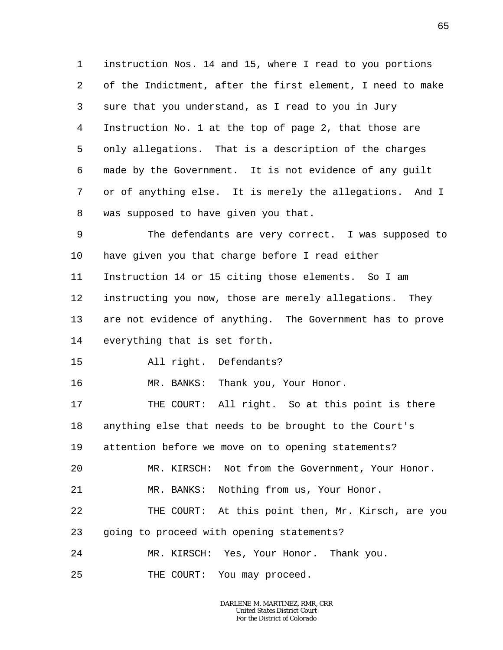1 2 3 4 5 6 7 8 instruction Nos. 14 and 15, where I read to you portions of the Indictment, after the first element, I need to make sure that you understand, as I read to you in Jury Instruction No. 1 at the top of page 2, that those are only allegations. That is a description of the charges made by the Government. It is not evidence of any guilt or of anything else. It is merely the allegations. And I was supposed to have given you that.

9 10 11 12 13 14 The defendants are very correct. I was supposed to have given you that charge before I read either Instruction 14 or 15 citing those elements. So I am instructing you now, those are merely allegations. They are not evidence of anything. The Government has to prove everything that is set forth.

15 All right. Defendants?

16 MR. BANKS: Thank you, Your Honor.

17 18 19 THE COURT: All right. So at this point is there anything else that needs to be brought to the Court's attention before we move on to opening statements?

20 MR. KIRSCH: Not from the Government, Your Honor.

21 MR. BANKS: Nothing from us, Your Honor.

22 THE COURT: At this point then, Mr. Kirsch, are you

23 going to proceed with opening statements?

24 MR. KIRSCH: Yes, Your Honor. Thank you.

25 THE COURT: You may proceed.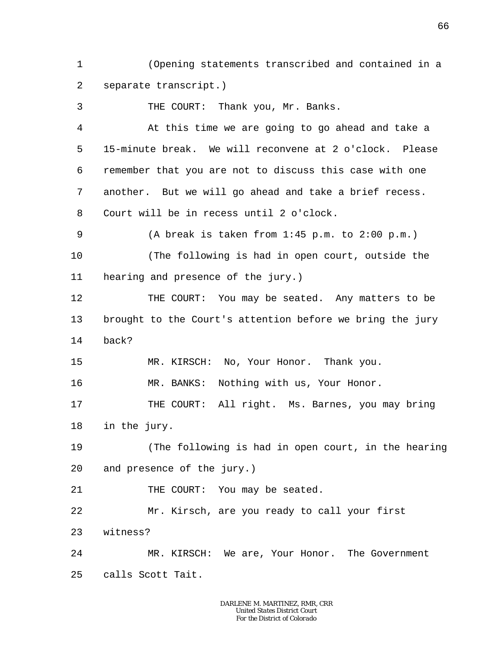1 2 (Opening statements transcribed and contained in a separate transcript.)

3 4 5 6 7 8 9 10 11 12 13 14 15 16 17 18 THE COURT: Thank you, Mr. Banks. At this time we are going to go ahead and take a 15-minute break. We will reconvene at 2 o'clock. Please remember that you are not to discuss this case with one another. But we will go ahead and take a brief recess. Court will be in recess until 2 o'clock. (A break is taken from 1:45 p.m. to 2:00 p.m.) (The following is had in open court, outside the hearing and presence of the jury.) THE COURT: You may be seated. Any matters to be brought to the Court's attention before we bring the jury back? MR. KIRSCH: No, Your Honor. Thank you. MR. BANKS: Nothing with us, Your Honor. THE COURT: All right. Ms. Barnes, you may bring in the jury.

19 20 (The following is had in open court, in the hearing and presence of the jury.)

21 THE COURT: You may be seated.

22 23 Mr. Kirsch, are you ready to call your first witness?

24 25 MR. KIRSCH: We are, Your Honor. The Government calls Scott Tait.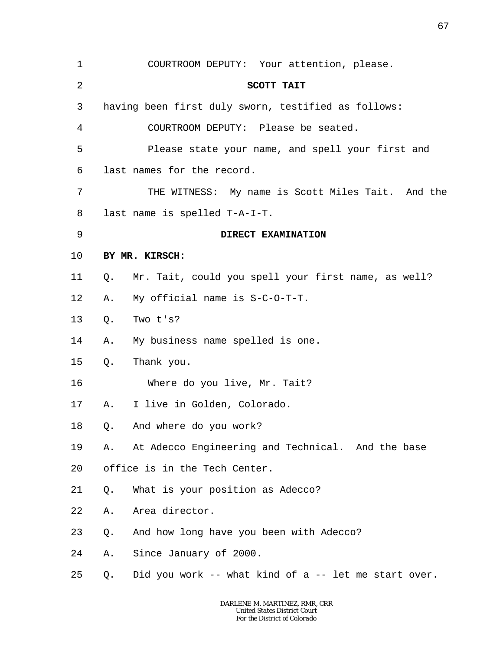| 1       |    | COURTROOM DEPUTY: Your attention, please.            |
|---------|----|------------------------------------------------------|
| 2       |    | SCOTT TAIT                                           |
| 3       |    | having been first duly sworn, testified as follows:  |
| 4       |    | COURTROOM DEPUTY: Please be seated.                  |
| 5       |    | Please state your name, and spell your first and     |
| 6       |    | last names for the record.                           |
| 7       |    | THE WITNESS: My name is Scott Miles Tait. And the    |
| 8       |    | last name is spelled T-A-I-T.                        |
| 9       |    | DIRECT EXAMINATION                                   |
| $10 \,$ |    | BY MR. KIRSCH:                                       |
| 11      | Q. | Mr. Tait, could you spell your first name, as well?  |
| 12      | Α. | My official name is S-C-O-T-T.                       |
| 13      | Q. | Two t's?                                             |
| 14      | Α. | My business name spelled is one.                     |
| 15      | Q. | Thank you.                                           |
| 16      |    | Where do you live, Mr. Tait?                         |
| 17      | Α. | I live in Golden, Colorado.                          |
| 18      | Q. | And where do you work?                               |
| 19      | Α. | At Adecco Engineering and Technical. And the base    |
| 20      |    | office is in the Tech Center.                        |
| 21      | Q. | What is your position as Adecco?                     |
| 22      | Α. | Area director.                                       |
| 23      | Q. | And how long have you been with Adecco?              |
| 24      | Α. | Since January of 2000.                               |
| 25      | Q. | Did you work -- what kind of a -- let me start over. |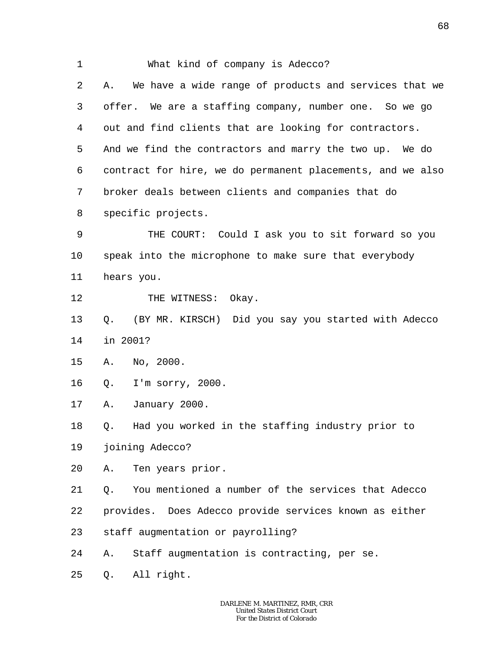| $\mathbf 1$ | What kind of company is Adecco?                             |
|-------------|-------------------------------------------------------------|
| 2           | We have a wide range of products and services that we<br>Α. |
| 3           | offer. We are a staffing company, number one. So we go      |
| 4           | out and find clients that are looking for contractors.      |
| 5           | And we find the contractors and marry the two up. We do     |
| 6           | contract for hire, we do permanent placements, and we also  |
| 7           | broker deals between clients and companies that do          |
| 8           | specific projects.                                          |
| 9           | THE COURT: Could I ask you to sit forward so you            |
| $10 \,$     | speak into the microphone to make sure that everybody       |
| 11          | hears you.                                                  |
| 12          | THE WITNESS: Okay.                                          |
| 13          | Q.<br>(BY MR. KIRSCH) Did you say you started with Adecco   |
| 14          | in 2001?                                                    |
| 15          | No, 2000.<br>Α.                                             |
| 16          | I'm sorry, $2000$ .<br>Q.                                   |
| 17          | January 2000.<br>Α.                                         |
| 18          | Had you worked in the staffing industry prior to<br>Q.      |
| 19          | joining Adecco?                                             |
| 20          | Ten years prior.<br>Α.                                      |
| 21          | You mentioned a number of the services that Adecco<br>Q.    |
| 22          | provides. Does Adecco provide services known as either      |
| 23          | staff augmentation or payrolling?                           |
| 24          | Staff augmentation is contracting, per se.<br>Α.            |
| 25          | All right.<br>Q.                                            |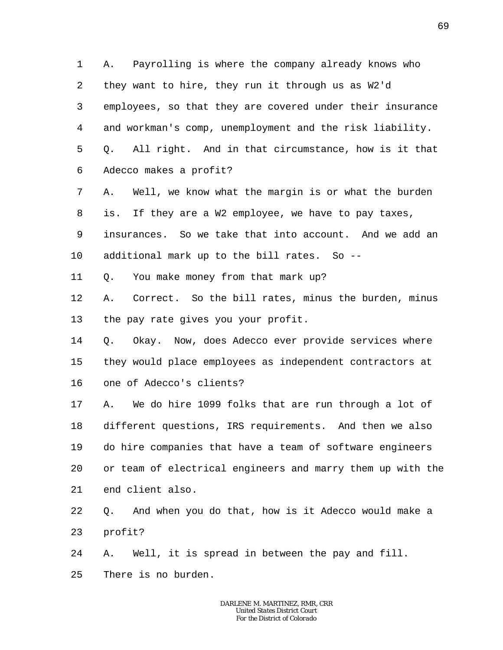1 2 3 4 5 6 A. Payrolling is where the company already knows who they want to hire, they run it through us as W2'd employees, so that they are covered under their insurance and workman's comp, unemployment and the risk liability. Q. All right. And in that circumstance, how is it that Adecco makes a profit?

7 8 9 10 A. Well, we know what the margin is or what the burden is. If they are a W2 employee, we have to pay taxes, insurances. So we take that into account. And we add an additional mark up to the bill rates. So --

11 Q. You make money from that mark up?

12 13 A. Correct. So the bill rates, minus the burden, minus the pay rate gives you your profit.

14 15 16 Q. Okay. Now, does Adecco ever provide services where they would place employees as independent contractors at one of Adecco's clients?

17 18 19 20 21 A. We do hire 1099 folks that are run through a lot of different questions, IRS requirements. And then we also do hire companies that have a team of software engineers or team of electrical engineers and marry them up with the end client also.

22 23 Q. And when you do that, how is it Adecco would make a profit?

24 A. Well, it is spread in between the pay and fill.

25 There is no burden.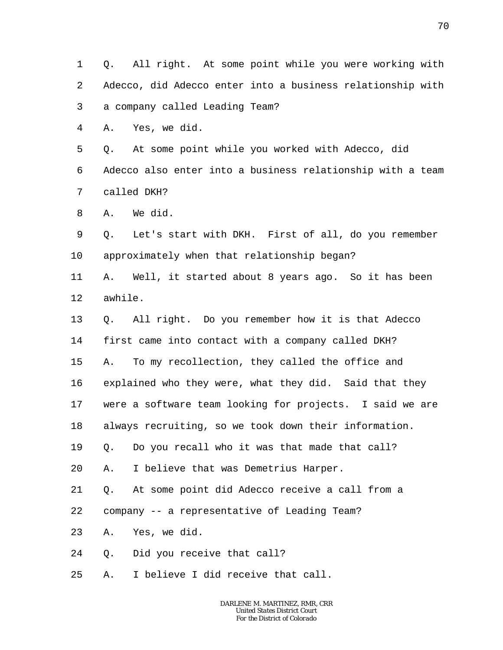1 2 3 4 5 6 7 8 9 10 11 12 13 14 15 16 17 18 19 20 21 22 23 24 25 Q. All right. At some point while you were working with Adecco, did Adecco enter into a business relationship with a company called Leading Team? A. Yes, we did. Q. At some point while you worked with Adecco, did Adecco also enter into a business relationship with a team called DKH? A. We did. Q. Let's start with DKH. First of all, do you remember approximately when that relationship began? A. Well, it started about 8 years ago. So it has been awhile. Q. All right. Do you remember how it is that Adecco first came into contact with a company called DKH? A. To my recollection, they called the office and explained who they were, what they did. Said that they were a software team looking for projects. I said we are always recruiting, so we took down their information. Q. Do you recall who it was that made that call? A. I believe that was Demetrius Harper. Q. At some point did Adecco receive a call from a company -- a representative of Leading Team? A. Yes, we did. Q. Did you receive that call? A. I believe I did receive that call.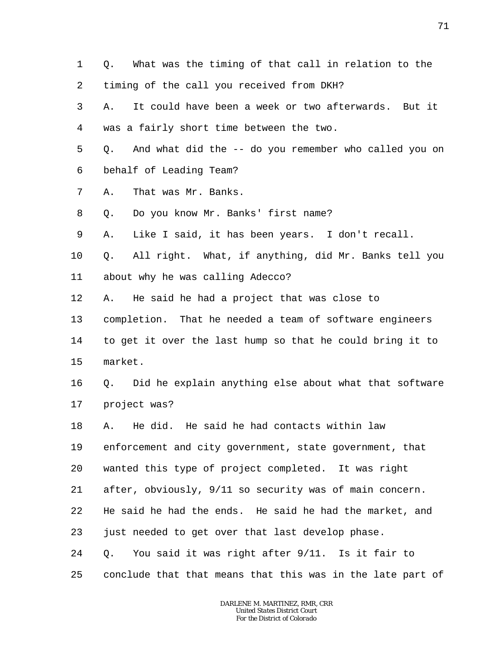- 1 2 Q. What was the timing of that call in relation to the timing of the call you received from DKH?
- 3 4 A. It could have been a week or two afterwards. But it was a fairly short time between the two.
- 5 6 Q. And what did the -- do you remember who called you on behalf of Leading Team?
- 7 A. That was Mr. Banks.
- 8 Q. Do you know Mr. Banks' first name?
- 9 A. Like I said, it has been years. I don't recall.
- 10 11 Q. All right. What, if anything, did Mr. Banks tell you about why he was calling Adecco?
- 12 A. He said he had a project that was close to
- 13 completion. That he needed a team of software engineers
- 14 15 to get it over the last hump so that he could bring it to market.
- 16 17 Q. Did he explain anything else about what that software project was?
- 18 A. He did. He said he had contacts within law
- 19 enforcement and city government, state government, that
- 20 wanted this type of project completed. It was right
- 21 after, obviously, 9/11 so security was of main concern.
- 22 He said he had the ends. He said he had the market, and
- 23 just needed to get over that last develop phase.
- 24 Q. You said it was right after 9/11. Is it fair to
- 25 conclude that that means that this was in the late part of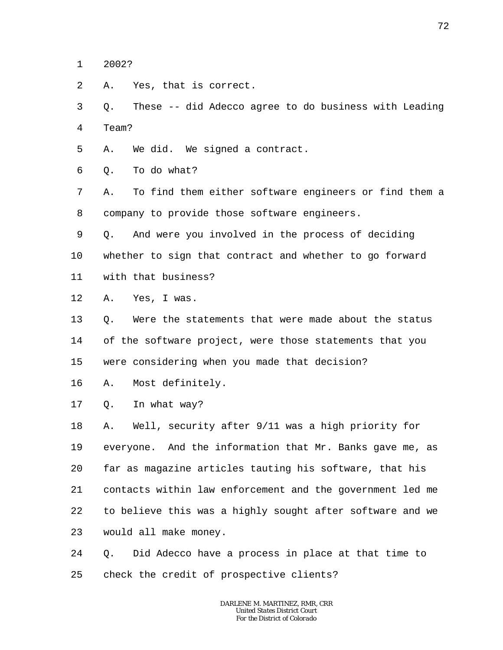1 2002?

 $\overline{a}$ A. Yes, that is correct.

3 4 Q. These -- did Adecco agree to do business with Leading Team?

- 5 A. We did. We signed a contract.
- 6 Q. To do what?

7 8 A. To find them either software engineers or find them a company to provide those software engineers.

- 9 Q. And were you involved in the process of deciding
- 10 whether to sign that contract and whether to go forward
- 11 with that business?
- 12 A. Yes, I was.

13 14 15 Q. Were the statements that were made about the status of the software project, were those statements that you were considering when you made that decision?

16 A. Most definitely.

17 Q. In what way?

18 19 20 21 22 23 A. Well, security after 9/11 was a high priority for everyone. And the information that Mr. Banks gave me, as far as magazine articles tauting his software, that his contacts within law enforcement and the government led me to believe this was a highly sought after software and we would all make money.

24 25 Q. Did Adecco have a process in place at that time to check the credit of prospective clients?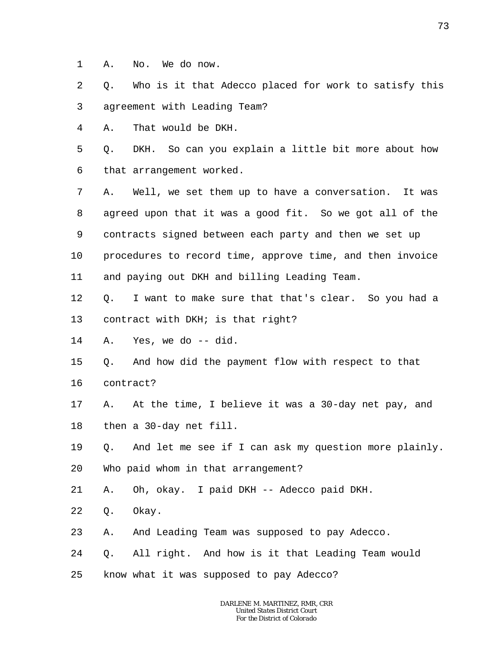1 A. No. We do now.

2 3 Q. Who is it that Adecco placed for work to satisfy this agreement with Leading Team?

4 A. That would be DKH.

5 6 Q. DKH. So can you explain a little bit more about how that arrangement worked.

7 8 9 10 11 A. Well, we set them up to have a conversation. It was agreed upon that it was a good fit. So we got all of the contracts signed between each party and then we set up procedures to record time, approve time, and then invoice and paying out DKH and billing Leading Team.

12 13 Q. I want to make sure that that's clear. So you had a contract with DKH; is that right?

- 14 A. Yes, we do -- did.
- 15 Q. And how did the payment flow with respect to that
- 16 contract?
- 17 18 A. At the time, I believe it was a 30-day net pay, and then a 30-day net fill.
- 19 20 Q. And let me see if I can ask my question more plainly. Who paid whom in that arrangement?

21 A. Oh, okay. I paid DKH -- Adecco paid DKH.

- 22 Q. Okay.
- 23 A. And Leading Team was supposed to pay Adecco.
- 24 Q. All right. And how is it that Leading Team would
- 25 know what it was supposed to pay Adecco?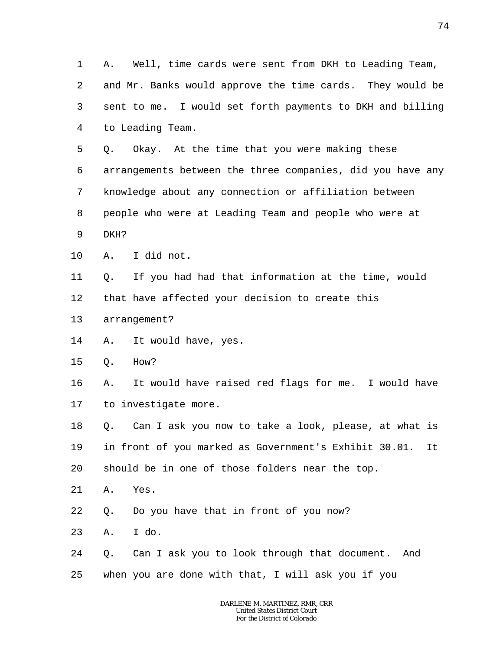1 2 3 4 A. Well, time cards were sent from DKH to Leading Team, and Mr. Banks would approve the time cards. They would be sent to me. I would set forth payments to DKH and billing to Leading Team.

5 6 7 8 9 Q. Okay. At the time that you were making these arrangements between the three companies, did you have any knowledge about any connection or affiliation between people who were at Leading Team and people who were at DKH?

- 
- 10 A. I did not.

11 12 Q. If you had had that information at the time, would that have affected your decision to create this

- 13 arrangement?
- 14 A. It would have, yes.
- 15 Q. How?

16 17 A. It would have raised red flags for me. I would have to investigate more.

18 19 20 Q. Can I ask you now to take a look, please, at what is in front of you marked as Government's Exhibit 30.01. It should be in one of those folders near the top.

- 21 A. Yes.
- 22 Q. Do you have that in front of you now?
- 23 A. I do.
- 24 25 Q. Can I ask you to look through that document. And when you are done with that, I will ask you if you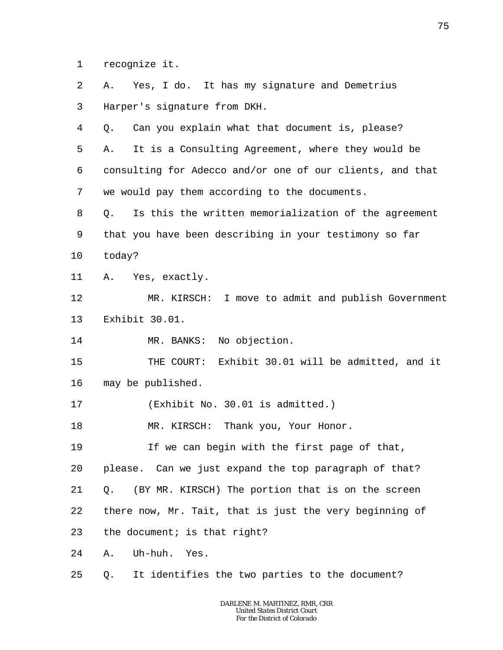1 recognize it.

2 3 4 5 6 7 8 9 10 11 12 13 14 15 16 17 18 19 20 21 22 23 24 25 A. Yes, I do. It has my signature and Demetrius Harper's signature from DKH. Q. Can you explain what that document is, please? A. It is a Consulting Agreement, where they would be consulting for Adecco and/or one of our clients, and that we would pay them according to the documents. Q. Is this the written memorialization of the agreement that you have been describing in your testimony so far today? A. Yes, exactly. MR. KIRSCH: I move to admit and publish Government Exhibit 30.01. MR. BANKS: No objection. THE COURT: Exhibit 30.01 will be admitted, and it may be published. (Exhibit No. 30.01 is admitted.) MR. KIRSCH: Thank you, Your Honor. If we can begin with the first page of that, please. Can we just expand the top paragraph of that? Q. (BY MR. KIRSCH) The portion that is on the screen there now, Mr. Tait, that is just the very beginning of the document; is that right? A. Uh-huh. Yes. Q. It identifies the two parties to the document?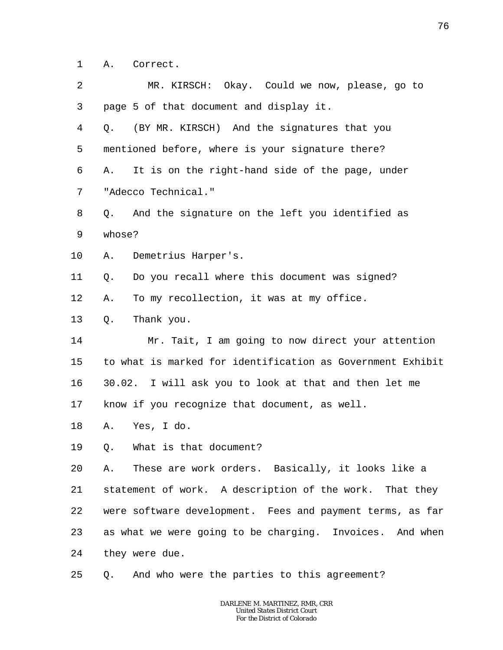1 A. Correct.

| 2  | MR. KIRSCH: Okay. Could we now, please, go to              |
|----|------------------------------------------------------------|
| 3  | page 5 of that document and display it.                    |
| 4  | (BY MR. KIRSCH) And the signatures that you<br>Q.          |
| 5  | mentioned before, where is your signature there?           |
| 6  | It is on the right-hand side of the page, under<br>Α.      |
| 7  | "Adecco Technical."                                        |
| 8  | And the signature on the left you identified as<br>Q.      |
| 9  | whose?                                                     |
| 10 | Demetrius Harper's.<br>Α.                                  |
| 11 | Do you recall where this document was signed?<br>Q.        |
| 12 | To my recollection, it was at my office.<br>Α.             |
| 13 | Thank you.<br>Q.                                           |
| 14 | Mr. Tait, I am going to now direct your attention          |
| 15 | to what is marked for identification as Government Exhibit |
| 16 | 30.02. I will ask you to look at that and then let me      |
| 17 | know if you recognize that document, as well.              |
| 18 | Yes, I do.<br>Α.                                           |
| 19 | What is that document?<br>Q.                               |
| 20 | These are work orders. Basically, it looks like a<br>Α.    |
| 21 | statement of work. A description of the work. That they    |
| 22 | were software development. Fees and payment terms, as far  |
| 23 | as what we were going to be charging. Invoices. And when   |
| 24 | they were due.                                             |
| 25 | And who were the parties to this agreement?<br>Q.          |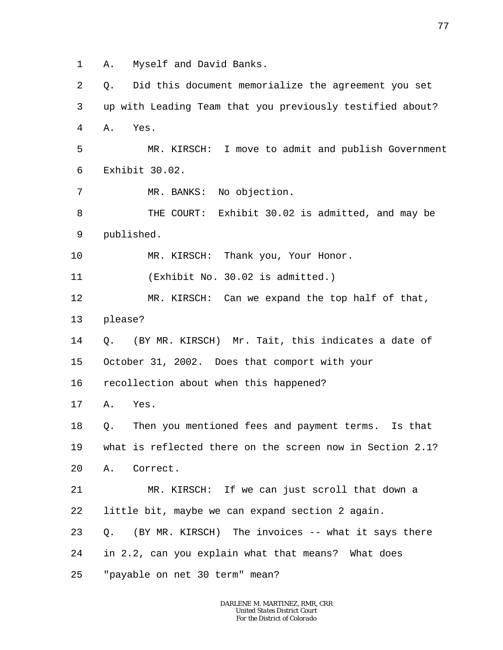1 A. Myself and David Banks.

2 3 4 5 6 7 8 9 10 11 12 13 14 15 16 17 18 19 20 21 22 23 24 25 Q. Did this document memorialize the agreement you set up with Leading Team that you previously testified about? A. Yes. MR. KIRSCH: I move to admit and publish Government Exhibit 30.02. MR. BANKS: No objection. THE COURT: Exhibit 30.02 is admitted, and may be published. MR. KIRSCH: Thank you, Your Honor. (Exhibit No. 30.02 is admitted.) MR. KIRSCH: Can we expand the top half of that, please? Q. (BY MR. KIRSCH) Mr. Tait, this indicates a date of October 31, 2002. Does that comport with your recollection about when this happened? A. Yes. Q. Then you mentioned fees and payment terms. Is that what is reflected there on the screen now in Section 2.1? A. Correct. MR. KIRSCH: If we can just scroll that down a little bit, maybe we can expand section 2 again. Q. (BY MR. KIRSCH) The invoices -- what it says there in 2.2, can you explain what that means? What does "payable on net 30 term" mean?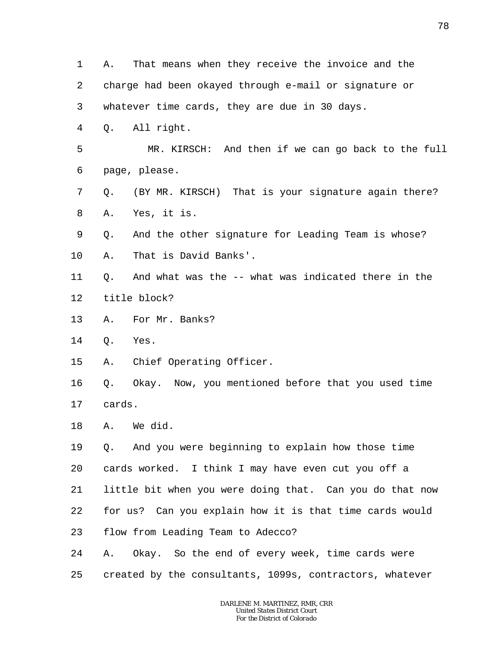1 2 3 4 5 6 7 8 9 10 11 12 13 14 15 16 17 18 19 20 21 22 23 24 25 A. That means when they receive the invoice and the charge had been okayed through e-mail or signature or whatever time cards, they are due in 30 days. Q. All right. MR. KIRSCH: And then if we can go back to the full page, please. Q. (BY MR. KIRSCH) That is your signature again there? A. Yes, it is. Q. And the other signature for Leading Team is whose? A. That is David Banks'. Q. And what was the -- what was indicated there in the title block? A. For Mr. Banks? Q. Yes. A. Chief Operating Officer. Q. Okay. Now, you mentioned before that you used time cards. A. We did. Q. And you were beginning to explain how those time cards worked. I think I may have even cut you off a little bit when you were doing that. Can you do that now for us? Can you explain how it is that time cards would flow from Leading Team to Adecco? A. Okay. So the end of every week, time cards were created by the consultants, 1099s, contractors, whatever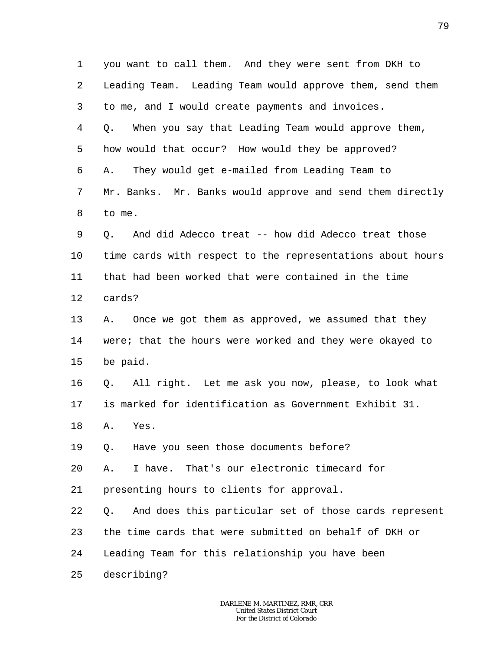1 2 3 4 5 6 7 8 9 10 11 12 13 14 15 16 17 18 19 20 21 22 23 24 25 you want to call them. And they were sent from DKH to Leading Team. Leading Team would approve them, send them to me, and I would create payments and invoices. Q. When you say that Leading Team would approve them, how would that occur? How would they be approved? A. They would get e-mailed from Leading Team to Mr. Banks. Mr. Banks would approve and send them directly to me. Q. And did Adecco treat -- how did Adecco treat those time cards with respect to the representations about hours that had been worked that were contained in the time cards? A. Once we got them as approved, we assumed that they were; that the hours were worked and they were okayed to be paid. Q. All right. Let me ask you now, please, to look what is marked for identification as Government Exhibit 31. A. Yes. Q. Have you seen those documents before? A. I have. That's our electronic timecard for presenting hours to clients for approval. Q. And does this particular set of those cards represent the time cards that were submitted on behalf of DKH or Leading Team for this relationship you have been describing?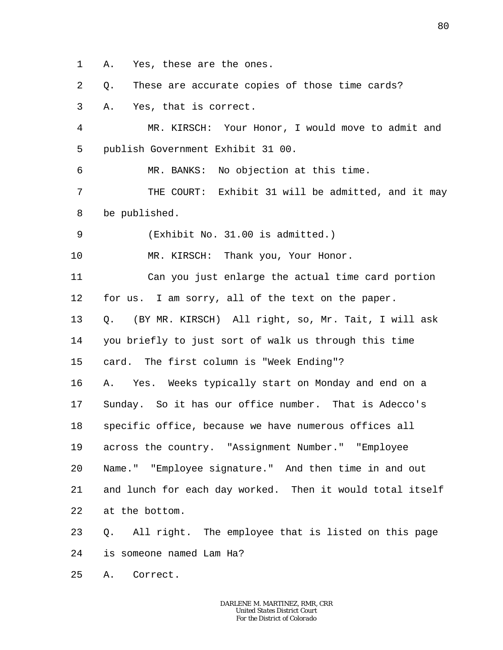1 A. Yes, these are the ones.

2 Q. These are accurate copies of those time cards?

3 A. Yes, that is correct.

4 5 MR. KIRSCH: Your Honor, I would move to admit and publish Government Exhibit 31 00.

6 MR. BANKS: No objection at this time.

7 8 THE COURT: Exhibit 31 will be admitted, and it may be published.

9 (Exhibit No. 31.00 is admitted.)

10 MR. KIRSCH: Thank you, Your Honor.

11 12 13 Can you just enlarge the actual time card portion for us. I am sorry, all of the text on the paper. Q. (BY MR. KIRSCH) All right, so, Mr. Tait, I will ask

14 you briefly to just sort of walk us through this time

15 card. The first column is "Week Ending"?

16 17 18 19 20 21 22 A. Yes. Weeks typically start on Monday and end on a Sunday. So it has our office number. That is Adecco's specific office, because we have numerous offices all across the country. "Assignment Number." "Employee Name." "Employee signature." And then time in and out and lunch for each day worked. Then it would total itself at the bottom.

23 24 Q. All right. The employee that is listed on this page is someone named Lam Ha?

25 A. Correct.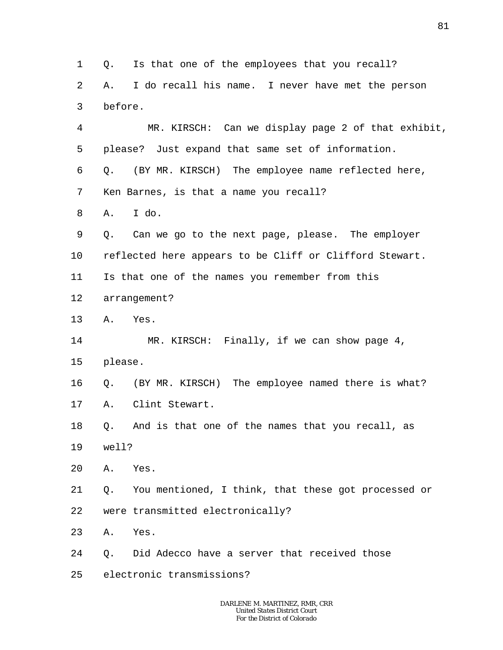1  $\overline{a}$ 3 4 5 6 7 8 9 10 11 12 13 14 15 16 17 18 19 20 21 22 23 24 25 Q. Is that one of the employees that you recall? A. I do recall his name. I never have met the person before. MR. KIRSCH: Can we display page 2 of that exhibit, please? Just expand that same set of information. Q. (BY MR. KIRSCH) The employee name reflected here, Ken Barnes, is that a name you recall? A. I do. Q. Can we go to the next page, please. The employer reflected here appears to be Cliff or Clifford Stewart. Is that one of the names you remember from this arrangement? A. Yes. MR. KIRSCH: Finally, if we can show page 4, please. Q. (BY MR. KIRSCH) The employee named there is what? A. Clint Stewart. Q. And is that one of the names that you recall, as well? A. Yes. Q. You mentioned, I think, that these got processed or were transmitted electronically? A. Yes. Q. Did Adecco have a server that received those electronic transmissions?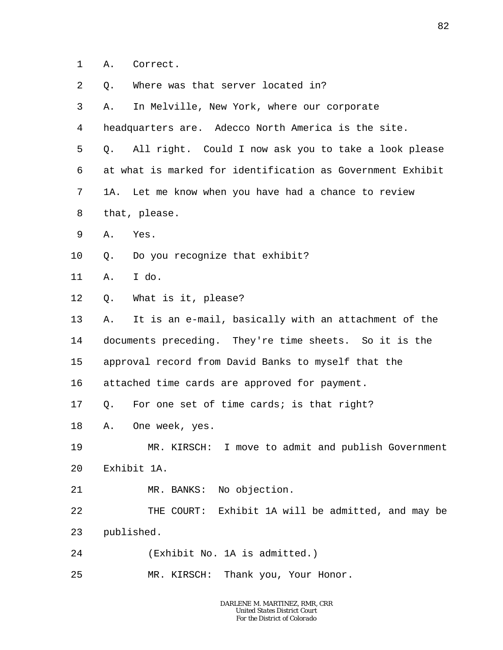- 1 A. Correct.
- 2 Q. Where was that server located in?
- 3 A. In Melville, New York, where our corporate
- 4 headquarters are. Adecco North America is the site.
- 5 6 7 8 Q. All right. Could I now ask you to take a look please at what is marked for identification as Government Exhibit 1A. Let me know when you have had a chance to review that, please.
- 9 A. Yes.
- 10 Q. Do you recognize that exhibit?
- 11 A. I do.
- 12 Q. What is it, please?
- 13 14 15 A. It is an e-mail, basically with an attachment of the documents preceding. They're time sheets. So it is the approval record from David Banks to myself that the
- 16 attached time cards are approved for payment.
- 17 Q. For one set of time cards; is that right?
- 18 A. One week, yes.
- 19 20 MR. KIRSCH: I move to admit and publish Government Exhibit 1A.
- 21 MR. BANKS: No objection.
- 22 23 THE COURT: Exhibit 1A will be admitted, and may be published.
- 24 (Exhibit No. 1A is admitted.)
- 25 MR. KIRSCH: Thank you, Your Honor.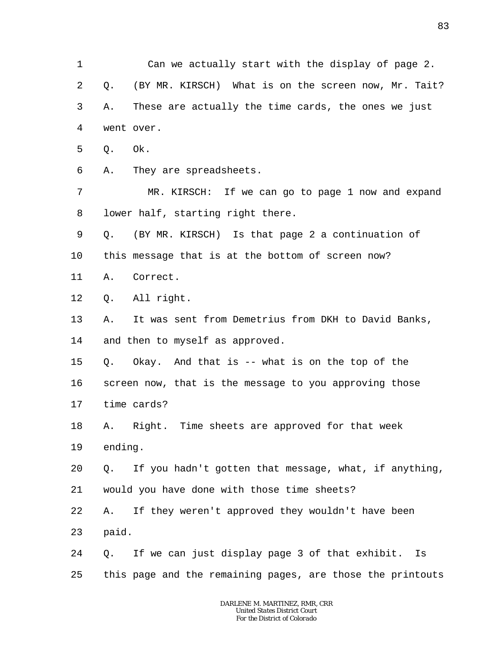1 2 3 4 5 6 7 8 9 10 11 12 13 14 15 16 17 18 19 20 21 22 23 24 25 *DARLENE M. MARTINEZ, RMR, CRR United States District Court For the District of Colorado* Can we actually start with the display of page 2. Q. (BY MR. KIRSCH) What is on the screen now, Mr. Tait? A. These are actually the time cards, the ones we just went over. Q. Ok. A. They are spreadsheets. MR. KIRSCH: If we can go to page 1 now and expand lower half, starting right there. Q. (BY MR. KIRSCH) Is that page 2 a continuation of this message that is at the bottom of screen now? A. Correct. Q. All right. A. It was sent from Demetrius from DKH to David Banks, and then to myself as approved. Q. Okay. And that is -- what is on the top of the screen now, that is the message to you approving those time cards? A. Right. Time sheets are approved for that week ending. Q. If you hadn't gotten that message, what, if anything, would you have done with those time sheets? A. If they weren't approved they wouldn't have been paid. Q. If we can just display page 3 of that exhibit. Is this page and the remaining pages, are those the printouts

83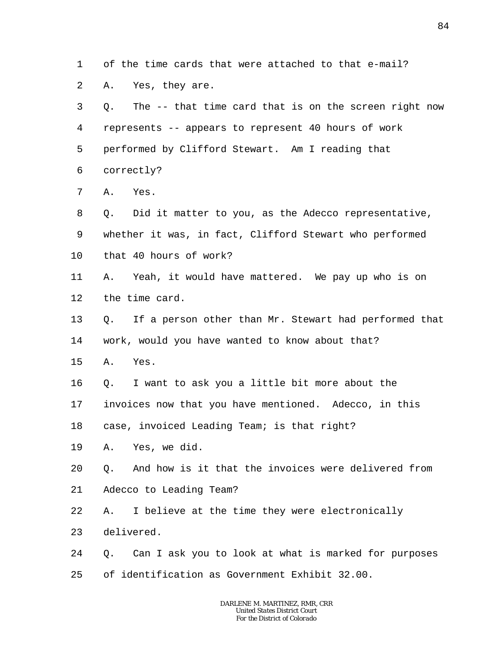1 of the time cards that were attached to that e-mail?

2 A. Yes, they are.

| 3              | The -- that time card that is on the screen right now<br>О. |
|----------------|-------------------------------------------------------------|
| $\overline{4}$ | represents -- appears to represent 40 hours of work         |
| 5              | performed by Clifford Stewart. Am I reading that            |
| 6              | correctly?                                                  |
| 7              | Yes.<br>Α.                                                  |
| 8              | Did it matter to you, as the Adecco representative,<br>Q.   |
| 9              | whether it was, in fact, Clifford Stewart who performed     |
| 10             | that 40 hours of work?                                      |
| 11             | Yeah, it would have mattered. We pay up who is on<br>Α.     |
| 12             | the time card.                                              |
| 13             | If a person other than Mr. Stewart had performed that<br>Q. |
| 14             | work, would you have wanted to know about that?             |
| 15             | Yes.<br>Α.                                                  |
| 16             | I want to ask you a little bit more about the<br>Q.         |
| 17             | invoices now that you have mentioned. Adecco, in this       |
| 18             | case, invoiced Leading Team; is that right?                 |
| 19             | Yes, we did.<br>Α.                                          |
| 20             | 0. And how is it that the invoices were delivered from      |
| 21             | Adecco to Leading Team?                                     |
| 22             | I believe at the time they were electronically<br>Α.        |
| 23             | delivered.                                                  |
| 24             | Can I ask you to look at what is marked for purposes<br>Q.  |
| 25             | of identification as Government Exhibit 32.00.              |
|                |                                                             |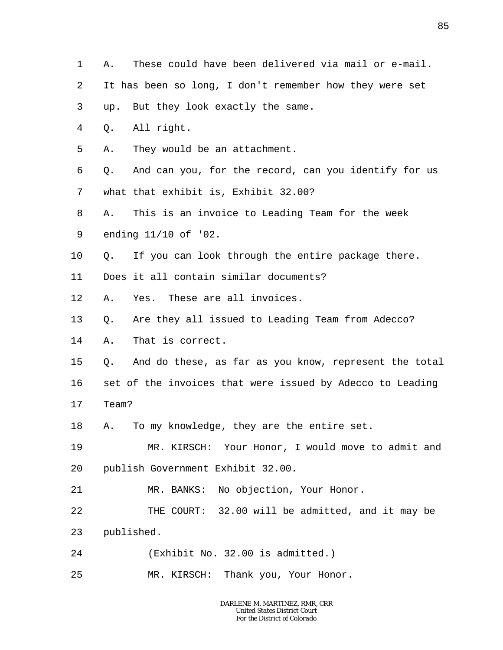- 1 A. These could have been delivered via mail or e-mail.
- 2 It has been so long, I don't remember how they were set
- 3 up. But they look exactly the same.
- 4 Q. All right.
- 5 A. They would be an attachment.

6 7 Q. And can you, for the record, can you identify for us what that exhibit is, Exhibit 32.00?

- 8 A. This is an invoice to Leading Team for the week
- 9 ending 11/10 of '02.
- 10 Q. If you can look through the entire package there.
- 11 Does it all contain similar documents?
- 12 A. Yes. These are all invoices.
- 13 Q. Are they all issued to Leading Team from Adecco?
- 14 A. That is correct.
- 15 Q. And do these, as far as you know, represent the total

16 set of the invoices that were issued by Adecco to Leading

- 17 Team?
- 18 A. To my knowledge, they are the entire set.

19 20 MR. KIRSCH: Your Honor, I would move to admit and publish Government Exhibit 32.00.

- 21 MR. BANKS: No objection, Your Honor.
- 22 23 THE COURT: 32.00 will be admitted, and it may be published.
- 24 (Exhibit No. 32.00 is admitted.)
- 25 MR. KIRSCH: Thank you, Your Honor.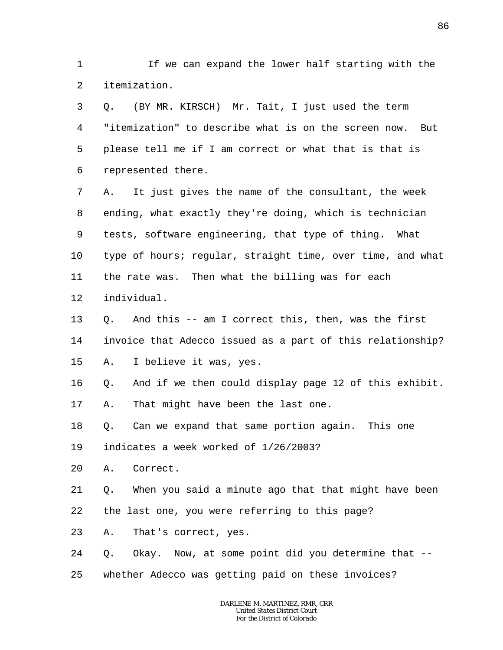1 2 If we can expand the lower half starting with the itemization.

3 4 5 6 Q. (BY MR. KIRSCH) Mr. Tait, I just used the term "itemization" to describe what is on the screen now. But please tell me if I am correct or what that is that is represented there.

7 8 9 10 11 12 A. It just gives the name of the consultant, the week ending, what exactly they're doing, which is technician tests, software engineering, that type of thing. What type of hours; regular, straight time, over time, and what the rate was. Then what the billing was for each individual.

13 14 15 Q. And this -- am I correct this, then, was the first invoice that Adecco issued as a part of this relationship? A. I believe it was, yes.

16 17 Q. And if we then could display page 12 of this exhibit. A. That might have been the last one.

18 Q. Can we expand that same portion again. This one

19 indicates a week worked of 1/26/2003?

20 A. Correct.

21 22 Q. When you said a minute ago that that might have been the last one, you were referring to this page?

23 A. That's correct, yes.

24 Q. Okay. Now, at some point did you determine that --

25 whether Adecco was getting paid on these invoices?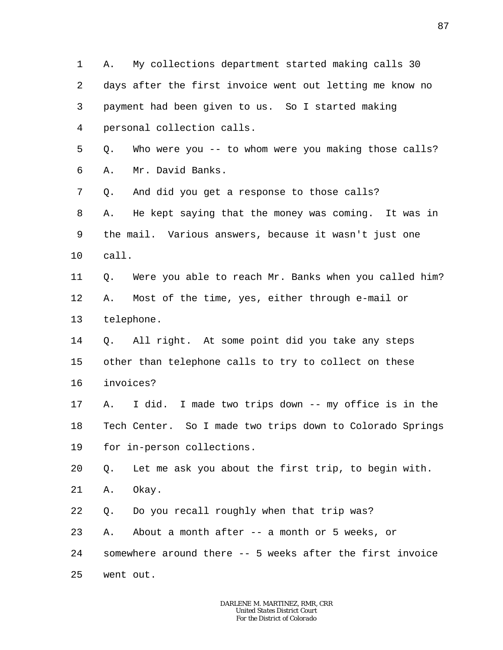1 2 3 4 5 A. My collections department started making calls 30 days after the first invoice went out letting me know no payment had been given to us. So I started making personal collection calls. Q. Who were you -- to whom were you making those calls?

6 A. Mr. David Banks.

7 8 9 10 Q. And did you get a response to those calls? A. He kept saying that the money was coming. It was in the mail. Various answers, because it wasn't just one call.

- 11 12 13 Q. Were you able to reach Mr. Banks when you called him? A. Most of the time, yes, either through e-mail or telephone.
- 14 15 16 Q. All right. At some point did you take any steps other than telephone calls to try to collect on these invoices?

17 18 19 A. I did. I made two trips down -- my office is in the Tech Center. So I made two trips down to Colorado Springs for in-person collections.

20 Q. Let me ask you about the first trip, to begin with.

21 A. Okay.

22 Q. Do you recall roughly when that trip was?

23 24 25 A. About a month after -- a month or 5 weeks, or somewhere around there -- 5 weeks after the first invoice went out.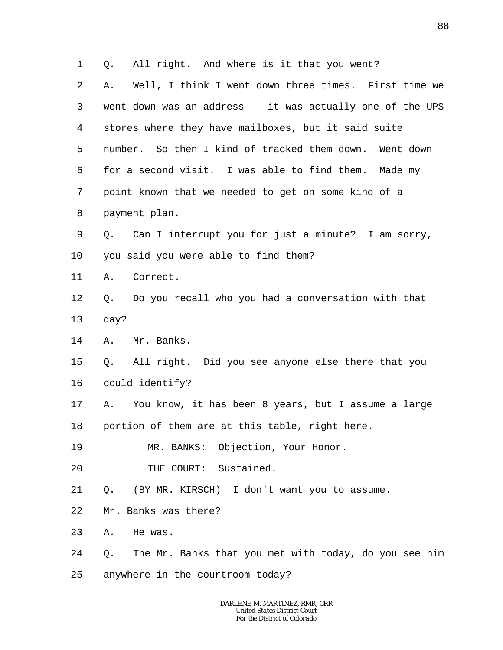1 2 3 4 5 6 7 8 9 10 11 12 13 14 15 16 17 18 19 20 21 22 23 24 25 Q. All right. And where is it that you went? A. Well, I think I went down three times. First time we went down was an address -- it was actually one of the UPS stores where they have mailboxes, but it said suite number. So then I kind of tracked them down. Went down for a second visit. I was able to find them. Made my point known that we needed to get on some kind of a payment plan. Q. Can I interrupt you for just a minute? I am sorry, you said you were able to find them? A. Correct. Q. Do you recall who you had a conversation with that day? A. Mr. Banks. Q. All right. Did you see anyone else there that you could identify? A. You know, it has been 8 years, but I assume a large portion of them are at this table, right here. MR. BANKS: Objection, Your Honor. THE COURT: Sustained. Q. (BY MR. KIRSCH) I don't want you to assume. Mr. Banks was there? A. He was. Q. The Mr. Banks that you met with today, do you see him anywhere in the courtroom today?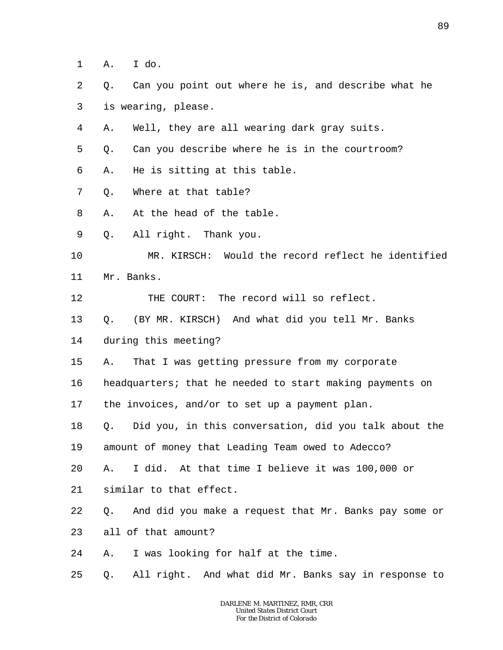- 1 A. I do.
- 2 3 Q. Can you point out where he is, and describe what he is wearing, please.
- 4 A. Well, they are all wearing dark gray suits.
- 5 Q. Can you describe where he is in the courtroom?
- 6 A. He is sitting at this table.
- 7 Q. Where at that table?
- 8 A. At the head of the table.
- 9 Q. All right. Thank you.
- 10 11 MR. KIRSCH: Would the record reflect he identified Mr. Banks.
- 12 THE COURT: The record will so reflect.
- 13 Q. (BY MR. KIRSCH) And what did you tell Mr. Banks
- 14 during this meeting?
- 15 A. That I was getting pressure from my corporate
- 16 headquarters; that he needed to start making payments on
- 17 the invoices, and/or to set up a payment plan.
- 18 Q. Did you, in this conversation, did you talk about the
- 19 amount of money that Leading Team owed to Adecco?
- 20 A. I did. At that time I believe it was 100,000 or
- 21 similar to that effect.
- 22 Q. And did you make a request that Mr. Banks pay some or
- 23 all of that amount?
- 24 A. I was looking for half at the time.
- 25 Q. All right. And what did Mr. Banks say in response to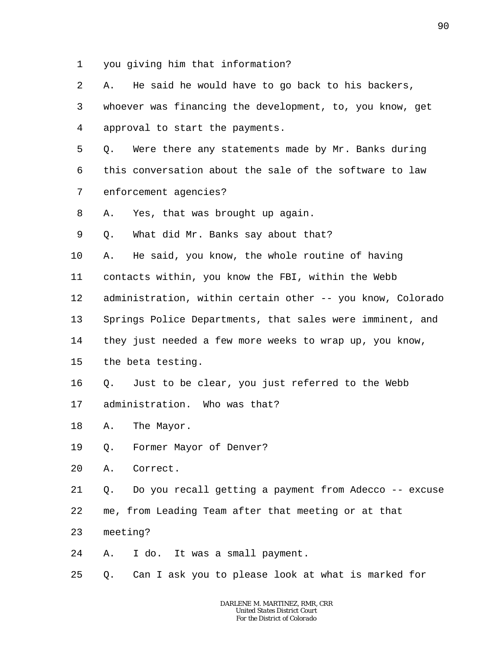- 1 you giving him that information?
- 2 3 4 5 6 7 8 9 10 11 12 13 14 15 16 17 18 19 20 21 22 23 A. He said he would have to go back to his backers, whoever was financing the development, to, you know, get approval to start the payments. Q. Were there any statements made by Mr. Banks during this conversation about the sale of the software to law enforcement agencies? A. Yes, that was brought up again. Q. What did Mr. Banks say about that? A. He said, you know, the whole routine of having contacts within, you know the FBI, within the Webb administration, within certain other -- you know, Colorado Springs Police Departments, that sales were imminent, and they just needed a few more weeks to wrap up, you know, the beta testing. Q. Just to be clear, you just referred to the Webb administration. Who was that? A. The Mayor. Q. Former Mayor of Denver? A. Correct. Q. Do you recall getting a payment from Adecco -- excuse me, from Leading Team after that meeting or at that meeting?
- 24 A. I do. It was a small payment.
- 25 Q. Can I ask you to please look at what is marked for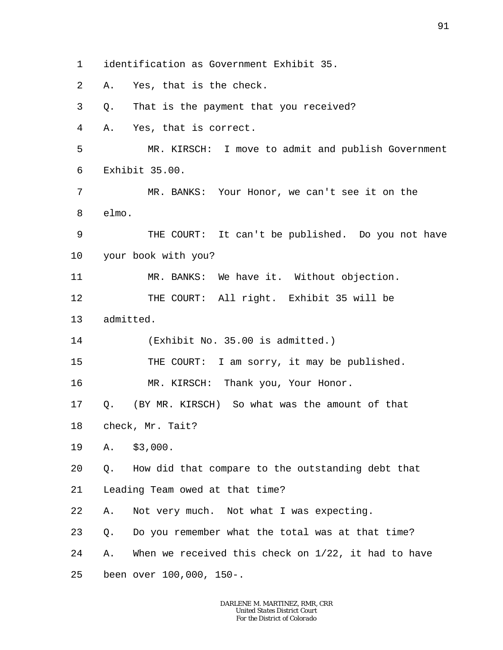1 identification as Government Exhibit 35.

2 A. Yes, that is the check.

3 Q. That is the payment that you received?

4 A. Yes, that is correct.

5 6 MR. KIRSCH: I move to admit and publish Government Exhibit 35.00.

7 8 MR. BANKS: Your Honor, we can't see it on the elmo.

9 10 THE COURT: It can't be published. Do you not have your book with you?

11 MR. BANKS: We have it. Without objection.

12 THE COURT: All right. Exhibit 35 will be

13 admitted.

14 (Exhibit No. 35.00 is admitted.)

15 THE COURT: I am sorry, it may be published.

16 MR. KIRSCH: Thank you, Your Honor.

17 18 Q. (BY MR. KIRSCH) So what was the amount of that

check, Mr. Tait?

19 A. \$3,000.

20 Q. How did that compare to the outstanding debt that

21 Leading Team owed at that time?

22 A. Not very much. Not what I was expecting.

23 24 25 Q. Do you remember what the total was at that time? A. When we received this check on 1/22, it had to have been over 100,000, 150-.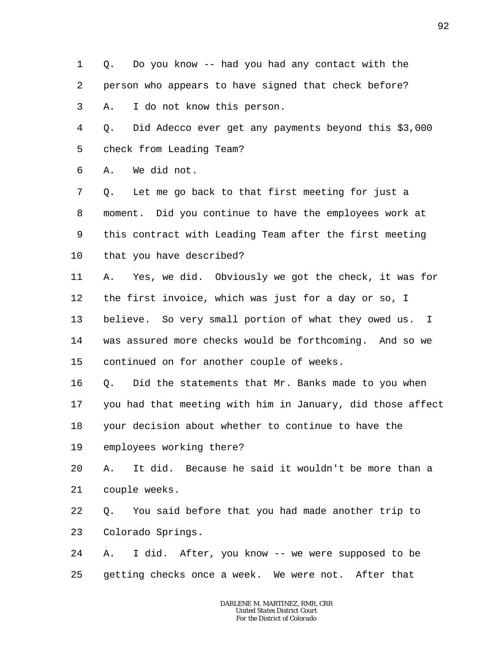1 2 3 Q. Do you know -- had you had any contact with the person who appears to have signed that check before? A. I do not know this person.

4 5 Q. Did Adecco ever get any payments beyond this \$3,000 check from Leading Team?

6 A. We did not.

7 8 9 10 Q. Let me go back to that first meeting for just a moment. Did you continue to have the employees work at this contract with Leading Team after the first meeting that you have described?

11 12 13 14 15 A. Yes, we did. Obviously we got the check, it was for the first invoice, which was just for a day or so, I believe. So very small portion of what they owed us. I was assured more checks would be forthcoming. And so we continued on for another couple of weeks.

16 17 18 Q. Did the statements that Mr. Banks made to you when you had that meeting with him in January, did those affect your decision about whether to continue to have the

19 employees working there?

20 21 A. It did. Because he said it wouldn't be more than a couple weeks.

22 23 Q. You said before that you had made another trip to Colorado Springs.

24 25 A. I did. After, you know -- we were supposed to be getting checks once a week. We were not. After that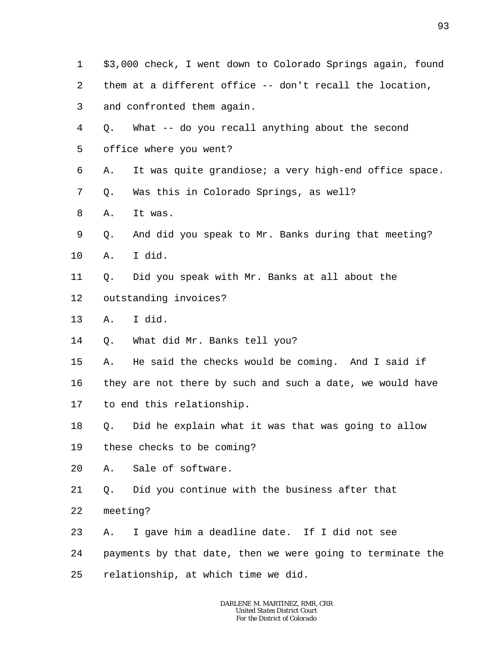- 1 2 3 4 5 6 7 8 9 10 11 12 13 14 15 16 17 18 19 20 21 22 23 \$3,000 check, I went down to Colorado Springs again, found them at a different office -- don't recall the location, and confronted them again. Q. What -- do you recall anything about the second office where you went? A. It was quite grandiose; a very high-end office space. Q. Was this in Colorado Springs, as well? A. It was. Q. And did you speak to Mr. Banks during that meeting? A. I did. Q. Did you speak with Mr. Banks at all about the outstanding invoices? A. I did. Q. What did Mr. Banks tell you? A. He said the checks would be coming. And I said if they are not there by such and such a date, we would have to end this relationship. Q. Did he explain what it was that was going to allow these checks to be coming? A. Sale of software. Q. Did you continue with the business after that meeting? A. I gave him a deadline date. If I did not see
- 24 payments by that date, then we were going to terminate the
- 25 relationship, at which time we did.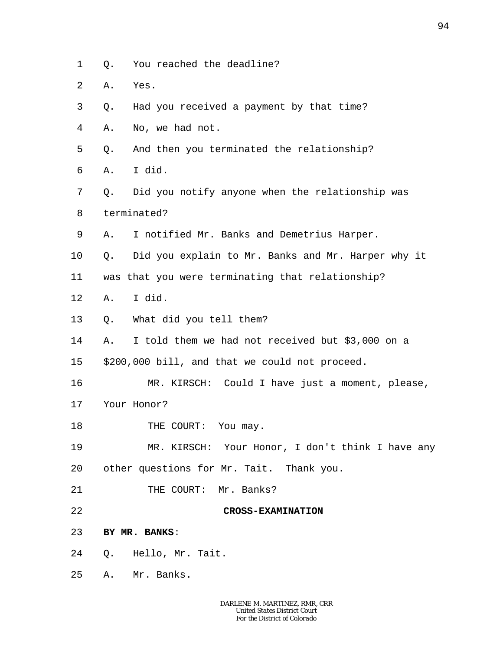- 1 Q. You reached the deadline?
- 2 A. Yes.
- 3 Q. Had you received a payment by that time?
- 4 A. No, we had not.
- 5 Q. And then you terminated the relationship?
- 6 A. I did.
- 7 8 Q. Did you notify anyone when the relationship was terminated?
- 9 A. I notified Mr. Banks and Demetrius Harper.
- 10 Q. Did you explain to Mr. Banks and Mr. Harper why it
- 11 was that you were terminating that relationship?
- 12 A. I did.
- 13 Q. What did you tell them?
- 14 A. I told them we had not received but \$3,000 on a
- 15 \$200,000 bill, and that we could not proceed.
- 16 17 MR. KIRSCH: Could I have just a moment, please, Your Honor?
- 18 THE COURT: You may.
- 19 20 MR. KIRSCH: Your Honor, I don't think I have any other questions for Mr. Tait. Thank you.
- 21 THE COURT: Mr. Banks?
- 22

**CROSS-EXAMINATION**

- 23 **BY MR. BANKS**:
- 24 Q. Hello, Mr. Tait.
- 25 A. Mr. Banks.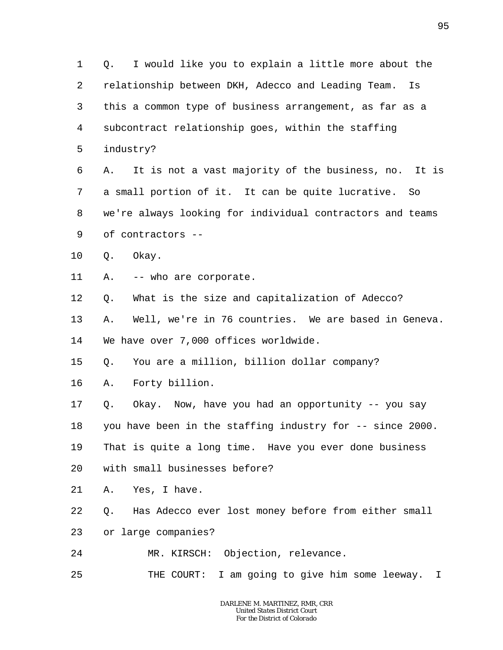1 2 3 4 5 6 7 8 9 10 11 12 13 14 15 16 17 18 19 20 21 22 23 24 25 Q. I would like you to explain a little more about the relationship between DKH, Adecco and Leading Team. Is this a common type of business arrangement, as far as a subcontract relationship goes, within the staffing industry? A. It is not a vast majority of the business, no. It is a small portion of it. It can be quite lucrative. So we're always looking for individual contractors and teams of contractors -- Q. Okay. A. -- who are corporate. Q. What is the size and capitalization of Adecco? A. Well, we're in 76 countries. We are based in Geneva. We have over 7,000 offices worldwide. Q. You are a million, billion dollar company? A. Forty billion. Q. Okay. Now, have you had an opportunity -- you say you have been in the staffing industry for -- since 2000. That is quite a long time. Have you ever done business with small businesses before? A. Yes, I have. Q. Has Adecco ever lost money before from either small or large companies? MR. KIRSCH: Objection, relevance. THE COURT: I am going to give him some leeway. I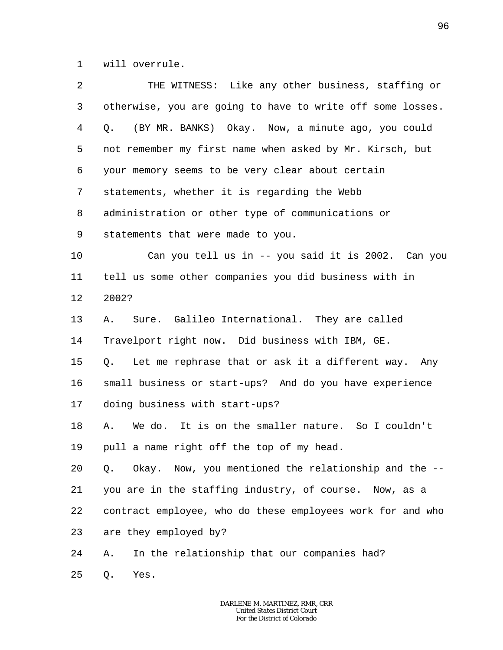1 will overrule.

| $\overline{a}$ | THE WITNESS: Like any other business, staffing or          |
|----------------|------------------------------------------------------------|
| 3              | otherwise, you are going to have to write off some losses. |
| 4              | Q. (BY MR. BANKS) Okay. Now, a minute ago, you could       |
| 5              | not remember my first name when asked by Mr. Kirsch, but   |
| 6              | your memory seems to be very clear about certain           |
| 7              | statements, whether it is regarding the Webb               |
| 8              | administration or other type of communications or          |
| 9              | statements that were made to you.                          |
| 10             | Can you tell us in -- you said it is 2002. Can you         |
| 11             | tell us some other companies you did business with in      |
| 12             | 2002?                                                      |
| 13             | Sure. Galileo International. They are called<br>Α.         |
| 14             | Travelport right now. Did business with IBM, GE.           |
| 15             | Let me rephrase that or ask it a different way. Any<br>Q.  |
| 16             | small business or start-ups? And do you have experience    |
| 17             | doing business with start-ups?                             |
| 18             | We do. It is on the smaller nature. So I couldn't<br>Α.    |
| 19             | pull a name right off the top of my head.                  |
| 20             | Okay. Now, you mentioned the relationship and the --<br>Q. |
| 21             | you are in the staffing industry, of course. Now, as a     |
| 22             | contract employee, who do these employees work for and who |
| 23             | are they employed by?                                      |
| 24             | In the relationship that our companies had?<br>Α.          |
| 25             | Yes.<br>Q.                                                 |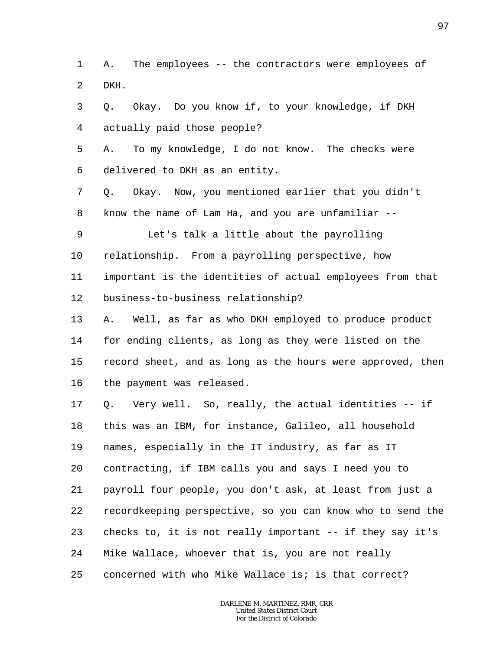1  $\overline{a}$ A. The employees -- the contractors were employees of DKH.

3 4 5 6 7 8 9 10 11 12 13 14 15 16 17 18 19 20 21 Q. Okay. Do you know if, to your knowledge, if DKH actually paid those people? A. To my knowledge, I do not know. The checks were delivered to DKH as an entity. Q. Okay. Now, you mentioned earlier that you didn't know the name of Lam Ha, and you are unfamiliar -- Let's talk a little about the payrolling relationship. From a payrolling perspective, how important is the identities of actual employees from that business-to-business relationship? A. Well, as far as who DKH employed to produce product for ending clients, as long as they were listed on the record sheet, and as long as the hours were approved, then the payment was released. Q. Very well. So, really, the actual identities -- if this was an IBM, for instance, Galileo, all household names, especially in the IT industry, as far as IT contracting, if IBM calls you and says I need you to payroll four people, you don't ask, at least from just a

22 23 24 recordkeeping perspective, so you can know who to send the checks to, it is not really important -- if they say it's Mike Wallace, whoever that is, you are not really

25 concerned with who Mike Wallace is; is that correct?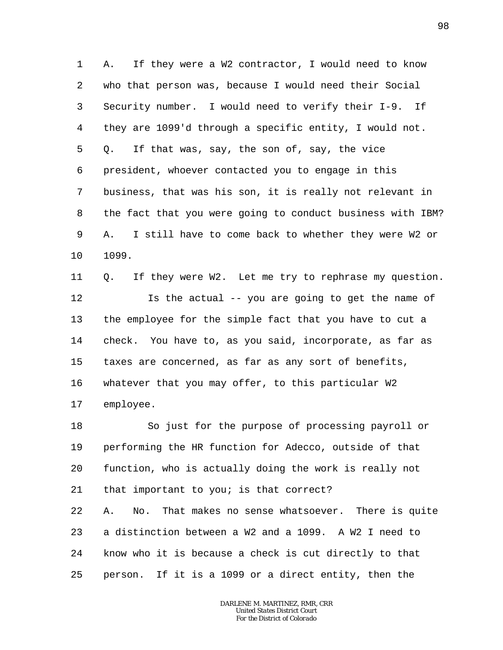1 2 3 4 5 6 7 8 9 10 A. If they were a W2 contractor, I would need to know who that person was, because I would need their Social Security number. I would need to verify their I-9. If they are 1099'd through a specific entity, I would not. Q. If that was, say, the son of, say, the vice president, whoever contacted you to engage in this business, that was his son, it is really not relevant in the fact that you were going to conduct business with IBM? A. I still have to come back to whether they were W2 or 1099.

11 12 13 14 15 16 17 Q. If they were W2. Let me try to rephrase my question. Is the actual -- you are going to get the name of the employee for the simple fact that you have to cut a check. You have to, as you said, incorporate, as far as taxes are concerned, as far as any sort of benefits, whatever that you may offer, to this particular W2 employee.

18 19 20 21 22 23 24 25 So just for the purpose of processing payroll or performing the HR function for Adecco, outside of that function, who is actually doing the work is really not that important to you; is that correct? A. No. That makes no sense whatsoever. There is quite a distinction between a W2 and a 1099. A W2 I need to know who it is because a check is cut directly to that person. If it is a 1099 or a direct entity, then the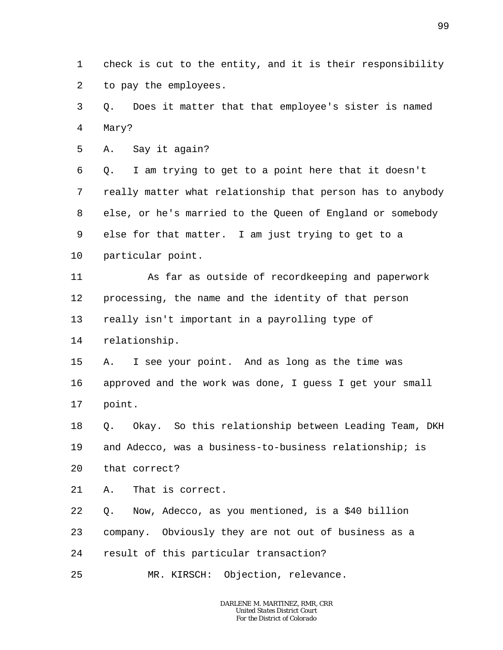1 2 check is cut to the entity, and it is their responsibility to pay the employees.

3 4 Q. Does it matter that that employee's sister is named Mary?

5 A. Say it again?

6 7 8 9 10 Q. I am trying to get to a point here that it doesn't really matter what relationship that person has to anybody else, or he's married to the Queen of England or somebody else for that matter. I am just trying to get to a particular point.

11 12 13 14 As far as outside of recordkeeping and paperwork processing, the name and the identity of that person really isn't important in a payrolling type of relationship.

15 16 17 A. I see your point. And as long as the time was approved and the work was done, I guess I get your small point.

18 19 20 Q. Okay. So this relationship between Leading Team, DKH and Adecco, was a business-to-business relationship; is that correct?

21 A. That is correct.

22 Q. Now, Adecco, as you mentioned, is a \$40 billion

23 company. Obviously they are not out of business as a

24 result of this particular transaction?

25 MR. KIRSCH: Objection, relevance.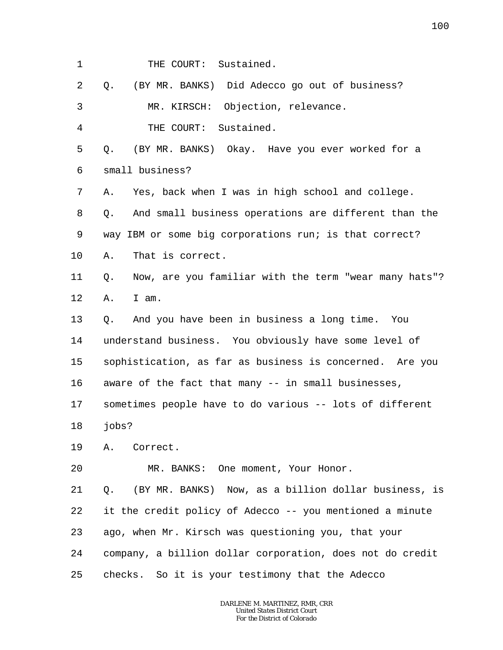1 THE COURT: Sustained.

2 Q. (BY MR. BANKS) Did Adecco go out of business?

3 MR. KIRSCH: Objection, relevance.

4 THE COURT: Sustained.

5 6 Q. (BY MR. BANKS) Okay. Have you ever worked for a small business?

7 A. Yes, back when I was in high school and college.

8 9 10 Q. And small business operations are different than the way IBM or some big corporations run; is that correct? A. That is correct.

11 12 Q. Now, are you familiar with the term "wear many hats"? A. I am.

13 14 15 16 Q. And you have been in business a long time. You understand business. You obviously have some level of sophistication, as far as business is concerned. Are you aware of the fact that many -- in small businesses,

17 sometimes people have to do various -- lots of different

- 18 jobs?
- 19 A. Correct.

20 MR. BANKS: One moment, Your Honor.

21 22 23 24 25 Q. (BY MR. BANKS) Now, as a billion dollar business, is it the credit policy of Adecco -- you mentioned a minute ago, when Mr. Kirsch was questioning you, that your company, a billion dollar corporation, does not do credit checks. So it is your testimony that the Adecco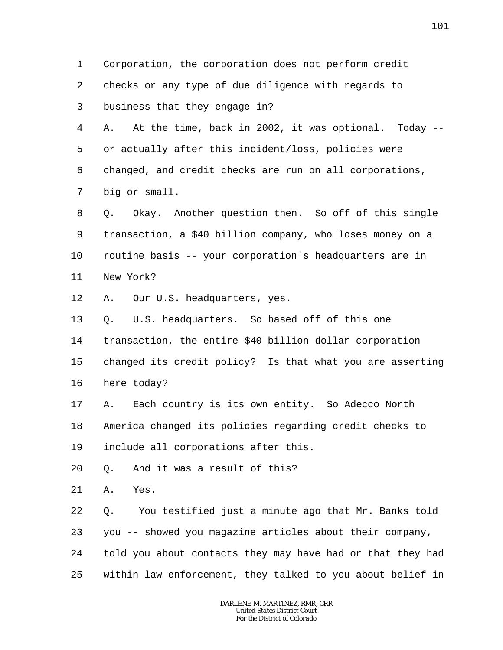1 2 3 4 5 6 7 8 9 10 11 12 13 14 15 16 17 18 19 20 21 22 23 24 25 Corporation, the corporation does not perform credit checks or any type of due diligence with regards to business that they engage in? A. At the time, back in 2002, it was optional. Today - or actually after this incident/loss, policies were changed, and credit checks are run on all corporations, big or small. Q. Okay. Another question then. So off of this single transaction, a \$40 billion company, who loses money on a routine basis -- your corporation's headquarters are in New York? A. Our U.S. headquarters, yes. Q. U.S. headquarters. So based off of this one transaction, the entire \$40 billion dollar corporation changed its credit policy? Is that what you are asserting here today? A. Each country is its own entity. So Adecco North America changed its policies regarding credit checks to include all corporations after this. Q. And it was a result of this? A. Yes. Q. You testified just a minute ago that Mr. Banks told you -- showed you magazine articles about their company, told you about contacts they may have had or that they had within law enforcement, they talked to you about belief in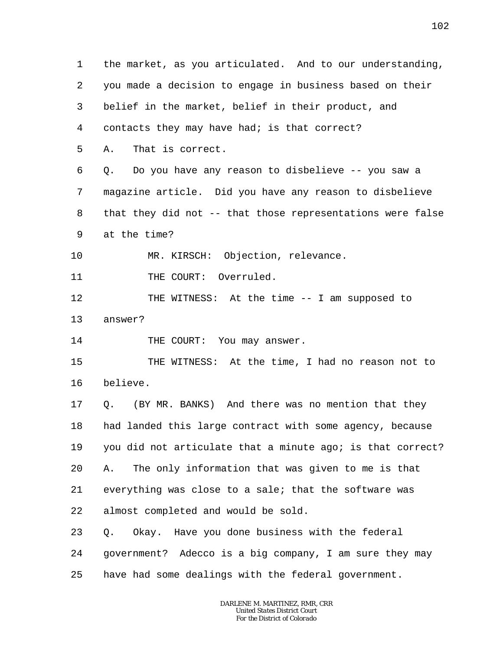1 2 3 4 5 6 7 8 9 10 11 12 13 14 15 16 17 18 19 20 21 22 23 24 25 the market, as you articulated. And to our understanding, you made a decision to engage in business based on their belief in the market, belief in their product, and contacts they may have had; is that correct? A. That is correct. Q. Do you have any reason to disbelieve -- you saw a magazine article. Did you have any reason to disbelieve that they did not -- that those representations were false at the time? MR. KIRSCH: Objection, relevance. THE COURT: Overruled. THE WITNESS: At the time -- I am supposed to answer? THE COURT: You may answer. THE WITNESS: At the time, I had no reason not to believe. Q. (BY MR. BANKS) And there was no mention that they had landed this large contract with some agency, because you did not articulate that a minute ago; is that correct? A. The only information that was given to me is that everything was close to a sale; that the software was almost completed and would be sold. Q. Okay. Have you done business with the federal government? Adecco is a big company, I am sure they may have had some dealings with the federal government.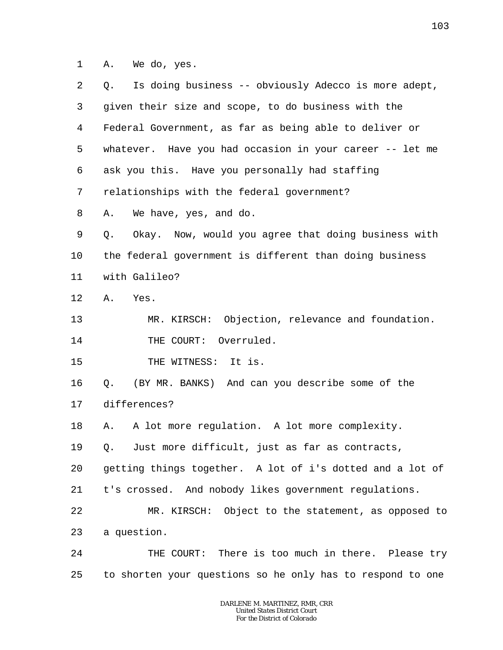1 A. We do, yes.

| 2       | Is doing business -- obviously Adecco is more adept,<br>Q. |
|---------|------------------------------------------------------------|
| 3       | given their size and scope, to do business with the        |
| 4       | Federal Government, as far as being able to deliver or     |
| 5       | whatever. Have you had occasion in your career -- let me   |
| 6       | ask you this. Have you personally had staffing             |
| 7       | relationships with the federal government?                 |
| 8       | We have, yes, and do.<br>Α.                                |
| 9       | Okay. Now, would you agree that doing business with<br>Q.  |
| $10 \,$ | the federal government is different than doing business    |
| 11      | with Galileo?                                              |
| 12      | Yes.<br>Α.                                                 |
| 13      | MR. KIRSCH: Objection, relevance and foundation.           |
| 14      | THE COURT: Overruled.                                      |
| 15      | THE WITNESS: It is.                                        |
| 16      | (BY MR. BANKS) And can you describe some of the<br>Q.      |
| 17      | differences?                                               |
| 18      | A lot more regulation. A lot more complexity.<br>Α.        |
| 19      | Q. Just more difficult, just as far as contracts,          |
| 20      | getting things together. A lot of i's dotted and a lot of  |
| 21      | t's crossed. And nobody likes government regulations.      |
| 22      | MR. KIRSCH: Object to the statement, as opposed to         |
| 23      | a question.                                                |
| 24      | THE COURT: There is too much in there. Please try          |
| 25      | to shorten your questions so he only has to respond to one |
|         |                                                            |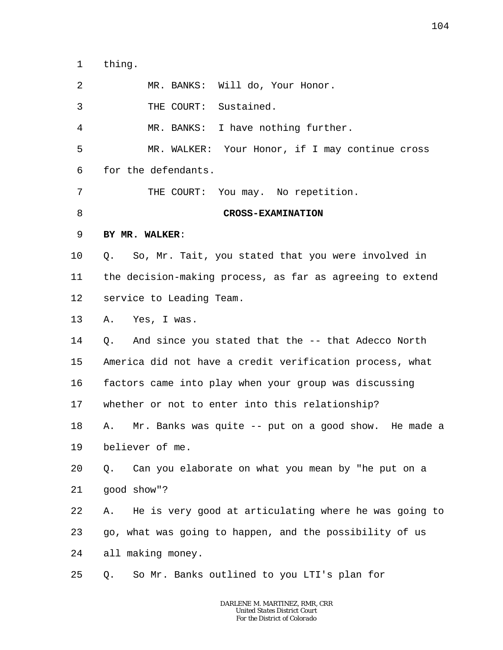1 thing.

| $\overline{2}$ | MR. BANKS: Will do, Your Honor.                             |
|----------------|-------------------------------------------------------------|
| 3              | THE COURT: Sustained.                                       |
| 4              | MR. BANKS: I have nothing further.                          |
| 5              | MR. WALKER: Your Honor, if I may continue cross             |
| 6              | for the defendants.                                         |
| 7              | THE COURT: You may. No repetition.                          |
| 8              | <b>CROSS-EXAMINATION</b>                                    |
| 9              | BY MR. WALKER:                                              |
| $10 \,$        | Q. So, Mr. Tait, you stated that you were involved in       |
| 11             | the decision-making process, as far as agreeing to extend   |
| 12             | service to Leading Team.                                    |
| 13             | A. Yes, I was.                                              |
| 14             | Q. And since you stated that the -- that Adecco North       |
| 15             | America did not have a credit verification process, what    |
| 16             | factors came into play when your group was discussing       |
| 17             | whether or not to enter into this relationship?             |
| 18             | Mr. Banks was quite -- put on a good show. He made a<br>Α.  |
| 19             | believer of me.                                             |
| 20             | Can you elaborate on what you mean by "he put on a<br>Q.    |
| 21             | good show"?                                                 |
| 22             | He is very good at articulating where he was going to<br>Α. |
| 23             | go, what was going to happen, and the possibility of us     |
| 24             | all making money.                                           |
| 25             | So Mr. Banks outlined to you LTI's plan for<br>Q.           |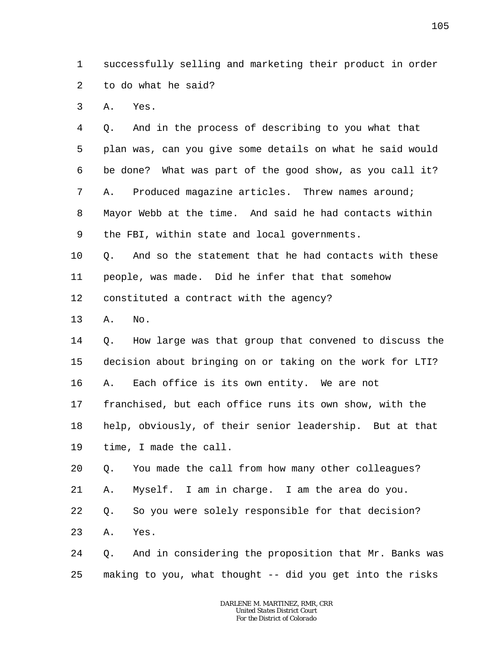1 2 successfully selling and marketing their product in order to do what he said?

3 A. Yes.

4 5 6 7 8 9 Q. And in the process of describing to you what that plan was, can you give some details on what he said would be done? What was part of the good show, as you call it? A. Produced magazine articles. Threw names around; Mayor Webb at the time. And said he had contacts within the FBI, within state and local governments.

10 11 Q. And so the statement that he had contacts with these people, was made. Did he infer that that somehow

12 constituted a contract with the agency?

13 A. No.

14 15 16 Q. How large was that group that convened to discuss the decision about bringing on or taking on the work for LTI? A. Each office is its own entity. We are not

17 franchised, but each office runs its own show, with the

18 19 help, obviously, of their senior leadership. But at that time, I made the call.

20 Q. You made the call from how many other colleagues?

21 A. Myself. I am in charge. I am the area do you.

22 Q. So you were solely responsible for that decision?

23 A. Yes.

24 25 Q. And in considering the proposition that Mr. Banks was making to you, what thought -- did you get into the risks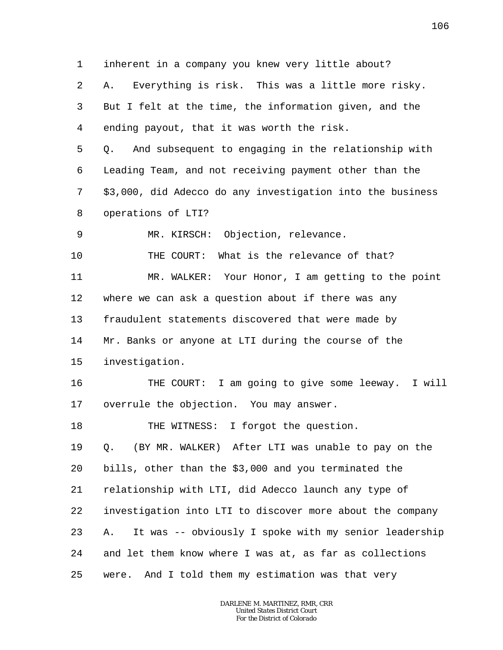1 2 3 4 5 6 7 8 9 10 11 12 13 14 15 16 17 18 19 20 21 22 23 24 25 inherent in a company you knew very little about? A. Everything is risk. This was a little more risky. But I felt at the time, the information given, and the ending payout, that it was worth the risk. Q. And subsequent to engaging in the relationship with Leading Team, and not receiving payment other than the \$3,000, did Adecco do any investigation into the business operations of LTI? MR. KIRSCH: Objection, relevance. THE COURT: What is the relevance of that? MR. WALKER: Your Honor, I am getting to the point where we can ask a question about if there was any fraudulent statements discovered that were made by Mr. Banks or anyone at LTI during the course of the investigation. THE COURT: I am going to give some leeway. I will overrule the objection. You may answer. THE WITNESS: I forgot the question. Q. (BY MR. WALKER) After LTI was unable to pay on the bills, other than the \$3,000 and you terminated the relationship with LTI, did Adecco launch any type of investigation into LTI to discover more about the company A. It was -- obviously I spoke with my senior leadership and let them know where I was at, as far as collections were. And I told them my estimation was that very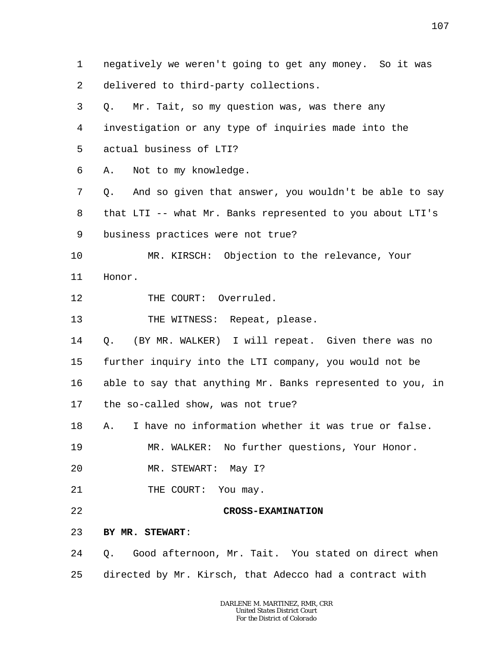1 2 3 4 5 6 7 8 9 10 11 12 13 14 15 16 17 18 19 20 21 22 23 24 25 negatively we weren't going to get any money. So it was delivered to third-party collections. Q. Mr. Tait, so my question was, was there any investigation or any type of inquiries made into the actual business of LTI? A. Not to my knowledge. Q. And so given that answer, you wouldn't be able to say that LTI -- what Mr. Banks represented to you about LTI's business practices were not true? MR. KIRSCH: Objection to the relevance, Your Honor. THE COURT: Overruled. THE WITNESS: Repeat, please. Q. (BY MR. WALKER) I will repeat. Given there was no further inquiry into the LTI company, you would not be able to say that anything Mr. Banks represented to you, in the so-called show, was not true? A. I have no information whether it was true or false. MR. WALKER: No further questions, Your Honor. MR. STEWART: May I? THE COURT: You may. **CROSS-EXAMINATION BY MR. STEWART**: Q. Good afternoon, Mr. Tait. You stated on direct when directed by Mr. Kirsch, that Adecco had a contract with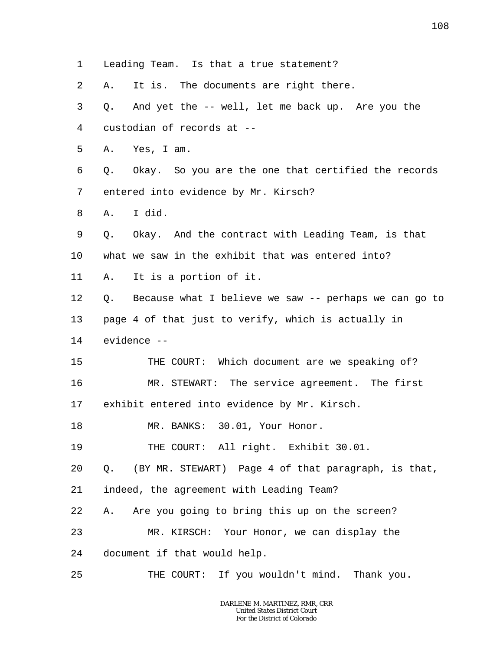1 Leading Team. Is that a true statement?

2 A. It is. The documents are right there.

3 4 5 6 7 8 9 10 11 12 13 14 15 16 17 18 19 20 21 22 23 24 25 Q. And yet the -- well, let me back up. Are you the custodian of records at -- A. Yes, I am. Q. Okay. So you are the one that certified the records entered into evidence by Mr. Kirsch? A. I did. Q. Okay. And the contract with Leading Team, is that what we saw in the exhibit that was entered into? A. It is a portion of it. Q. Because what I believe we saw -- perhaps we can go to page 4 of that just to verify, which is actually in evidence -- THE COURT: Which document are we speaking of? MR. STEWART: The service agreement. The first exhibit entered into evidence by Mr. Kirsch. MR. BANKS: 30.01, Your Honor. THE COURT: All right. Exhibit 30.01. Q. (BY MR. STEWART) Page 4 of that paragraph, is that, indeed, the agreement with Leading Team? A. Are you going to bring this up on the screen? MR. KIRSCH: Your Honor, we can display the document if that would help. THE COURT: If you wouldn't mind. Thank you.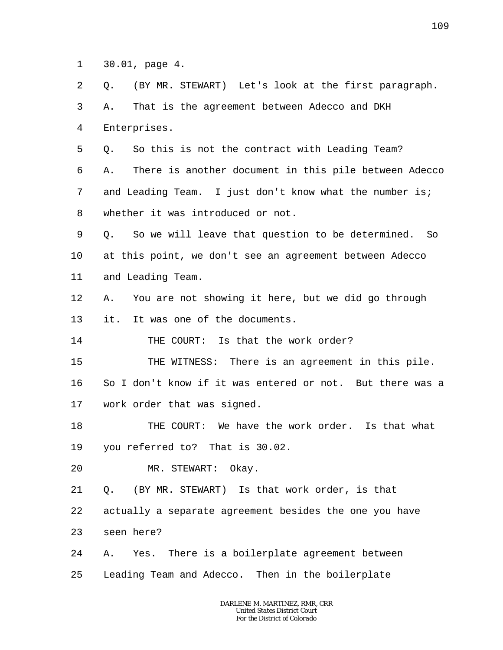1 30.01, page 4.

2 3 4 5 6 7 8 9 10 11 12 13 14 15 16 17 18 19 20 Q. (BY MR. STEWART) Let's look at the first paragraph. A. That is the agreement between Adecco and DKH Enterprises. Q. So this is not the contract with Leading Team? A. There is another document in this pile between Adecco and Leading Team. I just don't know what the number is; whether it was introduced or not. Q. So we will leave that question to be determined. So at this point, we don't see an agreement between Adecco and Leading Team. A. You are not showing it here, but we did go through it. It was one of the documents. THE COURT: Is that the work order? THE WITNESS: There is an agreement in this pile. So I don't know if it was entered or not. But there was a work order that was signed. THE COURT: We have the work order. Is that what you referred to? That is 30.02. MR. STEWART: Okay.

21 22 23 Q. (BY MR. STEWART) Is that work order, is that actually a separate agreement besides the one you have seen here?

24 25 A. Yes. There is a boilerplate agreement between Leading Team and Adecco. Then in the boilerplate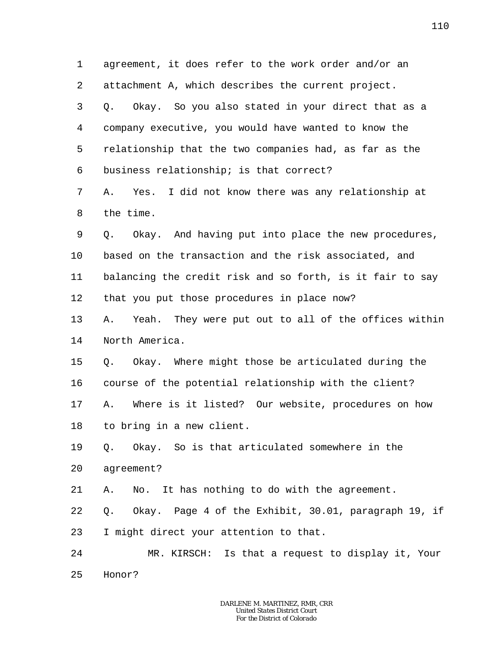1 2 3 4 5 6 7 8 9 10 11 12 13 14 15 16 17 18 19 20 21 22 23 24 25 agreement, it does refer to the work order and/or an attachment A, which describes the current project. Q. Okay. So you also stated in your direct that as a company executive, you would have wanted to know the relationship that the two companies had, as far as the business relationship; is that correct? A. Yes. I did not know there was any relationship at the time. Q. Okay. And having put into place the new procedures, based on the transaction and the risk associated, and balancing the credit risk and so forth, is it fair to say that you put those procedures in place now? A. Yeah. They were put out to all of the offices within North America. Q. Okay. Where might those be articulated during the course of the potential relationship with the client? A. Where is it listed? Our website, procedures on how to bring in a new client. Q. Okay. So is that articulated somewhere in the agreement? A. No. It has nothing to do with the agreement. Q. Okay. Page 4 of the Exhibit, 30.01, paragraph 19, if I might direct your attention to that. MR. KIRSCH: Is that a request to display it, Your Honor?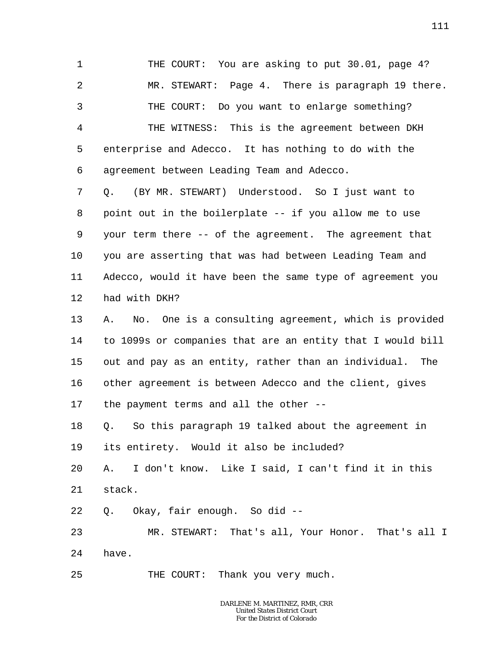1 2 3 4 5 6 7 8 9 10 THE COURT: You are asking to put 30.01, page 4? MR. STEWART: Page 4. There is paragraph 19 there. THE COURT: Do you want to enlarge something? THE WITNESS: This is the agreement between DKH enterprise and Adecco. It has nothing to do with the agreement between Leading Team and Adecco. Q. (BY MR. STEWART) Understood. So I just want to point out in the boilerplate -- if you allow me to use your term there -- of the agreement. The agreement that you are asserting that was had between Leading Team and

11 12 Adecco, would it have been the same type of agreement you had with DKH?

13 14 15 16 17 A. No. One is a consulting agreement, which is provided to 1099s or companies that are an entity that I would bill out and pay as an entity, rather than an individual. The other agreement is between Adecco and the client, gives the payment terms and all the other --

18 19 Q. So this paragraph 19 talked about the agreement in its entirety. Would it also be included?

20 21 A. I don't know. Like I said, I can't find it in this stack.

22 Q. Okay, fair enough. So did --

23 24 MR. STEWART: That's all, Your Honor. That's all I have.

25 THE COURT: Thank you very much.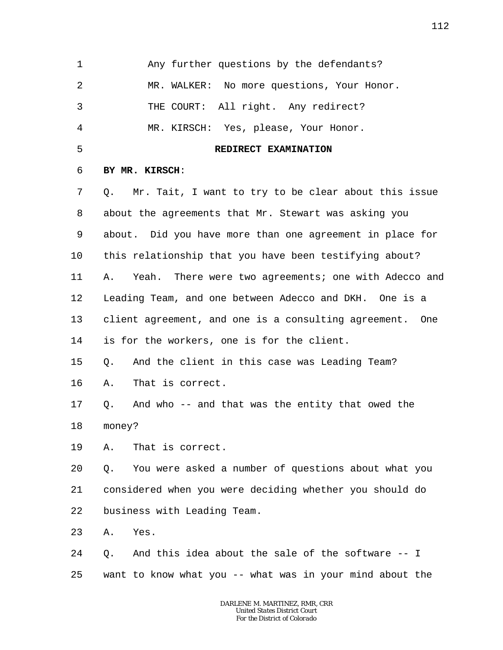1 2 3 4 5 6 7 8 9 10 11 12 13 14 15 16 17 18 19 20 21 22 23 24 25 Any further questions by the defendants? MR. WALKER: No more questions, Your Honor. THE COURT: All right. Any redirect? MR. KIRSCH: Yes, please, Your Honor. **REDIRECT EXAMINATION BY MR. KIRSCH**: Q. Mr. Tait, I want to try to be clear about this issue about the agreements that Mr. Stewart was asking you about. Did you have more than one agreement in place for this relationship that you have been testifying about? A. Yeah. There were two agreements; one with Adecco and Leading Team, and one between Adecco and DKH. One is a client agreement, and one is a consulting agreement. One is for the workers, one is for the client. Q. And the client in this case was Leading Team? A. That is correct. Q. And who -- and that was the entity that owed the money? A. That is correct. Q. You were asked a number of questions about what you considered when you were deciding whether you should do business with Leading Team. A. Yes. Q. And this idea about the sale of the software -- I want to know what you -- what was in your mind about the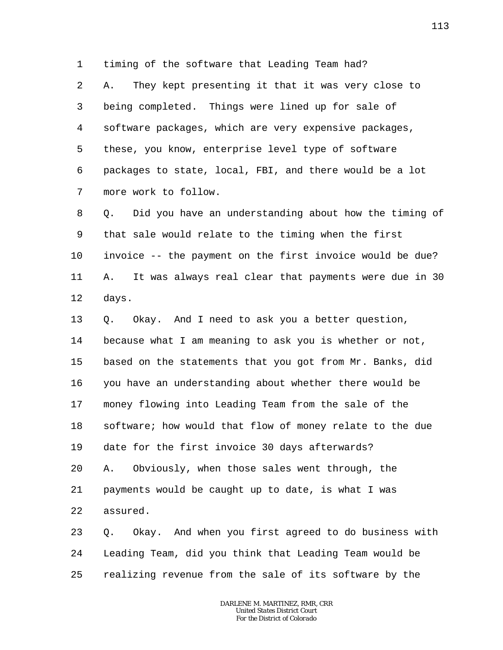1 timing of the software that Leading Team had?

2 3 4 5 6 7 A. They kept presenting it that it was very close to being completed. Things were lined up for sale of software packages, which are very expensive packages, these, you know, enterprise level type of software packages to state, local, FBI, and there would be a lot more work to follow.

8 9 10 11 12 Q. Did you have an understanding about how the timing of that sale would relate to the timing when the first invoice -- the payment on the first invoice would be due? A. It was always real clear that payments were due in 30 days.

13 14 15 16 17 18 19 20 21 22 Q. Okay. And I need to ask you a better question, because what I am meaning to ask you is whether or not, based on the statements that you got from Mr. Banks, did you have an understanding about whether there would be money flowing into Leading Team from the sale of the software; how would that flow of money relate to the due date for the first invoice 30 days afterwards? A. Obviously, when those sales went through, the payments would be caught up to date, is what I was assured.

23 24 25 Q. Okay. And when you first agreed to do business with Leading Team, did you think that Leading Team would be realizing revenue from the sale of its software by the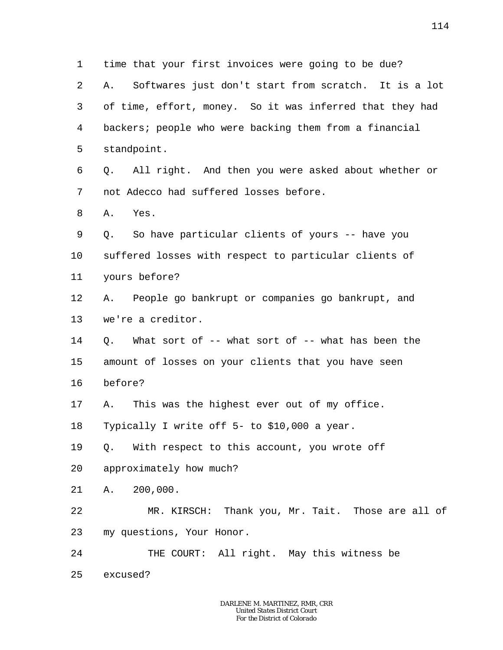1 2 3 4 5 6 7 8 9 10 11 12 13 14 15 16 17 18 19 20 21 22 23 24 25 time that your first invoices were going to be due? A. Softwares just don't start from scratch. It is a lot of time, effort, money. So it was inferred that they had backers; people who were backing them from a financial standpoint. Q. All right. And then you were asked about whether or not Adecco had suffered losses before. A. Yes. Q. So have particular clients of yours -- have you suffered losses with respect to particular clients of yours before? A. People go bankrupt or companies go bankrupt, and we're a creditor. Q. What sort of -- what sort of -- what has been the amount of losses on your clients that you have seen before? A. This was the highest ever out of my office. Typically I write off 5- to \$10,000 a year. Q. With respect to this account, you wrote off approximately how much? A. 200,000. MR. KIRSCH: Thank you, Mr. Tait. Those are all of my questions, Your Honor. THE COURT: All right. May this witness be excused?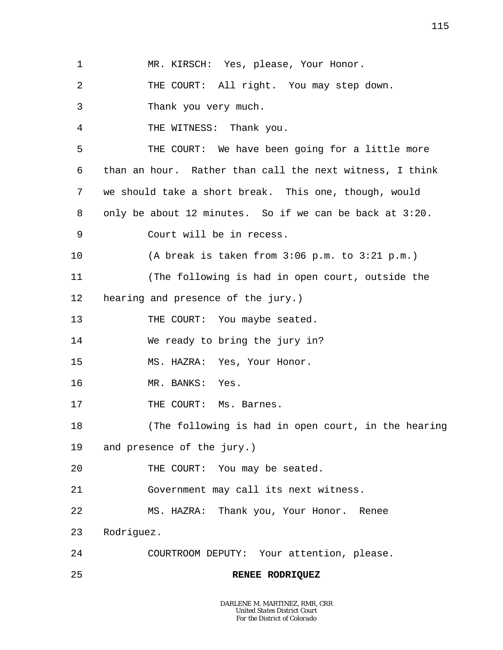2 3 4 5 6 7 8 9 10 11 12 13 14 15 16 17 18 19 20 21 22 23 24 THE COURT: All right. You may step down. Thank you very much. THE WITNESS: Thank you. THE COURT: We have been going for a little more than an hour. Rather than call the next witness, I think we should take a short break. This one, though, would only be about 12 minutes. So if we can be back at 3:20. Court will be in recess. (A break is taken from 3:06 p.m. to 3:21 p.m.) (The following is had in open court, outside the hearing and presence of the jury.) THE COURT: You maybe seated. We ready to bring the jury in? MS. HAZRA: Yes, Your Honor. MR. BANKS: Yes. THE COURT: Ms. Barnes. (The following is had in open court, in the hearing and presence of the jury.) THE COURT: You may be seated. Government may call its next witness. MS. HAZRA: Thank you, Your Honor. Renee Rodriguez. COURTROOM DEPUTY: Your attention, please.

MR. KIRSCH: Yes, please, Your Honor.

25 **RENEE RODRIQUEZ**

1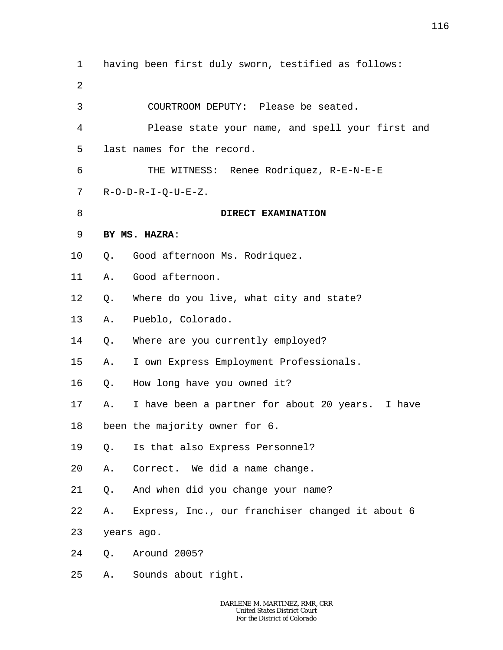1 2 3 4 5 6 7 8 9 10 11 12 13 14 15 16 17 18 19 20 21 22 23 24 25 having been first duly sworn, testified as follows: COURTROOM DEPUTY: Please be seated. Please state your name, and spell your first and last names for the record. THE WITNESS: Renee Rodriquez, R-E-N-E-E R-O-D-R-I-Q-U-E-Z. **DIRECT EXAMINATION BY MS. HAZRA**: Q. Good afternoon Ms. Rodriquez. A. Good afternoon. Q. Where do you live, what city and state? A. Pueblo, Colorado. Q. Where are you currently employed? A. I own Express Employment Professionals. Q. How long have you owned it? A. I have been a partner for about 20 years. I have been the majority owner for 6. Q. Is that also Express Personnel? A. Correct. We did a name change. Q. And when did you change your name? A. Express, Inc., our franchiser changed it about 6 years ago. Q. Around 2005? A. Sounds about right.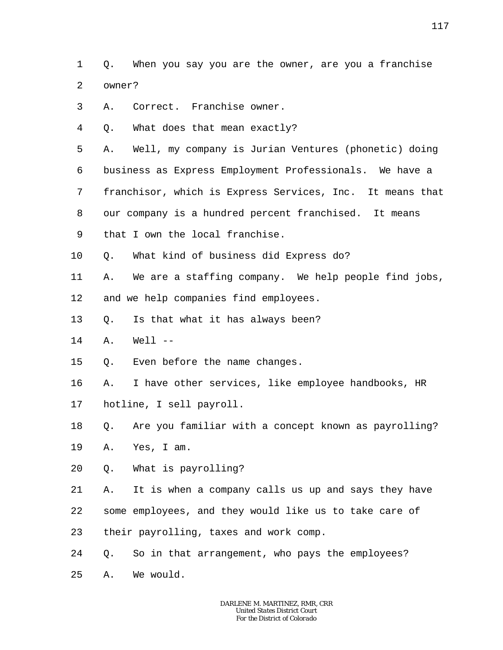1  $\overline{a}$ Q. When you say you are the owner, are you a franchise owner?

- 3 A. Correct. Franchise owner.
- 4 Q. What does that mean exactly?

5 A. Well, my company is Jurian Ventures (phonetic) doing

6 business as Express Employment Professionals. We have a

7 franchisor, which is Express Services, Inc. It means that

8 our company is a hundred percent franchised. It means

- 9 that I own the local franchise.
- 10 Q. What kind of business did Express do?
- 11 12 A. We are a staffing company. We help people find jobs, and we help companies find employees.
- 13 Q. Is that what it has always been?
- 14 A. Well --

15 Q. Even before the name changes.

16 17 A. I have other services, like employee handbooks, HR hotline, I sell payroll.

18 Q. Are you familiar with a concept known as payrolling?

19 A. Yes, I am.

20 Q. What is payrolling?

21 22 23 A. It is when a company calls us up and says they have some employees, and they would like us to take care of their payrolling, taxes and work comp.

24 Q. So in that arrangement, who pays the employees?

25 A. We would.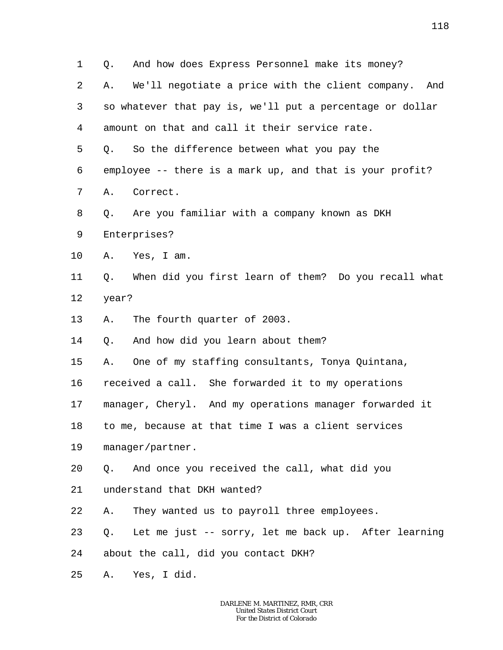| $\mathbf 1$ | And how does Express Personnel make its money?<br>Q.       |  |
|-------------|------------------------------------------------------------|--|
| 2           | We'll negotiate a price with the client company. And<br>Α. |  |
| 3           | so whatever that pay is, we'll put a percentage or dollar  |  |
| 4           | amount on that and call it their service rate.             |  |
| 5           | So the difference between what you pay the<br>Q.           |  |
| 6           | employee -- there is a mark up, and that is your profit?   |  |
| 7           | Α.<br>Correct.                                             |  |
| 8           | Are you familiar with a company known as DKH<br>Q.         |  |
| 9           | Enterprises?                                               |  |
| 10          | Yes, I am.<br>Α.                                           |  |
| 11          | When did you first learn of them? Do you recall what<br>Q. |  |
| 12          | year?                                                      |  |
| 13          | The fourth quarter of 2003.<br>Α.                          |  |
| 14          | And how did you learn about them?<br>Q.                    |  |
| 15          | One of my staffing consultants, Tonya Quintana,<br>Α.      |  |
| 16          | received a call. She forwarded it to my operations         |  |
| 17          | manager, Cheryl. And my operations manager forwarded it    |  |
| 18          | to me, because at that time I was a client services        |  |
| 19          | manager/partner.                                           |  |
| 20          | And once you received the call, what did you<br>Q.         |  |
| 21          | understand that DKH wanted?                                |  |
| 22          | They wanted us to payroll three employees.<br>Α.           |  |
| 23          | Let me just -- sorry, let me back up. After learning<br>Q. |  |
| 24          | about the call, did you contact DKH?                       |  |
| 25          | Yes, I did.<br>Α.                                          |  |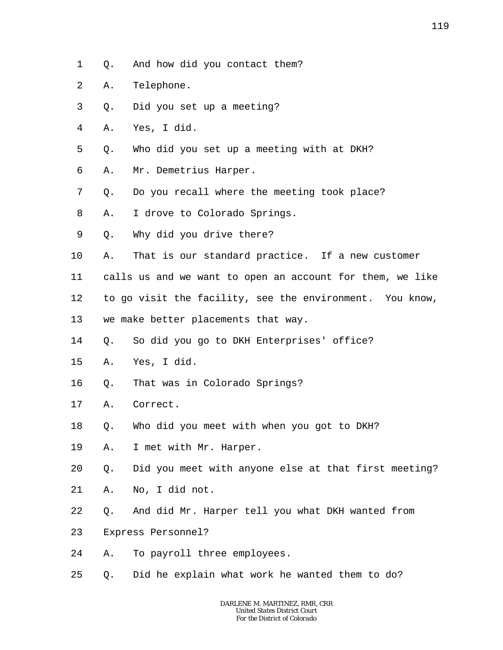- 1 Q. And how did you contact them?
- 2 A. Telephone.
- 3 Q. Did you set up a meeting?
- 4 A. Yes, I did.
- 5 Q. Who did you set up a meeting with at DKH?
- 6 A. Mr. Demetrius Harper.
- 7 Q. Do you recall where the meeting took place?
- 8 A. I drove to Colorado Springs.
- 9 Q. Why did you drive there?
- 10 A. That is our standard practice. If a new customer
- 11 calls us and we want to open an account for them, we like
- 12 to go visit the facility, see the environment. You know,
- 13 we make better placements that way.
- 14 Q. So did you go to DKH Enterprises' office?
- 15 A. Yes, I did.
- 16 Q. That was in Colorado Springs?
- 17 A. Correct.
- 18 Q. Who did you meet with when you got to DKH?
- 19 A. I met with Mr. Harper.

20 Q. Did you meet with anyone else at that first meeting?

- 21 A. No, I did not.
- 22 Q. And did Mr. Harper tell you what DKH wanted from
- 23 Express Personnel?
- 24 A. To payroll three employees.
- 25 Q. Did he explain what work he wanted them to do?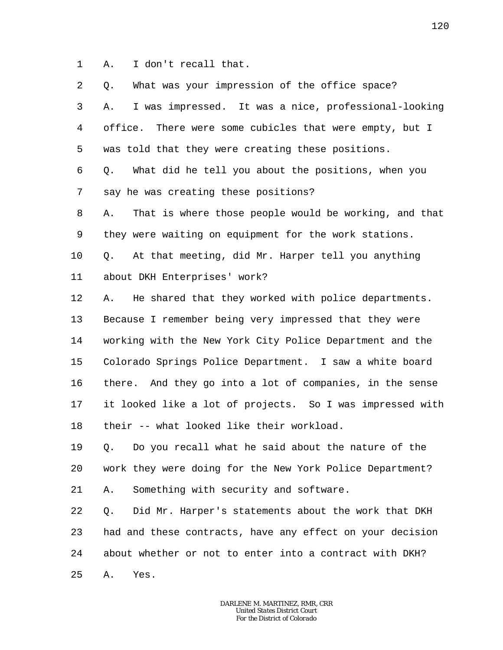1 A. I don't recall that.

| 2              | What was your impression of the office space?<br>Q.         |
|----------------|-------------------------------------------------------------|
| $\mathsf{3}$   | I was impressed. It was a nice, professional-looking<br>Α.  |
| $\overline{4}$ | office. There were some cubicles that were empty, but I     |
| 5              | was told that they were creating these positions.           |
| 6              | What did he tell you about the positions, when you<br>Q.    |
| 7              | say he was creating these positions?                        |
| 8              | That is where those people would be working, and that<br>Α. |
| 9              | they were waiting on equipment for the work stations.       |
| 10             | At that meeting, did Mr. Harper tell you anything<br>Q.     |
| 11             | about DKH Enterprises' work?                                |
| 12             | He shared that they worked with police departments.<br>Α.   |
| 13             | Because I remember being very impressed that they were      |
| 14             | working with the New York City Police Department and the    |
| 15             | Colorado Springs Police Department. I saw a white board     |
| 16             | there. And they go into a lot of companies, in the sense    |
| 17             | it looked like a lot of projects. So I was impressed with   |
| 18             | their -- what looked like their workload.                   |
| 19             | Q. Do you recall what he said about the nature of the       |
| 20             | work they were doing for the New York Police Department?    |
| 21             | Something with security and software.<br>Α.                 |
| 22             | Did Mr. Harper's statements about the work that DKH<br>Q.   |
| 23             | had and these contracts, have any effect on your decision   |
| 24             | about whether or not to enter into a contract with DKH?     |
| 25             | Yes.<br>Α.                                                  |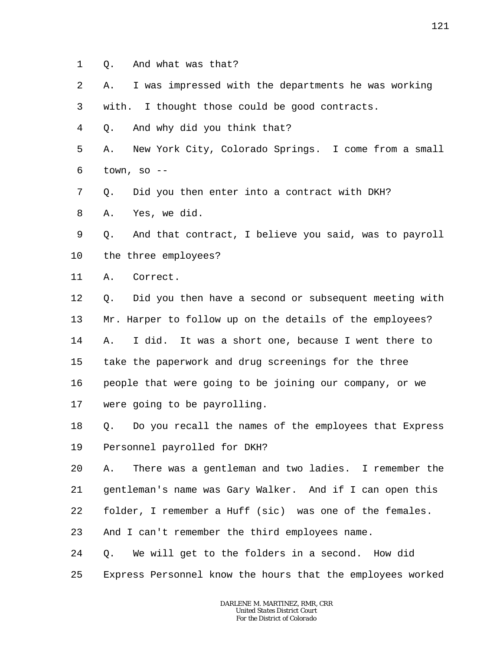- 1 Q. And what was that?
- 2 A. I was impressed with the departments he was working

3 with. I thought those could be good contracts.

4 Q. And why did you think that?

5 6 A. New York City, Colorado Springs. I come from a small town, so  $-$ 

7 Q. Did you then enter into a contract with DKH?

8 A. Yes, we did.

9 10 Q. And that contract, I believe you said, was to payroll the three employees?

11 A. Correct.

12 13 14 15 16 17 Q. Did you then have a second or subsequent meeting with Mr. Harper to follow up on the details of the employees? A. I did. It was a short one, because I went there to take the paperwork and drug screenings for the three people that were going to be joining our company, or we were going to be payrolling.

18 19 Q. Do you recall the names of the employees that Express Personnel payrolled for DKH?

20 21 22 A. There was a gentleman and two ladies. I remember the gentleman's name was Gary Walker. And if I can open this folder, I remember a Huff (sic) was one of the females.

23 And I can't remember the third employees name.

24 Q. We will get to the folders in a second. How did

25 Express Personnel know the hours that the employees worked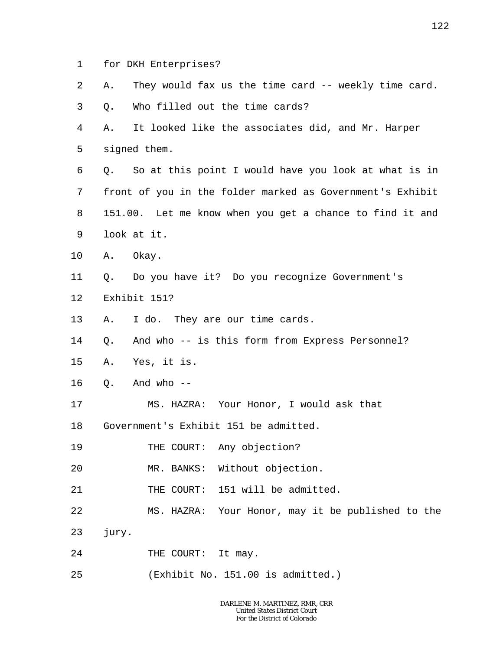- 1 for DKH Enterprises?
- 2 A. They would fax us the time card -- weekly time card.
- 3 Q. Who filled out the time cards?

4 5 A. It looked like the associates did, and Mr. Harper signed them.

6 7 8 9 Q. So at this point I would have you look at what is in front of you in the folder marked as Government's Exhibit 151.00. Let me know when you get a chance to find it and look at it.

- 10 A. Okay.
- 11 12 Q. Do you have it? Do you recognize Government's Exhibit 151?
- 13 A. I do. They are our time cards.
- 14 Q. And who -- is this form from Express Personnel?
- 15 A. Yes, it is.
- 16  $0.$  And who  $-$
- 17 MS. HAZRA: Your Honor, I would ask that
- 18 Government's Exhibit 151 be admitted.
- 19 THE COURT: Any objection?

20 MR. BANKS: Without objection.

- 21 THE COURT: 151 will be admitted.
- 22 MS. HAZRA: Your Honor, may it be published to the
- 23 jury.
- 24 THE COURT: It may.
- 25 (Exhibit No. 151.00 is admitted.)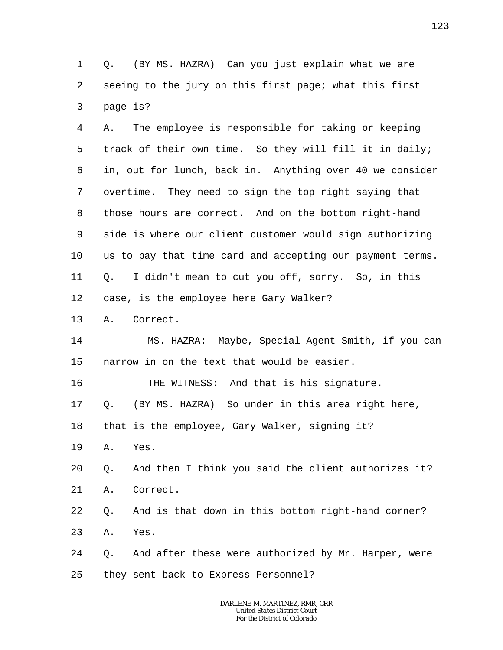1 2 3 Q. (BY MS. HAZRA) Can you just explain what we are seeing to the jury on this first page; what this first page is?

4 5 6 7 8 9 10 11 12 A. The employee is responsible for taking or keeping track of their own time. So they will fill it in daily; in, out for lunch, back in. Anything over 40 we consider overtime. They need to sign the top right saying that those hours are correct. And on the bottom right-hand side is where our client customer would sign authorizing us to pay that time card and accepting our payment terms. Q. I didn't mean to cut you off, sorry. So, in this case, is the employee here Gary Walker?

13 A. Correct.

14 15 MS. HAZRA: Maybe, Special Agent Smith, if you can narrow in on the text that would be easier.

16 THE WITNESS: And that is his signature.

17 Q. (BY MS. HAZRA) So under in this area right here,

18 that is the employee, Gary Walker, signing it?

19 A. Yes.

20 Q. And then I think you said the client authorizes it?

21 A. Correct.

22 Q. And is that down in this bottom right-hand corner?

23 A. Yes.

24 25 Q. And after these were authorized by Mr. Harper, were they sent back to Express Personnel?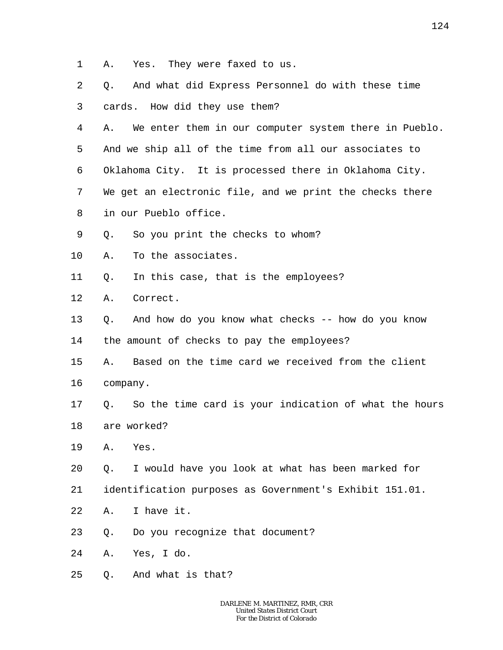- 1 A. Yes. They were faxed to us.
- 2 3 4 5 6 7 8 9 10 11 12 13 14 15 16 17 18 19 20 21 22 23 24 25 Q. And what did Express Personnel do with these time cards. How did they use them? A. We enter them in our computer system there in Pueblo. And we ship all of the time from all our associates to Oklahoma City. It is processed there in Oklahoma City. We get an electronic file, and we print the checks there in our Pueblo office. Q. So you print the checks to whom? A. To the associates. Q. In this case, that is the employees? A. Correct. Q. And how do you know what checks -- how do you know the amount of checks to pay the employees? A. Based on the time card we received from the client company. Q. So the time card is your indication of what the hours are worked? A. Yes. Q. I would have you look at what has been marked for identification purposes as Government's Exhibit 151.01. A. I have it. Q. Do you recognize that document? A. Yes, I do. Q. And what is that?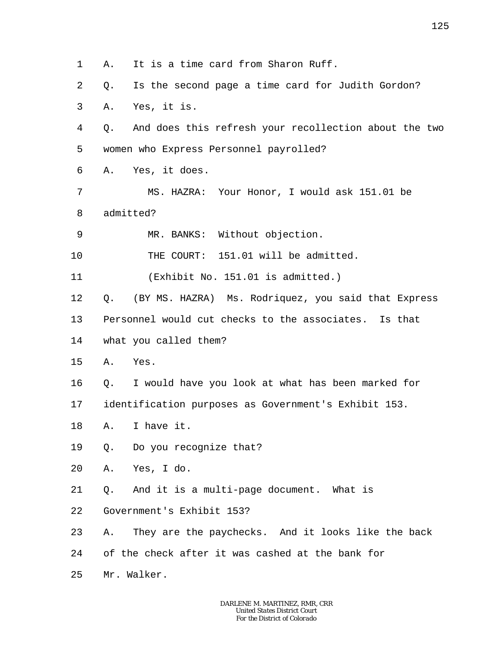1 2 3 4 5 6 7 8 9 10 11 12 13 14 15 16 17 18 19 20 21 22 23 24 25 A. It is a time card from Sharon Ruff. Q. Is the second page a time card for Judith Gordon? A. Yes, it is. Q. And does this refresh your recollection about the two women who Express Personnel payrolled? A. Yes, it does. MS. HAZRA: Your Honor, I would ask 151.01 be admitted? MR. BANKS: Without objection. THE COURT: 151.01 will be admitted. (Exhibit No. 151.01 is admitted.) Q. (BY MS. HAZRA) Ms. Rodriquez, you said that Express Personnel would cut checks to the associates. Is that what you called them? A. Yes. Q. I would have you look at what has been marked for identification purposes as Government's Exhibit 153. A. I have it. Q. Do you recognize that? A. Yes, I do. Q. And it is a multi-page document. What is Government's Exhibit 153? A. They are the paychecks. And it looks like the back of the check after it was cashed at the bank for Mr. Walker.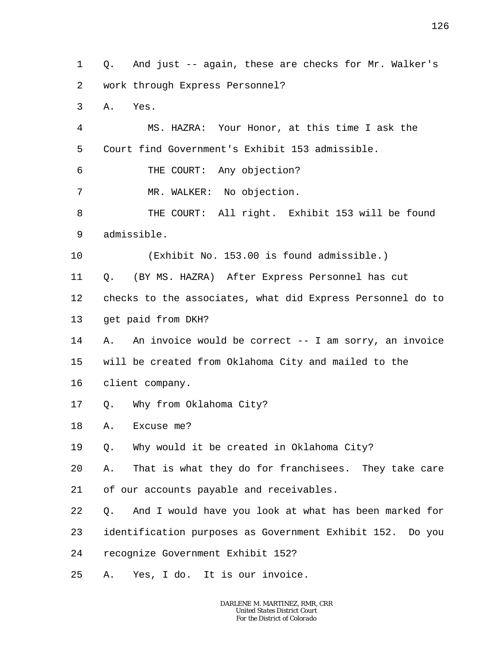1 2 Q. And just -- again, these are checks for Mr. Walker's work through Express Personnel?

3 A. Yes.

4 5 MS. HAZRA: Your Honor, at this time I ask the Court find Government's Exhibit 153 admissible.

6 THE COURT: Any objection?

7 MR. WALKER: No objection.

8 9 THE COURT: All right. Exhibit 153 will be found admissible.

10 (Exhibit No. 153.00 is found admissible.)

11 Q. (BY MS. HAZRA) After Express Personnel has cut

12 13 checks to the associates, what did Express Personnel do to get paid from DKH?

14 15 A. An invoice would be correct -- I am sorry, an invoice will be created from Oklahoma City and mailed to the

- 16 client company.
- 17 Q. Why from Oklahoma City?
- 18 A. Excuse me?

19 Q. Why would it be created in Oklahoma City?

20 A. That is what they do for franchisees. They take care

21 of our accounts payable and receivables.

22 Q. And I would have you look at what has been marked for

23 identification purposes as Government Exhibit 152. Do you

24 recognize Government Exhibit 152?

25 A. Yes, I do. It is our invoice.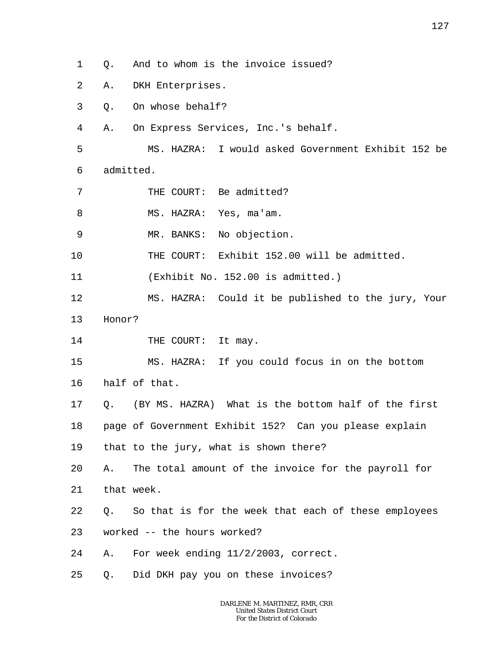1 Q. And to whom is the invoice issued?

- 2 A. DKH Enterprises.
- 3 Q. On whose behalf?
- 4 A. On Express Services, Inc.'s behalf.

5 6 MS. HAZRA: I would asked Government Exhibit 152 be admitted.

7 THE COURT: Be admitted?

8 MS. HAZRA: Yes, ma'am.

9 MR. BANKS: No objection.

10 THE COURT: Exhibit 152.00 will be admitted.

11 (Exhibit No. 152.00 is admitted.)

- 12 13 MS. HAZRA: Could it be published to the jury, Your Honor?
- 14 THE COURT: It may.

15 16 MS. HAZRA: If you could focus in on the bottom half of that.

17 Q. (BY MS. HAZRA) What is the bottom half of the first

18 page of Government Exhibit 152? Can you please explain

19 that to the jury, what is shown there?

20 21 A. The total amount of the invoice for the payroll for that week.

- 22 Q. So that is for the week that each of these employees
- 23 worked -- the hours worked?
- 24 A. For week ending 11/2/2003, correct.
- 25 Q. Did DKH pay you on these invoices?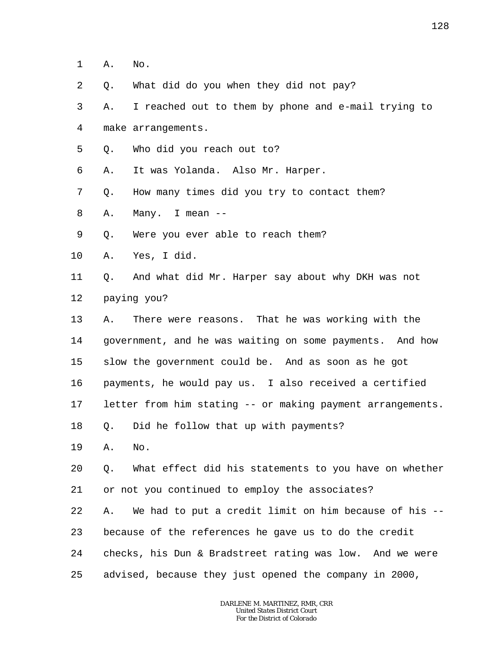- 1 A. No.
- 2 Q. What did do you when they did not pay?

3 4 A. I reached out to them by phone and e-mail trying to make arrangements.

- 5 Q. Who did you reach out to?
- 6 A. It was Yolanda. Also Mr. Harper.
- 7 Q. How many times did you try to contact them?
- 8 A. Many. I mean --
- 9 Q. Were you ever able to reach them?
- 10 A. Yes, I did.

11 12 Q. And what did Mr. Harper say about why DKH was not paying you?

13 14 15 16 17 A. There were reasons. That he was working with the government, and he was waiting on some payments. And how slow the government could be. And as soon as he got payments, he would pay us. I also received a certified letter from him stating -- or making payment arrangements.

- 18 Q. Did he follow that up with payments?
- 19 A. No.

20 21 Q. What effect did his statements to you have on whether or not you continued to employ the associates?

22 23 24 25 A. We had to put a credit limit on him because of his - because of the references he gave us to do the credit checks, his Dun & Bradstreet rating was low. And we were advised, because they just opened the company in 2000,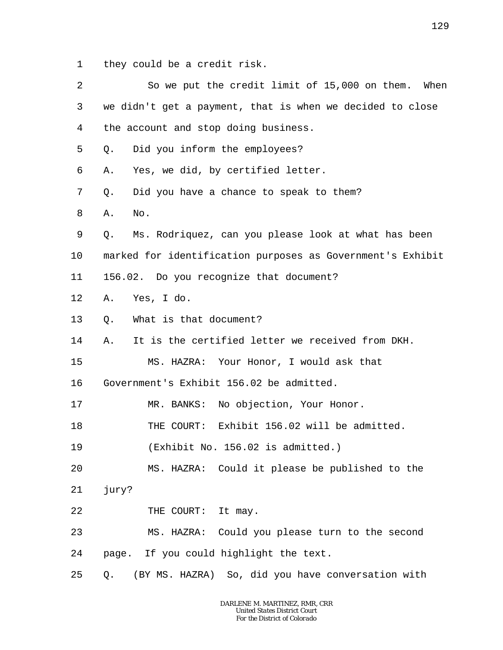1 they could be a credit risk.

| 2       | So we put the credit limit of 15,000 on them.<br>When      |
|---------|------------------------------------------------------------|
| 3       | we didn't get a payment, that is when we decided to close  |
| 4       | the account and stop doing business.                       |
| 5       | Did you inform the employees?<br>Q.                        |
| 6       | Yes, we did, by certified letter.<br>Α.                    |
| 7       | Did you have a chance to speak to them?<br>Q.              |
| 8       | Α.<br>No.                                                  |
| 9       | Ms. Rodriquez, can you please look at what has been<br>Q.  |
| 10      | marked for identification purposes as Government's Exhibit |
| 11      | 156.02. Do you recognize that document?                    |
| $12 \,$ | Yes, I do.<br>Α.                                           |
| 13      | What is that document?<br>Q.                               |
| 14      | It is the certified letter we received from DKH.<br>Α.     |
| 15      | MS. HAZRA: Your Honor, I would ask that                    |
| 16      | Government's Exhibit 156.02 be admitted.                   |
| 17      | MR. BANKS: No objection, Your Honor.                       |
| 18      | THE COURT: Exhibit 156.02 will be admitted.                |
| 19      | (Exhibit No. 156.02 is admitted.)                          |
| 20      | MS. HAZRA: Could it please be published to the             |
| 21      | jury?                                                      |
| 22      | THE COURT: It may.                                         |
| 23      | MS. HAZRA: Could you please turn to the second             |
| 24      | page. If you could highlight the text.                     |
| 25      | (BY MS. HAZRA) So, did you have conversation with<br>Q.    |
|         |                                                            |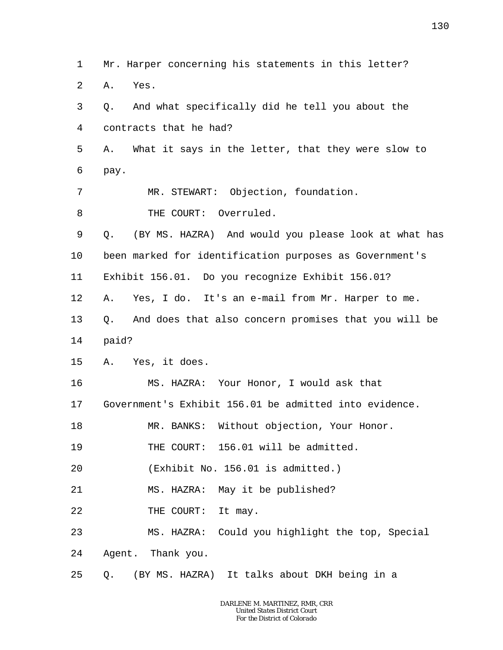2 3 4 5 6 7 8 9 10 11 12 13 14 15 16 17 18 19 20 21 22 23 24 25 A. Yes. Q. And what specifically did he tell you about the contracts that he had? A. What it says in the letter, that they were slow to pay. MR. STEWART: Objection, foundation. THE COURT: Overruled. Q. (BY MS. HAZRA) And would you please look at what has been marked for identification purposes as Government's Exhibit 156.01. Do you recognize Exhibit 156.01? A. Yes, I do. It's an e-mail from Mr. Harper to me. Q. And does that also concern promises that you will be paid? A. Yes, it does. MS. HAZRA: Your Honor, I would ask that Government's Exhibit 156.01 be admitted into evidence. MR. BANKS: Without objection, Your Honor. THE COURT: 156.01 will be admitted. (Exhibit No. 156.01 is admitted.) MS. HAZRA: May it be published? THE COURT: It may. MS. HAZRA: Could you highlight the top, Special Agent. Thank you. Q. (BY MS. HAZRA) It talks about DKH being in a

Mr. Harper concerning his statements in this letter?

1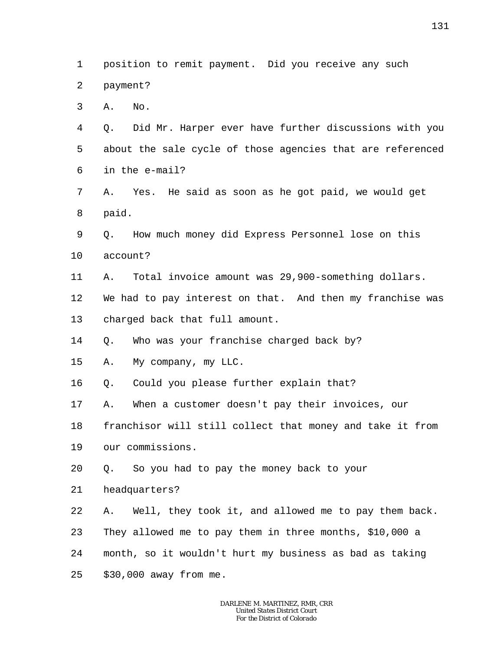1 2 3 4 5 6 7 8 9 10 11 12 13 14 15 16 17 18 19 20 21 22 23 24 25 position to remit payment. Did you receive any such payment? A. No. Q. Did Mr. Harper ever have further discussions with you about the sale cycle of those agencies that are referenced in the e-mail? A. Yes. He said as soon as he got paid, we would get paid. Q. How much money did Express Personnel lose on this account? A. Total invoice amount was 29,900-something dollars. We had to pay interest on that. And then my franchise was charged back that full amount. Q. Who was your franchise charged back by? A. My company, my LLC. Q. Could you please further explain that? A. When a customer doesn't pay their invoices, our franchisor will still collect that money and take it from our commissions. Q. So you had to pay the money back to your headquarters? A. Well, they took it, and allowed me to pay them back. They allowed me to pay them in three months, \$10,000 a month, so it wouldn't hurt my business as bad as taking \$30,000 away from me.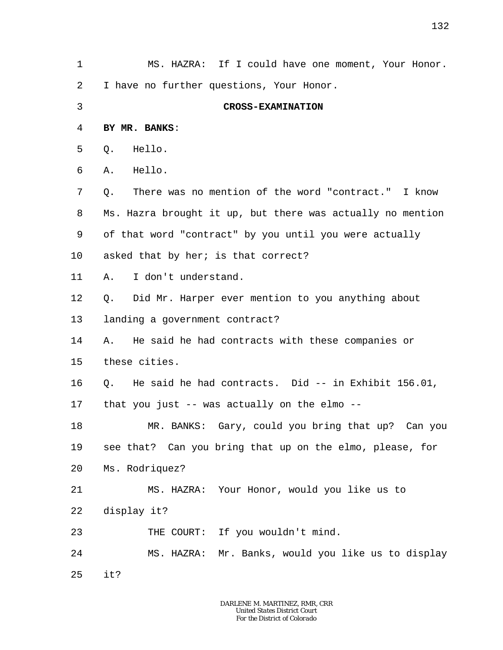1 2 3 4 5 6 7 8 9 10 11 12 13 14 15 16 17 18 19 20 21 22 23 24 25 MS. HAZRA: If I could have one moment, Your Honor. I have no further questions, Your Honor. **CROSS-EXAMINATION BY MR. BANKS**: Q. Hello. A. Hello. Q. There was no mention of the word "contract." I know Ms. Hazra brought it up, but there was actually no mention of that word "contract" by you until you were actually asked that by her; is that correct? A. I don't understand. Q. Did Mr. Harper ever mention to you anything about landing a government contract? A. He said he had contracts with these companies or these cities. Q. He said he had contracts. Did -- in Exhibit 156.01, that you just -- was actually on the elmo -- MR. BANKS: Gary, could you bring that up? Can you see that? Can you bring that up on the elmo, please, for Ms. Rodriquez? MS. HAZRA: Your Honor, would you like us to display it? THE COURT: If you wouldn't mind. MS. HAZRA: Mr. Banks, would you like us to display it?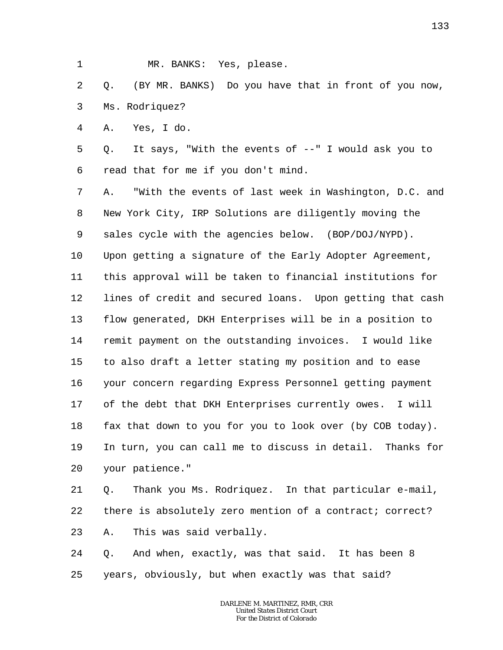1 MR. BANKS: Yes, please.

2 3 Q. (BY MR. BANKS) Do you have that in front of you now, Ms. Rodriquez?

4 A. Yes, I do.

5 6 Q. It says, "With the events of --" I would ask you to read that for me if you don't mind.

7 8 9 10 11 12 13 14 15 16 17 18 19 20 A. "With the events of last week in Washington, D.C. and New York City, IRP Solutions are diligently moving the sales cycle with the agencies below. (BOP/DOJ/NYPD). Upon getting a signature of the Early Adopter Agreement, this approval will be taken to financial institutions for lines of credit and secured loans. Upon getting that cash flow generated, DKH Enterprises will be in a position to remit payment on the outstanding invoices. I would like to also draft a letter stating my position and to ease your concern regarding Express Personnel getting payment of the debt that DKH Enterprises currently owes. I will fax that down to you for you to look over (by COB today). In turn, you can call me to discuss in detail. Thanks for your patience."

21 22 23 Q. Thank you Ms. Rodriquez. In that particular e-mail, there is absolutely zero mention of a contract; correct? A. This was said verbally.

24 25 Q. And when, exactly, was that said. It has been 8 years, obviously, but when exactly was that said?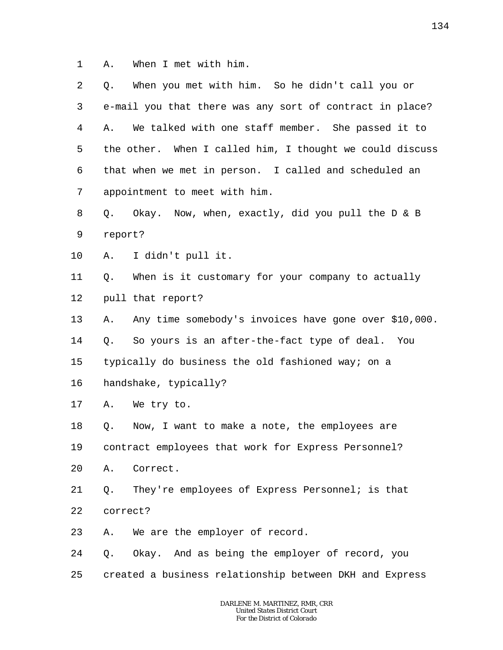1 A. When I met with him.

| 2  | Q.       | When you met with him. So he didn't call you or          |
|----|----------|----------------------------------------------------------|
| 3  |          | e-mail you that there was any sort of contract in place? |
| 4  | Α.       | We talked with one staff member. She passed it to        |
| 5  |          | the other. When I called him, I thought we could discuss |
| 6  |          | that when we met in person. I called and scheduled an    |
| 7  |          | appointment to meet with him.                            |
| 8  | Q.       | Okay. Now, when, exactly, did you pull the D & B         |
| 9  | report?  |                                                          |
| 10 | Α.       | I didn't pull it.                                        |
| 11 |          | Q. When is it customary for your company to actually     |
| 12 |          | pull that report?                                        |
| 13 | Α.       | Any time somebody's invoices have gone over \$10,000.    |
| 14 | Q.       | So yours is an after-the-fact type of deal. You          |
| 15 |          | typically do business the old fashioned way; on a        |
| 16 |          | handshake, typically?                                    |
| 17 |          | A. We try to.                                            |
| 18 | Q.       | Now, I want to make a note, the employees are            |
| 19 |          | contract employees that work for Express Personnel?      |
| 20 | Α.       | Correct.                                                 |
| 21 | Q.       | They're employees of Express Personnel; is that          |
| 22 | correct? |                                                          |
| 23 | Α.       | We are the employer of record.                           |
| 24 |          | Q. Okay. And as being the employer of record, you        |
| 25 |          | created a business relationship between DKH and Express  |
|    |          |                                                          |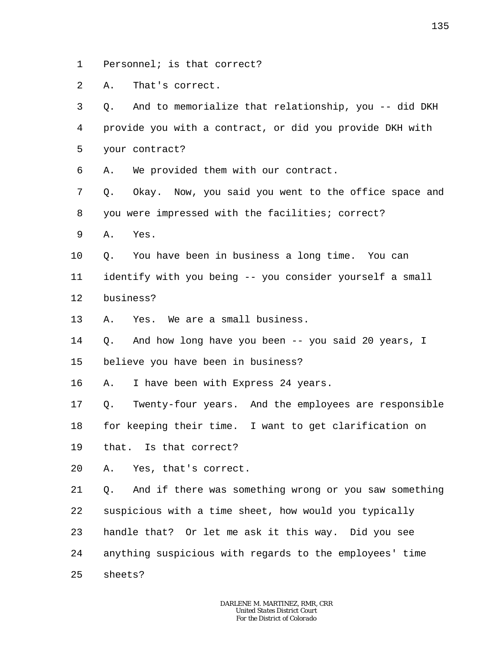1 Personnel; is that correct?

 $\overline{a}$ A. That's correct.

3 4 5 6 7 8 9 10 11 12 13 14 15 16 17 18 19 20 21 22 23 24 25 Q. And to memorialize that relationship, you -- did DKH provide you with a contract, or did you provide DKH with your contract? A. We provided them with our contract. Q. Okay. Now, you said you went to the office space and you were impressed with the facilities; correct? A. Yes. Q. You have been in business a long time. You can identify with you being -- you consider yourself a small business? A. Yes. We are a small business. Q. And how long have you been -- you said 20 years, I believe you have been in business? A. I have been with Express 24 years. Q. Twenty-four years. And the employees are responsible for keeping their time. I want to get clarification on that. Is that correct? A. Yes, that's correct. Q. And if there was something wrong or you saw something suspicious with a time sheet, how would you typically handle that? Or let me ask it this way. Did you see anything suspicious with regards to the employees' time sheets?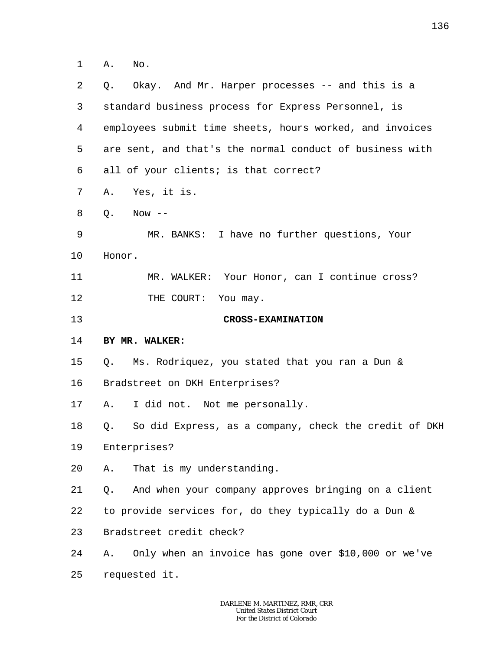1 A. No.

| 2       | Okay. And Mr. Harper processes -- and this is a<br>Q.       |
|---------|-------------------------------------------------------------|
| 3       | standard business process for Express Personnel, is         |
| 4       | employees submit time sheets, hours worked, and invoices    |
| 5       | are sent, and that's the normal conduct of business with    |
| 6       | all of your clients; is that correct?                       |
| 7       | Yes, it is.<br>Α.                                           |
| 8       | Q.<br>Now $--$                                              |
| 9       | MR. BANKS: I have no further questions, Your                |
| $10 \,$ | Honor.                                                      |
| 11      | MR. WALKER: Your Honor, can I continue cross?               |
| 12      | THE COURT: You may.                                         |
| 13      | <b>CROSS-EXAMINATION</b>                                    |
| 14      | BY MR. WALKER:                                              |
| 15      | Q. Ms. Rodriquez, you stated that you ran a Dun &           |
| 16      | Bradstreet on DKH Enterprises?                              |
| 17      | I did not. Not me personally.<br>Α.                         |
| 18      | So did Express, as a company, check the credit of DKH<br>Q. |
| 19      | Enterprises?                                                |
| 20      | That is my understanding.<br>Α.                             |
| 21      | And when your company approves bringing on a client<br>Q.   |
| 22      | to provide services for, do they typically do a Dun &       |
| 23      | Bradstreet credit check?                                    |
| 24      |                                                             |
|         | Only when an invoice has gone over \$10,000 or we've<br>Α.  |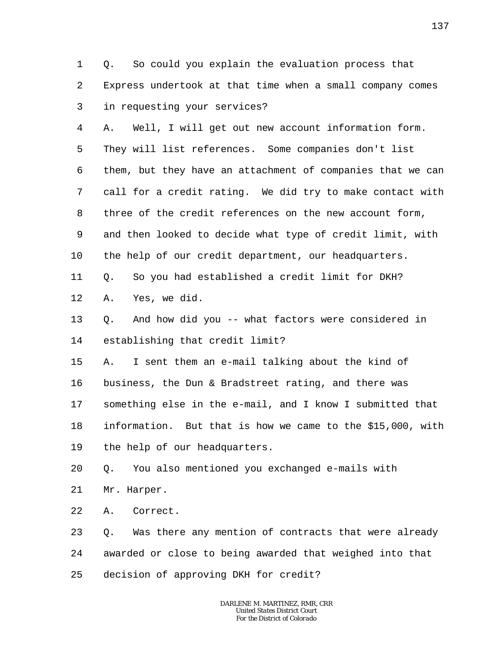1 2 3 Q. So could you explain the evaluation process that Express undertook at that time when a small company comes in requesting your services?

4 5 6 7 8 9 10 A. Well, I will get out new account information form. They will list references. Some companies don't list them, but they have an attachment of companies that we can call for a credit rating. We did try to make contact with three of the credit references on the new account form, and then looked to decide what type of credit limit, with the help of our credit department, our headquarters.

11 Q. So you had established a credit limit for DKH?

12 A. Yes, we did.

13 14 Q. And how did you -- what factors were considered in establishing that credit limit?

15 16 17 18 19 A. I sent them an e-mail talking about the kind of business, the Dun & Bradstreet rating, and there was something else in the e-mail, and I know I submitted that information. But that is how we came to the \$15,000, with the help of our headquarters.

20 Q. You also mentioned you exchanged e-mails with

21 Mr. Harper.

22 A. Correct.

23 24 25 Q. Was there any mention of contracts that were already awarded or close to being awarded that weighed into that decision of approving DKH for credit?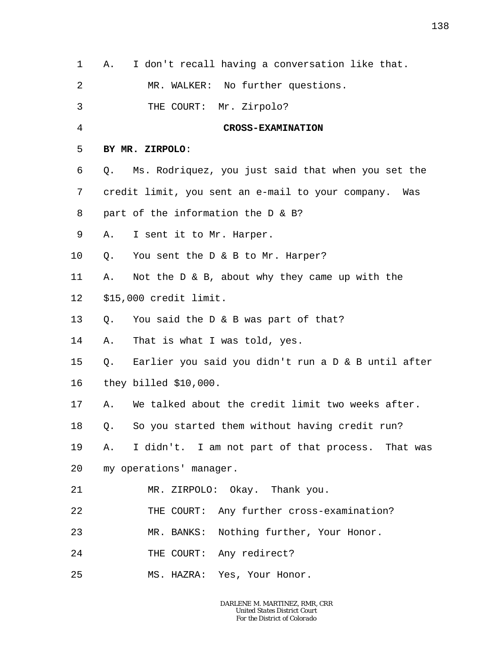| 1       | I don't recall having a conversation like that.<br>Α.    |
|---------|----------------------------------------------------------|
| 2       | MR. WALKER: No further questions.                        |
| 3       | THE COURT: Mr. Zirpolo?                                  |
| 4       | <b>CROSS-EXAMINATION</b>                                 |
| 5       | BY MR. ZIRPOLO:                                          |
| 6       | Ms. Rodriquez, you just said that when you set the<br>Q. |
| 7       | credit limit, you sent an e-mail to your company. Was    |
| 8       | part of the information the D & B?                       |
| 9       | I sent it to Mr. Harper.<br>Α.                           |
| $10 \,$ | You sent the D & B to Mr. Harper?<br>Q.                  |
| 11      | Not the $D \& B$ , about why they came up with the<br>Α. |
| 12      | \$15,000 credit limit.                                   |
| 13      | You said the D & B was part of that?<br>Q.               |
| 14      | That is what I was told, yes.<br>Α.                      |
| 15      | Q. Earlier you said you didn't run a D & B until after   |
| 16      | they billed \$10,000.                                    |
| 17      | We talked about the credit limit two weeks after.<br>Α.  |
| 18      | Q. So you started them without having credit run?        |
| 19      | A. I didn't. I am not part of that process. That was     |
| 20      | my operations' manager.                                  |
| 21      | MR. ZIRPOLO: Okay. Thank you.                            |
| 22      | THE COURT: Any further cross-examination?                |
| 23      | MR. BANKS: Nothing further, Your Honor.                  |
| 24      | THE COURT: Any redirect?                                 |
| 25      | MS. HAZRA: Yes, Your Honor.                              |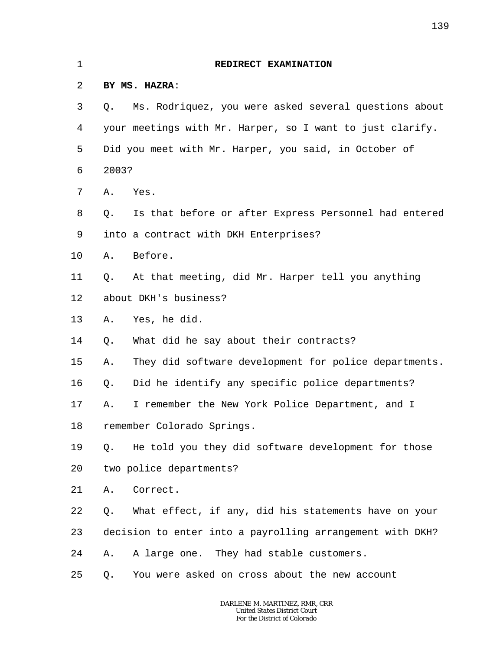| 1  | REDIRECT EXAMINATION                                        |  |
|----|-------------------------------------------------------------|--|
| 2  | BY MS. HAZRA:                                               |  |
| 3  | Ms. Rodriquez, you were asked several questions about<br>Q. |  |
| 4  | your meetings with Mr. Harper, so I want to just clarify.   |  |
| 5  | Did you meet with Mr. Harper, you said, in October of       |  |
| 6  | 2003?                                                       |  |
| 7  | Yes.<br>Α.                                                  |  |
| 8  | Is that before or after Express Personnel had entered<br>Q. |  |
| 9  | into a contract with DKH Enterprises?                       |  |
| 10 | Before.<br>Α.                                               |  |
| 11 | At that meeting, did Mr. Harper tell you anything<br>Q.     |  |
| 12 | about DKH's business?                                       |  |
| 13 | Yes, he did.<br>Α.                                          |  |
| 14 | What did he say about their contracts?<br>Q.                |  |
| 15 | They did software development for police departments.<br>Α. |  |
| 16 | Did he identify any specific police departments?<br>Q.      |  |
| 17 | I remember the New York Police Department, and I<br>Α.      |  |
| 18 | remember Colorado Springs.                                  |  |
| 19 | He told you they did software development for those<br>Q.   |  |
| 20 | two police departments?                                     |  |
| 21 | Correct.<br>Α.                                              |  |
| 22 | What effect, if any, did his statements have on your<br>Q.  |  |
| 23 | decision to enter into a payrolling arrangement with DKH?   |  |
| 24 | A large one. They had stable customers.<br>Α.               |  |
| 25 | You were asked on cross about the new account<br>Q.         |  |
|    |                                                             |  |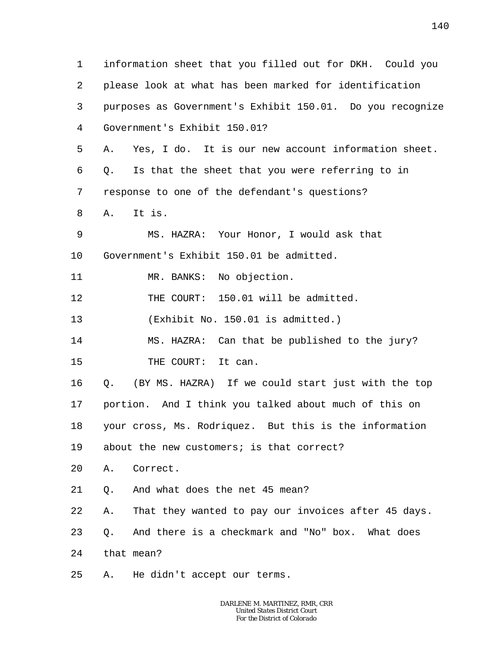1 2 3 4 5 6 7 8 9 10 11 12 13 14 15 16 17 18 19 20 21 22 23 24 25 information sheet that you filled out for DKH. Could you please look at what has been marked for identification purposes as Government's Exhibit 150.01. Do you recognize Government's Exhibit 150.01? A. Yes, I do. It is our new account information sheet. Q. Is that the sheet that you were referring to in response to one of the defendant's questions? A. It is. MS. HAZRA: Your Honor, I would ask that Government's Exhibit 150.01 be admitted. MR. BANKS: No objection. THE COURT: 150.01 will be admitted. (Exhibit No. 150.01 is admitted.) MS. HAZRA: Can that be published to the jury? THE COURT: It can. Q. (BY MS. HAZRA) If we could start just with the top portion. And I think you talked about much of this on your cross, Ms. Rodriquez. But this is the information about the new customers; is that correct? A. Correct. Q. And what does the net 45 mean? A. That they wanted to pay our invoices after 45 days. Q. And there is a checkmark and "No" box. What does that mean? A. He didn't accept our terms.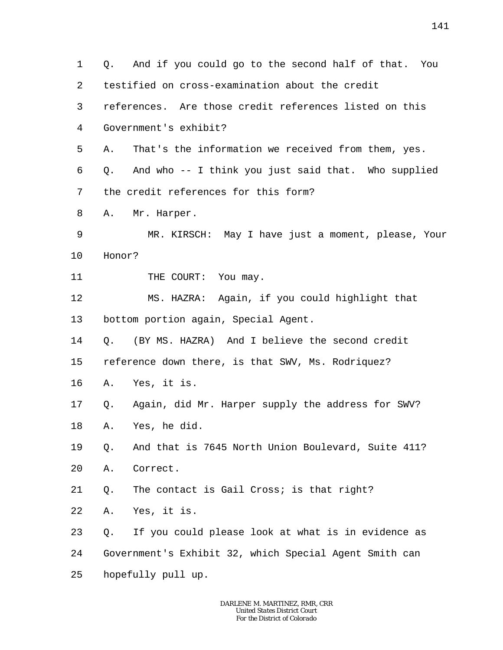1 2 3 4 5 6 7 8 9 10 11 12 13 14 15 16 17 18 19 20 21 22 23 24 25 Q. And if you could go to the second half of that. You testified on cross-examination about the credit references. Are those credit references listed on this Government's exhibit? A. That's the information we received from them, yes. Q. And who -- I think you just said that. Who supplied the credit references for this form? A. Mr. Harper. MR. KIRSCH: May I have just a moment, please, Your Honor? THE COURT: You may. MS. HAZRA: Again, if you could highlight that bottom portion again, Special Agent. Q. (BY MS. HAZRA) And I believe the second credit reference down there, is that SWV, Ms. Rodriquez? A. Yes, it is. Q. Again, did Mr. Harper supply the address for SWV? A. Yes, he did. Q. And that is 7645 North Union Boulevard, Suite 411? A. Correct. Q. The contact is Gail Cross; is that right? A. Yes, it is. Q. If you could please look at what is in evidence as Government's Exhibit 32, which Special Agent Smith can hopefully pull up.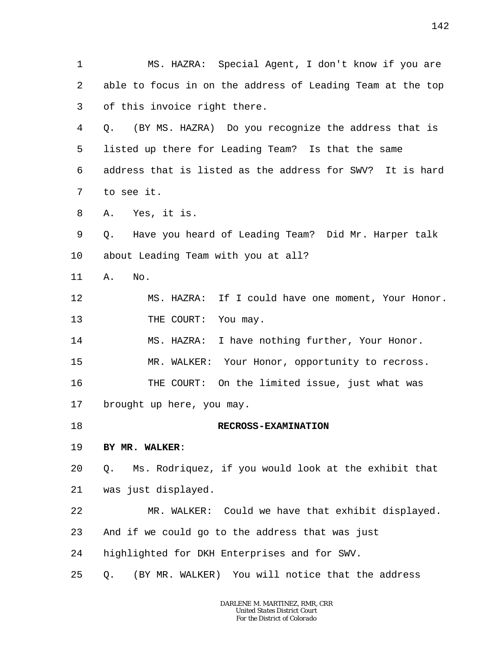1 2 3 4 5 6 7 8 9 10 11 12 13 14 15 16 17 18 19 20 21 22 23 24 25 MS. HAZRA: Special Agent, I don't know if you are able to focus in on the address of Leading Team at the top of this invoice right there. Q. (BY MS. HAZRA) Do you recognize the address that is listed up there for Leading Team? Is that the same address that is listed as the address for SWV? It is hard to see it. A. Yes, it is. Q. Have you heard of Leading Team? Did Mr. Harper talk about Leading Team with you at all? A. No. MS. HAZRA: If I could have one moment, Your Honor. THE COURT: You may. MS. HAZRA: I have nothing further, Your Honor. MR. WALKER: Your Honor, opportunity to recross. THE COURT: On the limited issue, just what was brought up here, you may. **RECROSS-EXAMINATION BY MR. WALKER**: Q. Ms. Rodriquez, if you would look at the exhibit that was just displayed. MR. WALKER: Could we have that exhibit displayed. And if we could go to the address that was just highlighted for DKH Enterprises and for SWV. Q. (BY MR. WALKER) You will notice that the address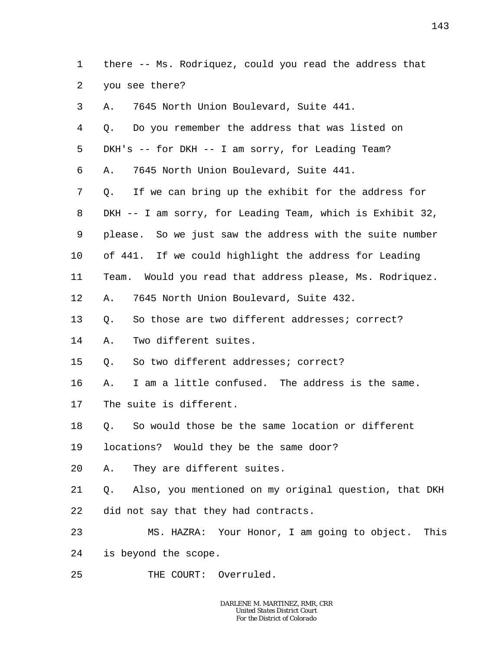1 2 there -- Ms. Rodriquez, could you read the address that you see there?

| 3  | 7645 North Union Boulevard, Suite 441.<br>Α.                |
|----|-------------------------------------------------------------|
| 4  | Do you remember the address that was listed on<br>O.        |
| 5  | DKH's -- for DKH -- I am sorry, for Leading Team?           |
| 6  | 7645 North Union Boulevard, Suite 441.<br>Α.                |
| 7  | If we can bring up the exhibit for the address for<br>Q.    |
| 8  | DKH -- I am sorry, for Leading Team, which is Exhibit 32,   |
| 9  | please. So we just saw the address with the suite number    |
| 10 | of 441. If we could highlight the address for Leading       |
| 11 | Team. Would you read that address please, Ms. Rodriquez.    |
| 12 | 7645 North Union Boulevard, Suite 432.<br>Α.                |
| 13 | So those are two different addresses; correct?<br>Q.        |
| 14 | Two different suites.<br>Α.                                 |
| 15 | So two different addresses; correct?<br>Q.                  |
| 16 | I am a little confused. The address is the same.<br>Α.      |
| 17 | The suite is different.                                     |
| 18 | So would those be the same location or different<br>Q.      |
| 19 | locations? Would they be the same door?                     |
| 20 | A. They are different suites.                               |
| 21 | Also, you mentioned on my original question, that DKH<br>Q. |
| 22 | did not say that they had contracts.                        |
| 23 | MS. HAZRA: Your Honor, I am going to object. This           |
| 24 | is beyond the scope.                                        |
| 25 | THE COURT: Overruled.                                       |
|    |                                                             |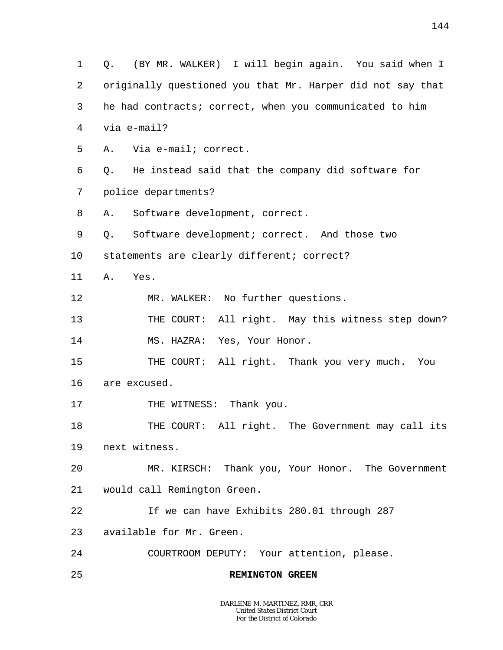1 2 3 4 5 6 7 8 9 10 11 12 13 14 15 16 17 18 19 20 21 22 23 24 25 Q. (BY MR. WALKER) I will begin again. You said when I originally questioned you that Mr. Harper did not say that he had contracts; correct, when you communicated to him via e-mail? A. Via e-mail; correct. Q. He instead said that the company did software for police departments? A. Software development, correct. Q. Software development; correct. And those two statements are clearly different; correct? A. Yes. MR. WALKER: No further questions. THE COURT: All right. May this witness step down? MS. HAZRA: Yes, Your Honor. THE COURT: All right. Thank you very much. You are excused. THE WITNESS: Thank you. THE COURT: All right. The Government may call its next witness. MR. KIRSCH: Thank you, Your Honor. The Government would call Remington Green. If we can have Exhibits 280.01 through 287 available for Mr. Green. COURTROOM DEPUTY: Your attention, please. **REMINGTON GREEN**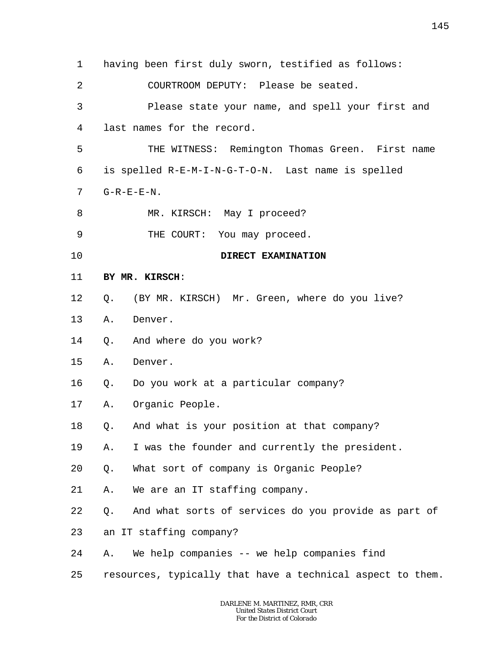1 2 3 4 5 6 7 8 9 10 11 12 13 14 15 16 17 18 19 20 21 22 23 24 25 having been first duly sworn, testified as follows: COURTROOM DEPUTY: Please be seated. Please state your name, and spell your first and last names for the record. THE WITNESS: Remington Thomas Green. First name is spelled R-E-M-I-N-G-T-O-N. Last name is spelled  $G-R-E-E-N$ . MR. KIRSCH: May I proceed? THE COURT: You may proceed. **DIRECT EXAMINATION BY MR. KIRSCH**: Q. (BY MR. KIRSCH) Mr. Green, where do you live? A. Denver. Q. And where do you work? A. Denver. Q. Do you work at a particular company? A. Organic People. Q. And what is your position at that company? A. I was the founder and currently the president. Q. What sort of company is Organic People? A. We are an IT staffing company. Q. And what sorts of services do you provide as part of an IT staffing company? A. We help companies -- we help companies find resources, typically that have a technical aspect to them.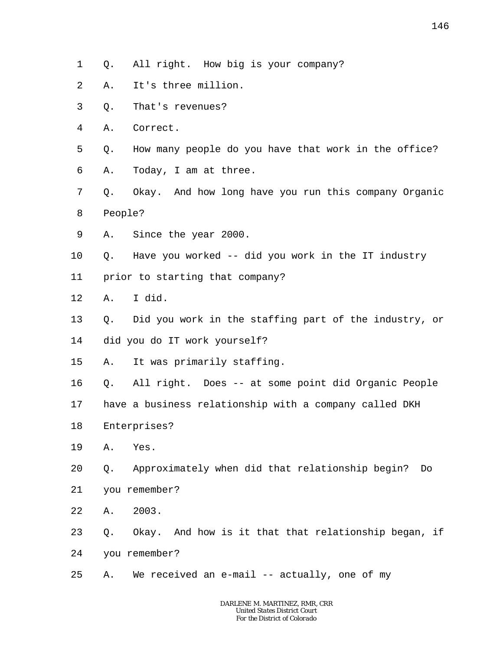- 1 Q. All right. How big is your company?
- 2 A. It's three million.
- 3 Q. That's revenues?
- 4 A. Correct.
- 5 6 Q. How many people do you have that work in the office? A. Today, I am at three.
- 7 8 Q. Okay. And how long have you run this company Organic People?
- 9 A. Since the year 2000.
- 10 Q. Have you worked -- did you work in the IT industry
- 11 prior to starting that company?
- 12 A. I did.
- 13 14 Q. Did you work in the staffing part of the industry, or did you do IT work yourself?
- 15 A. It was primarily staffing.
- 16 Q. All right. Does -- at some point did Organic People
- 17 have a business relationship with a company called DKH
- 18 Enterprises?
- 19 A. Yes.
- 20 Q. Approximately when did that relationship begin? Do
- 21 you remember?
- 22 A. 2003.
- 23 24 Q. Okay. And how is it that that relationship began, if you remember?
- 25 A. We received an e-mail -- actually, one of my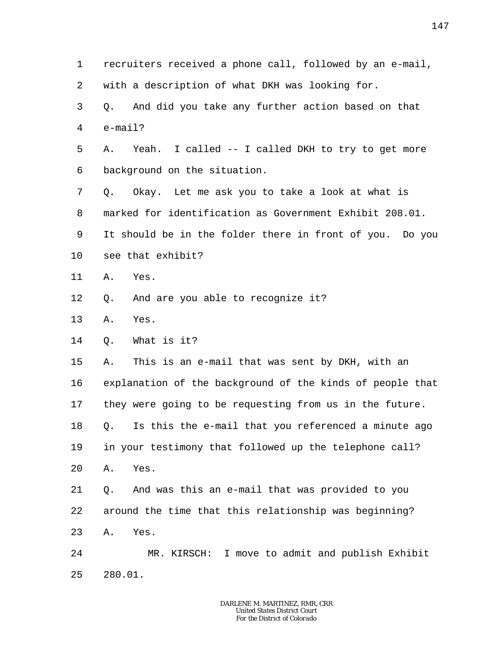1 2 3 4 5 6 7 8 9 10 11 12 13 14 15 16 17 18 19 20 21 22 23 24 25 recruiters received a phone call, followed by an e-mail, with a description of what DKH was looking for. Q. And did you take any further action based on that e-mail? A. Yeah. I called -- I called DKH to try to get more background on the situation. Q. Okay. Let me ask you to take a look at what is marked for identification as Government Exhibit 208.01. It should be in the folder there in front of you. Do you see that exhibit? A. Yes. Q. And are you able to recognize it? A. Yes. Q. What is it? A. This is an e-mail that was sent by DKH, with an explanation of the background of the kinds of people that they were going to be requesting from us in the future. Q. Is this the e-mail that you referenced a minute ago in your testimony that followed up the telephone call? A. Yes. Q. And was this an e-mail that was provided to you around the time that this relationship was beginning? A. Yes. MR. KIRSCH: I move to admit and publish Exhibit 280.01.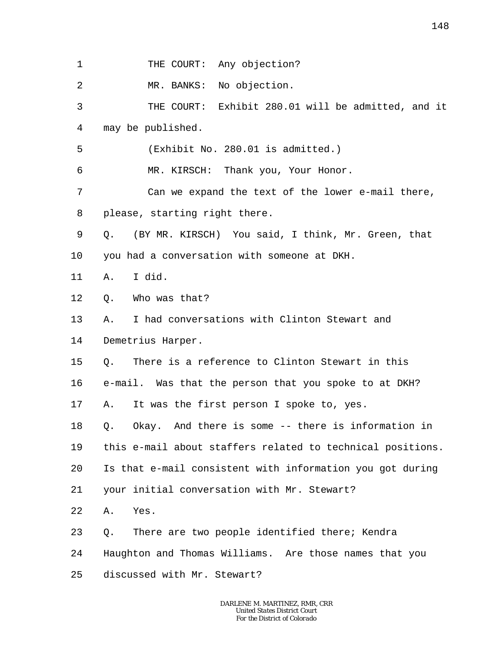| 1  | THE COURT: Any objection?                                  |
|----|------------------------------------------------------------|
| 2  | MR. BANKS: No objection.                                   |
| 3  | THE COURT: Exhibit 280.01 will be admitted, and it         |
| 4  | may be published.                                          |
| 5  | (Exhibit No. 280.01 is admitted.)                          |
| 6  | MR. KIRSCH: Thank you, Your Honor.                         |
| 7  | Can we expand the text of the lower e-mail there,          |
| 8  | please, starting right there.                              |
| 9  | (BY MR. KIRSCH) You said, I think, Mr. Green, that<br>Q.   |
| 10 | you had a conversation with someone at DKH.                |
| 11 | I did.<br>Α.                                               |
| 12 | Who was that?<br>Q.                                        |
| 13 | I had conversations with Clinton Stewart and<br>Α.         |
| 14 | Demetrius Harper.                                          |
| 15 | There is a reference to Clinton Stewart in this<br>Q.      |
| 16 | e-mail. Was that the person that you spoke to at DKH?      |
| 17 | It was the first person I spoke to, yes.<br>Α.             |
| 18 | Okay. And there is some -- there is information in<br>Q.   |
| 19 | this e-mail about staffers related to technical positions. |
| 20 | Is that e-mail consistent with information you got during  |
| 21 | your initial conversation with Mr. Stewart?                |
| 22 | Yes.<br>Α.                                                 |
| 23 | There are two people identified there; Kendra<br>Q.        |
| 24 | Haughton and Thomas Williams. Are those names that you     |
| 25 | discussed with Mr. Stewart?                                |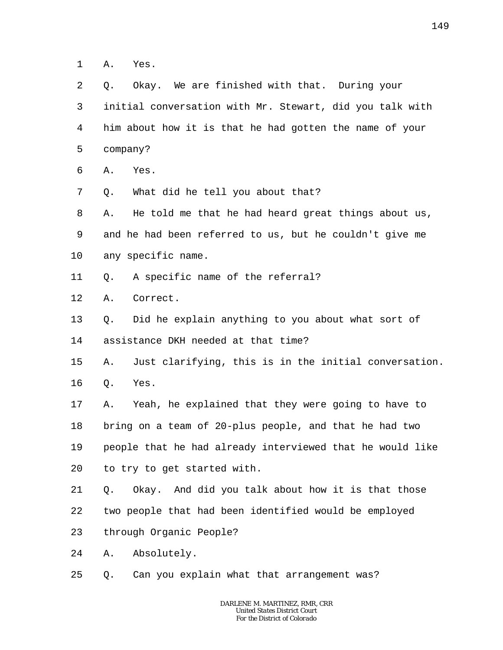1 A. Yes.

 $\overline{a}$ 3 4 5 6 7 8 9 10 11 12 13 14 15 16 17 18 19 20 21 22 23 24 25 Q. Okay. We are finished with that. During your initial conversation with Mr. Stewart, did you talk with him about how it is that he had gotten the name of your company? A. Yes. Q. What did he tell you about that? A. He told me that he had heard great things about us, and he had been referred to us, but he couldn't give me any specific name. Q. A specific name of the referral? A. Correct. Q. Did he explain anything to you about what sort of assistance DKH needed at that time? A. Just clarifying, this is in the initial conversation. Q. Yes. A. Yeah, he explained that they were going to have to bring on a team of 20-plus people, and that he had two people that he had already interviewed that he would like to try to get started with. Q. Okay. And did you talk about how it is that those two people that had been identified would be employed through Organic People? A. Absolutely. Q. Can you explain what that arrangement was?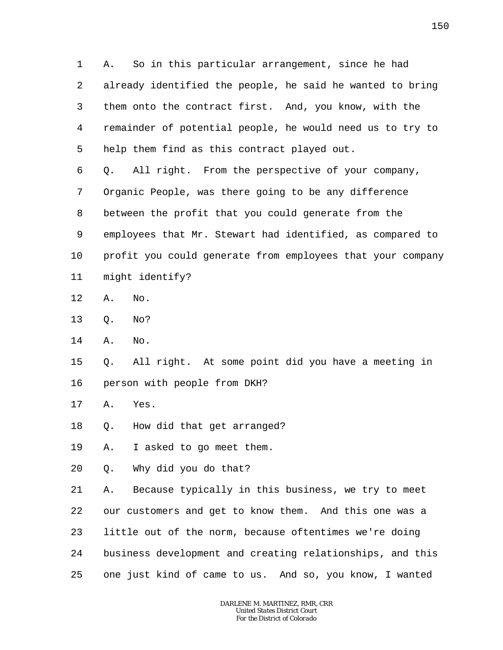1 2 3 4 5 A. So in this particular arrangement, since he had already identified the people, he said he wanted to bring them onto the contract first. And, you know, with the remainder of potential people, he would need us to try to help them find as this contract played out.

6 7 8 9 10 11 Q. All right. From the perspective of your company, Organic People, was there going to be any difference between the profit that you could generate from the employees that Mr. Stewart had identified, as compared to profit you could generate from employees that your company might identify?

- 12 A. No.
- 13 Q. No?
- 14 A. No.

15 16 Q. All right. At some point did you have a meeting in person with people from DKH?

- 17 A. Yes.
- 18 Q. How did that get arranged?

19 A. I asked to go meet them.

20 Q. Why did you do that?

21 22 23 24 25 A. Because typically in this business, we try to meet our customers and get to know them. And this one was a little out of the norm, because oftentimes we're doing business development and creating relationships, and this one just kind of came to us. And so, you know, I wanted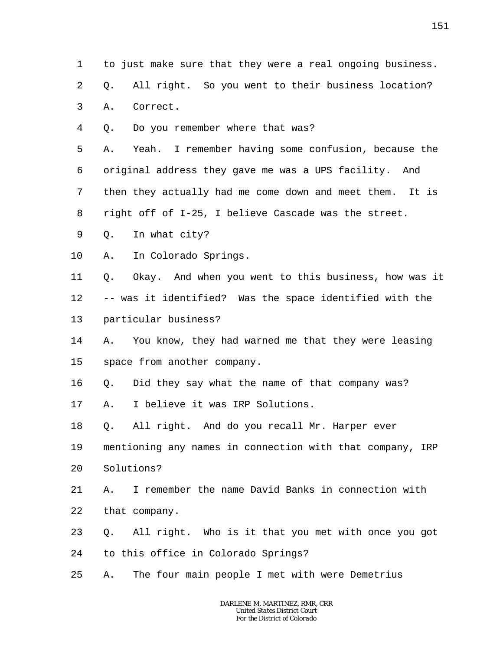- 1 to just make sure that they were a real ongoing business.
- 2 Q. All right. So you went to their business location?
- 3 A. Correct.
- 4 Q. Do you remember where that was?

5 6 7 8 A. Yeah. I remember having some confusion, because the original address they gave me was a UPS facility. And then they actually had me come down and meet them. It is right off of I-25, I believe Cascade was the street.

- 9 Q. In what city?
- 10 A. In Colorado Springs.

11 12 13 Q. Okay. And when you went to this business, how was it -- was it identified? Was the space identified with the particular business?

- 14 15 A. You know, they had warned me that they were leasing space from another company.
- 16 Q. Did they say what the name of that company was?

17 A. I believe it was IRP Solutions.

18 Q. All right. And do you recall Mr. Harper ever

19 20 mentioning any names in connection with that company, IRP Solutions?

- 21 22 A. I remember the name David Banks in connection with that company.
- 23 Q. All right. Who is it that you met with once you got
- 24 to this office in Colorado Springs?
- 25 A. The four main people I met with were Demetrius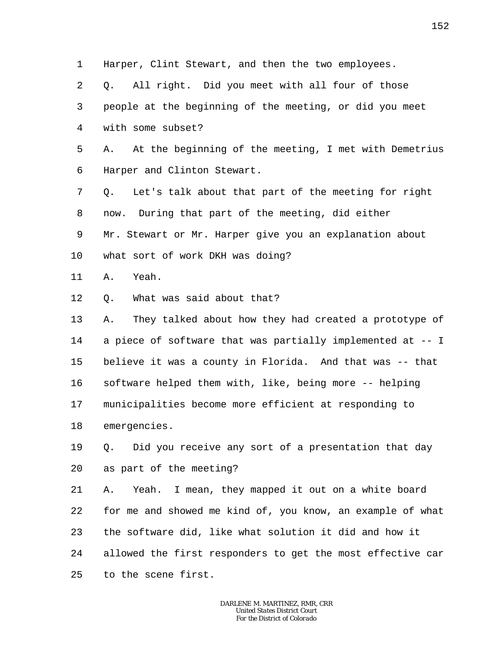1 2 3 4 5 6 7 8 9 10 11 12 13 14 15 16 17 18 19 20 21 22 23 24 25 Harper, Clint Stewart, and then the two employees. Q. All right. Did you meet with all four of those people at the beginning of the meeting, or did you meet with some subset? A. At the beginning of the meeting, I met with Demetrius Harper and Clinton Stewart. Q. Let's talk about that part of the meeting for right now. During that part of the meeting, did either Mr. Stewart or Mr. Harper give you an explanation about what sort of work DKH was doing? A. Yeah. Q. What was said about that? A. They talked about how they had created a prototype of a piece of software that was partially implemented at -- I believe it was a county in Florida. And that was -- that software helped them with, like, being more -- helping municipalities become more efficient at responding to emergencies. Q. Did you receive any sort of a presentation that day as part of the meeting? A. Yeah. I mean, they mapped it out on a white board for me and showed me kind of, you know, an example of what the software did, like what solution it did and how it allowed the first responders to get the most effective car to the scene first.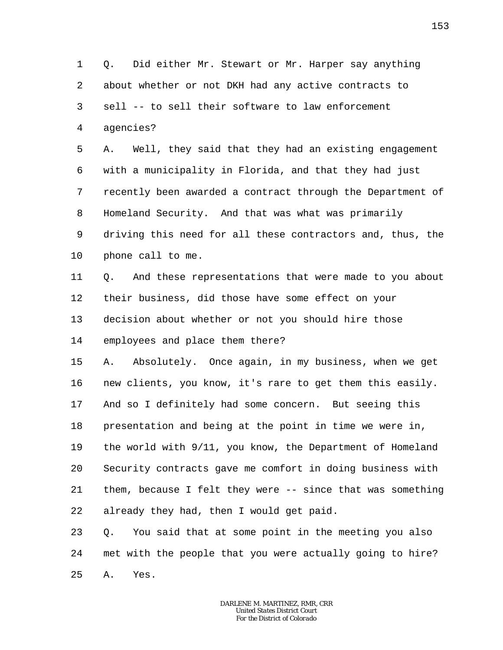1 2 3 4 Q. Did either Mr. Stewart or Mr. Harper say anything about whether or not DKH had any active contracts to sell -- to sell their software to law enforcement agencies?

5 6 7 8 9 10 A. Well, they said that they had an existing engagement with a municipality in Florida, and that they had just recently been awarded a contract through the Department of Homeland Security. And that was what was primarily driving this need for all these contractors and, thus, the phone call to me.

11 12 13 14 Q. And these representations that were made to you about their business, did those have some effect on your decision about whether or not you should hire those employees and place them there?

15 16 17 18 19 20 21 22 A. Absolutely. Once again, in my business, when we get new clients, you know, it's rare to get them this easily. And so I definitely had some concern. But seeing this presentation and being at the point in time we were in, the world with 9/11, you know, the Department of Homeland Security contracts gave me comfort in doing business with them, because I felt they were -- since that was something already they had, then I would get paid.

23 24 25 Q. You said that at some point in the meeting you also met with the people that you were actually going to hire? A. Yes.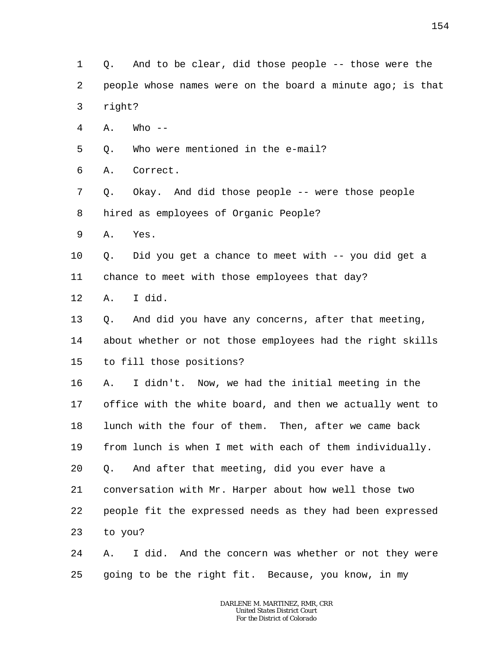- 1 2 3 Q. And to be clear, did those people -- those were the people whose names were on the board a minute ago; is that right?
- 4  $A.$  Who  $-$
- 5 Q. Who were mentioned in the e-mail?
- 6 A. Correct.
- 7 8 Q. Okay. And did those people -- were those people hired as employees of Organic People?
- 9 A. Yes.
- 10 Q. Did you get a chance to meet with -- you did get a
- 11 chance to meet with those employees that day?
- 12 A. I did.
- 13 Q. And did you have any concerns, after that meeting,
- 14 about whether or not those employees had the right skills
- 15 to fill those positions?
- 16 17 18 19 20 21 22 23 A. I didn't. Now, we had the initial meeting in the office with the white board, and then we actually went to lunch with the four of them. Then, after we came back from lunch is when I met with each of them individually. Q. And after that meeting, did you ever have a conversation with Mr. Harper about how well those two people fit the expressed needs as they had been expressed to you?
- 24 25 A. I did. And the concern was whether or not they were going to be the right fit. Because, you know, in my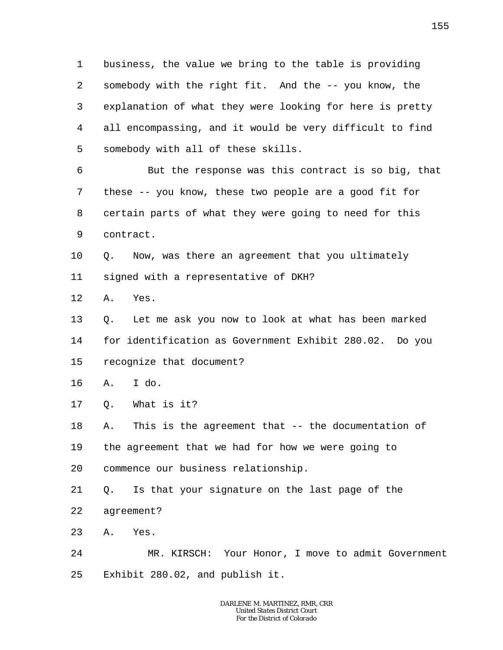1 2 3 4 5 business, the value we bring to the table is providing somebody with the right fit. And the -- you know, the explanation of what they were looking for here is pretty all encompassing, and it would be very difficult to find somebody with all of these skills.

6 7 8 9 But the response was this contract is so big, that these -- you know, these two people are a good fit for certain parts of what they were going to need for this contract.

10 11 Q. Now, was there an agreement that you ultimately signed with a representative of DKH?

12 A. Yes.

13 14 15 Q. Let me ask you now to look at what has been marked for identification as Government Exhibit 280.02. Do you recognize that document?

16 A. I do.

17 Q. What is it?

18 19 20 A. This is the agreement that -- the documentation of the agreement that we had for how we were going to commence our business relationship.

21 22 Q. Is that your signature on the last page of the agreement?

23 A. Yes.

24 25 MR. KIRSCH: Your Honor, I move to admit Government Exhibit 280.02, and publish it.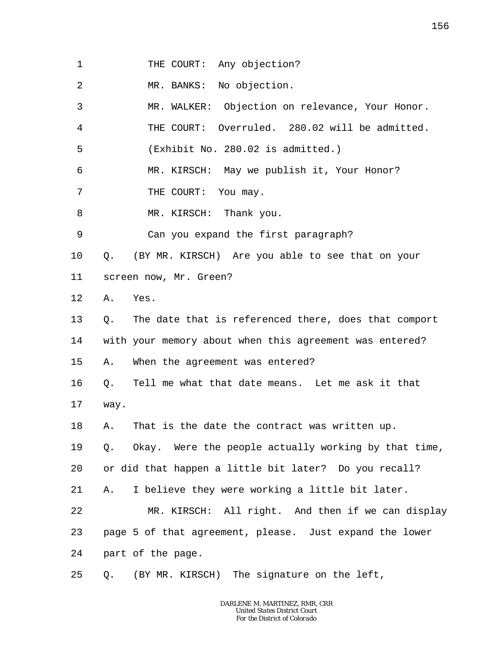| THE COURT: Any objection? |  |  |
|---------------------------|--|--|
|---------------------------|--|--|

2 MR. BANKS: No objection.

3 4 5 MR. WALKER: Objection on relevance, Your Honor. THE COURT: Overruled. 280.02 will be admitted. (Exhibit No. 280.02 is admitted.)

6 MR. KIRSCH: May we publish it, Your Honor?

7 THE COURT: You may.

8 MR. KIRSCH: Thank you.

9 Can you expand the first paragraph?

10 Q. (BY MR. KIRSCH) Are you able to see that on your

11 screen now, Mr. Green?

12 A. Yes.

13 14 15 Q. The date that is referenced there, does that comport with your memory about when this agreement was entered? A. When the agreement was entered?

16 17 Q. Tell me what that date means. Let me ask it that way.

18 A. That is the date the contract was written up.

19 Q. Okay. Were the people actually working by that time,

20 or did that happen a little bit later? Do you recall?

21 A. I believe they were working a little bit later.

22 23 MR. KIRSCH: All right. And then if we can display page 5 of that agreement, please. Just expand the lower

24 part of the page.

25 Q. (BY MR. KIRSCH) The signature on the left,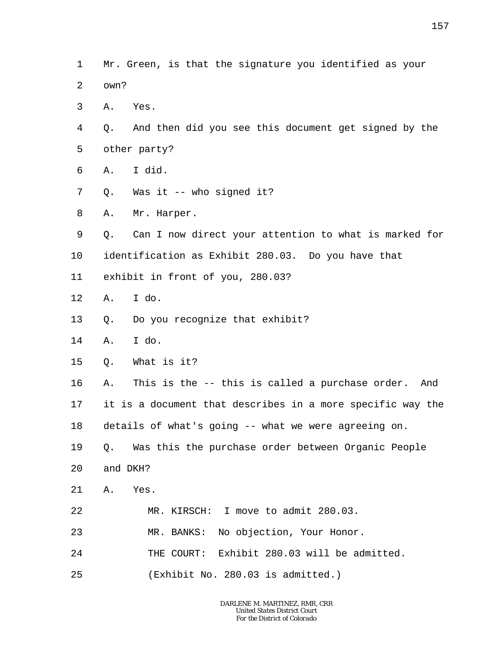- 1 2 Mr. Green, is that the signature you identified as your own?
- 3 A. Yes.
- 4 5 Q. And then did you see this document get signed by the other party?
- 6 A. I did.
- 7 Q. Was it -- who signed it?
- 8 A. Mr. Harper.
- 9 Q. Can I now direct your attention to what is marked for
- 10 identification as Exhibit 280.03. Do you have that
- 11 exhibit in front of you, 280.03?
- 12 A. I do.
- 13 Q. Do you recognize that exhibit?
- 14 A. I do.
- 15 Q. What is it?
- 16 17 18 A. This is the -- this is called a purchase order. And it is a document that describes in a more specific way the details of what's going -- what we were agreeing on.
- 19 Q. Was this the purchase order between Organic People
- 20 and DKH?
- 21 A. Yes.
- 22 MR. KIRSCH: I move to admit 280.03.
- 23 MR. BANKS: No objection, Your Honor.
- 24 THE COURT: Exhibit 280.03 will be admitted.
- 25 (Exhibit No. 280.03 is admitted.)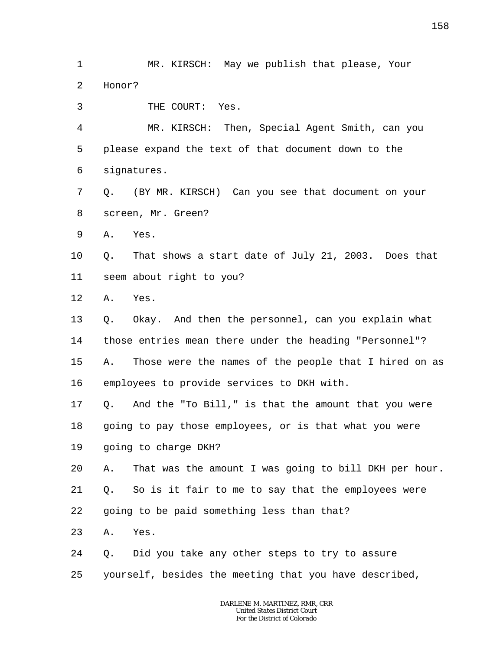1 2 MR. KIRSCH: May we publish that please, Your Honor?

3 THE COURT: Yes.

4 5 6 MR. KIRSCH: Then, Special Agent Smith, can you please expand the text of that document down to the signatures.

7 8 Q. (BY MR. KIRSCH) Can you see that document on your screen, Mr. Green?

9 A. Yes.

10 11 Q. That shows a start date of July 21, 2003. Does that seem about right to you?

12 A. Yes.

13 14 15 16 Q. Okay. And then the personnel, can you explain what those entries mean there under the heading "Personnel"? A. Those were the names of the people that I hired on as employees to provide services to DKH with.

17 Q. And the "To Bill," is that the amount that you were

18 going to pay those employees, or is that what you were

- 19 going to charge DKH?
- 20 A. That was the amount I was going to bill DKH per hour.

21 Q. So is it fair to me to say that the employees were

22 going to be paid something less than that?

- 23 A. Yes.
- 24 Q. Did you take any other steps to try to assure
- 25 yourself, besides the meeting that you have described,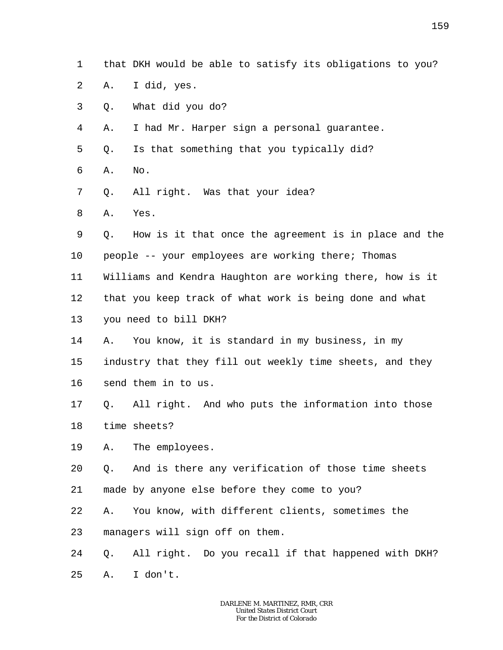- 1 that DKH would be able to satisfy its obligations to you?
- 2 A. I did, yes.
- 3 Q. What did you do?
- 4 A. I had Mr. Harper sign a personal guarantee.
- 5 Q. Is that something that you typically did?
- 6 A. No.
- 7 Q. All right. Was that your idea?
- 8 A. Yes.
- 9 10 Q. How is it that once the agreement is in place and the people -- your employees are working there; Thomas
- 11 Williams and Kendra Haughton are working there, how is it
- 12 that you keep track of what work is being done and what
- 13 you need to bill DKH?
- 14 15 16 A. You know, it is standard in my business, in my industry that they fill out weekly time sheets, and they send them in to us.
- 17 18 Q. All right. And who puts the information into those time sheets?
- 19 A. The employees.
- 20 Q. And is there any verification of those time sheets
- 21 made by anyone else before they come to you?
- 22 A. You know, with different clients, sometimes the
- 23 managers will sign off on them.
- 24 Q. All right. Do you recall if that happened with DKH?
- 25 A. I don't.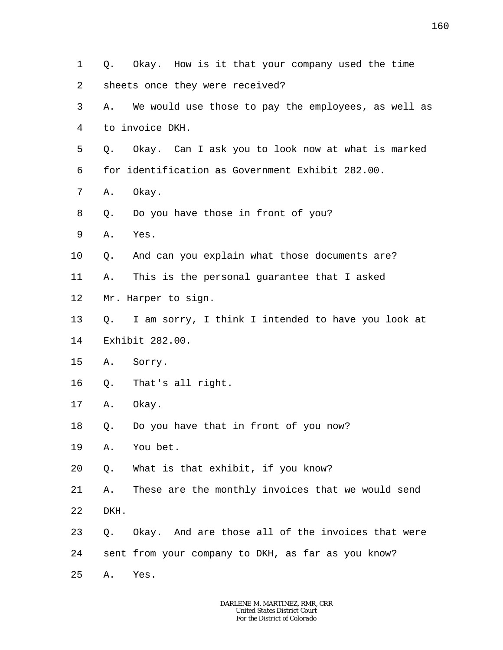1 2 3 4 5 6 7 8 9 10 11 12 13 14 15 16 17 18 19 20 21 22 23 24 25 Q. Okay. How is it that your company used the time sheets once they were received? A. We would use those to pay the employees, as well as to invoice DKH. Q. Okay. Can I ask you to look now at what is marked for identification as Government Exhibit 282.00. A. Okay. Q. Do you have those in front of you? A. Yes. Q. And can you explain what those documents are? A. This is the personal guarantee that I asked Mr. Harper to sign. Q. I am sorry, I think I intended to have you look at Exhibit 282.00. A. Sorry. Q. That's all right. A. Okay. Q. Do you have that in front of you now? A. You bet. Q. What is that exhibit, if you know? A. These are the monthly invoices that we would send DKH. Q. Okay. And are those all of the invoices that were sent from your company to DKH, as far as you know? A. Yes.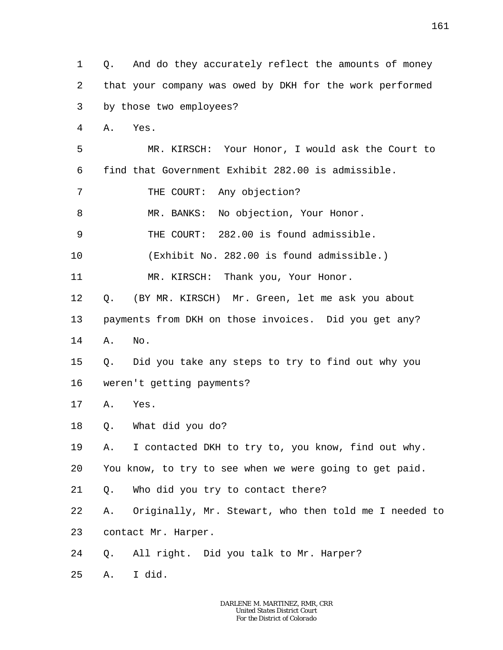1 2 3 Q. And do they accurately reflect the amounts of money that your company was owed by DKH for the work performed by those two employees?

4 A. Yes.

5 6 MR. KIRSCH: Your Honor, I would ask the Court to find that Government Exhibit 282.00 is admissible.

7 THE COURT: Any objection?

8 MR. BANKS: No objection, Your Honor.

9 THE COURT: 282.00 is found admissible.

10 (Exhibit No. 282.00 is found admissible.)

11 MR. KIRSCH: Thank you, Your Honor.

12 Q. (BY MR. KIRSCH) Mr. Green, let me ask you about

13 payments from DKH on those invoices. Did you get any?

14 A. No.

15 16 Q. Did you take any steps to try to find out why you weren't getting payments?

- 17 A. Yes.
- 18 Q. What did you do?

19 A. I contacted DKH to try to, you know, find out why.

20 You know, to try to see when we were going to get paid.

21 Q. Who did you try to contact there?

22 A. Originally, Mr. Stewart, who then told me I needed to

23 contact Mr. Harper.

24 Q. All right. Did you talk to Mr. Harper?

25 A. I did.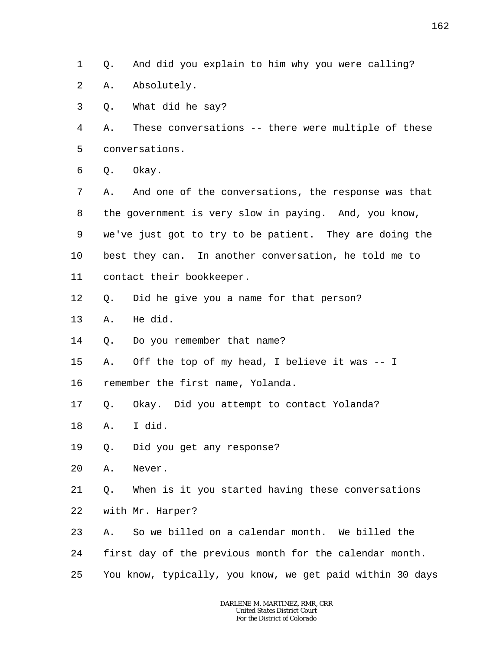1 Q. And did you explain to him why you were calling?

- 2 A. Absolutely.
- 3 Q. What did he say?

4 5 A. These conversations -- there were multiple of these conversations.

6 Q. Okay.

7 8 9 10 11 A. And one of the conversations, the response was that the government is very slow in paying. And, you know, we've just got to try to be patient. They are doing the best they can. In another conversation, he told me to contact their bookkeeper.

- 12 Q. Did he give you a name for that person?
- 13 A. He did.
- 14 Q. Do you remember that name?
- 15 A. Off the top of my head, I believe it was -- I
- 16 remember the first name, Yolanda.
- 17 Q. Okay. Did you attempt to contact Yolanda?
- 18 A. I did.
- 19 Q. Did you get any response?
- 20 A. Never.

21 22 Q. When is it you started having these conversations with Mr. Harper?

- 23 A. So we billed on a calendar month. We billed the
- 24 first day of the previous month for the calendar month.
- 25 You know, typically, you know, we get paid within 30 days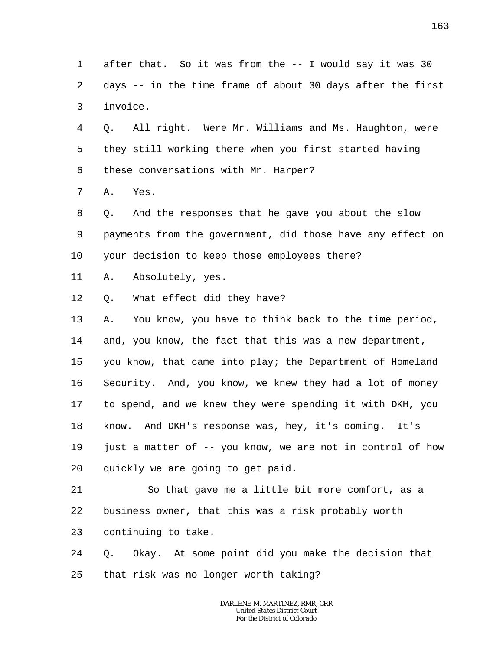1 2 3 4 5 6 7 8 9 10 11 12 13 14 15 16 17 18 19 20 after that. So it was from the -- I would say it was 30 days -- in the time frame of about 30 days after the first invoice. Q. All right. Were Mr. Williams and Ms. Haughton, were they still working there when you first started having these conversations with Mr. Harper? A. Yes. Q. And the responses that he gave you about the slow payments from the government, did those have any effect on your decision to keep those employees there? A. Absolutely, yes. Q. What effect did they have? A. You know, you have to think back to the time period, and, you know, the fact that this was a new department, you know, that came into play; the Department of Homeland Security. And, you know, we knew they had a lot of money to spend, and we knew they were spending it with DKH, you know. And DKH's response was, hey, it's coming. It's just a matter of -- you know, we are not in control of how quickly we are going to get paid.

21 22 23 So that gave me a little bit more comfort, as a business owner, that this was a risk probably worth continuing to take.

24 25 Q. Okay. At some point did you make the decision that that risk was no longer worth taking?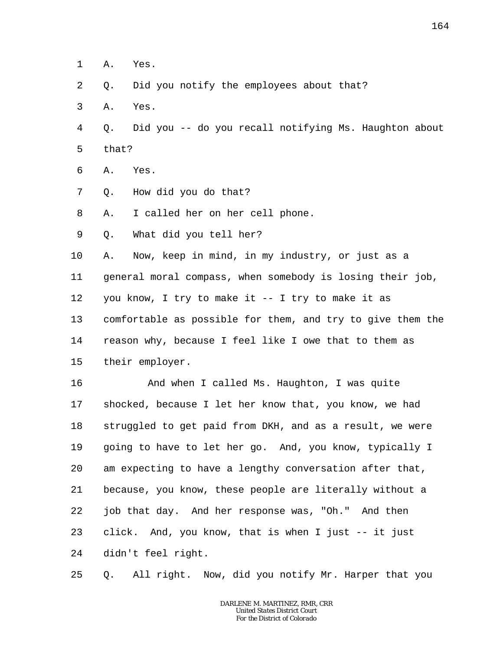1 A. Yes.

2 Q. Did you notify the employees about that?

- 3 A. Yes.
- 4 5 Q. Did you -- do you recall notifying Ms. Haughton about that?
- 6 A. Yes.
- 7 Q. How did you do that?

8 A. I called her on her cell phone.

9 Q. What did you tell her?

10 11 12 13 14 A. Now, keep in mind, in my industry, or just as a general moral compass, when somebody is losing their job, you know, I try to make it -- I try to make it as comfortable as possible for them, and try to give them the reason why, because I feel like I owe that to them as

15 their employer.

16 17 18 19 20 21 22 23 24 And when I called Ms. Haughton, I was quite shocked, because I let her know that, you know, we had struggled to get paid from DKH, and as a result, we were going to have to let her go. And, you know, typically I am expecting to have a lengthy conversation after that, because, you know, these people are literally without a job that day. And her response was, "Oh." And then click. And, you know, that is when I just -- it just didn't feel right.

25 Q. All right. Now, did you notify Mr. Harper that you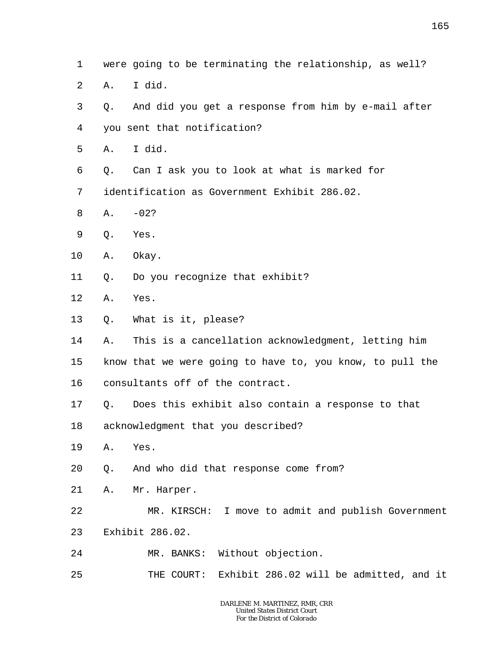- 2 A. I did.
- 3 4 Q. And did you get a response from him by e-mail after you sent that notification?
- 5 A. I did.
- 6 Q. Can I ask you to look at what is marked for

7 identification as Government Exhibit 286.02.

- 8  $A. -02?$
- 9 Q. Yes.
- 10 A. Okay.
- 11 Q. Do you recognize that exhibit?
- 12 A. Yes.
- 13 Q. What is it, please?
- 14 A. This is a cancellation acknowledgment, letting him
- 15 know that we were going to have to, you know, to pull the
- 16 consultants off of the contract.
- 17 Q. Does this exhibit also contain a response to that
- 18 acknowledgment that you described?
- 19 A. Yes.
- 20 Q. And who did that response come from?
- 21 A. Mr. Harper.
- 22 MR. KIRSCH: I move to admit and publish Government
- 23 Exhibit 286.02.
- 24 MR. BANKS: Without objection.
- 25 THE COURT: Exhibit 286.02 will be admitted, and it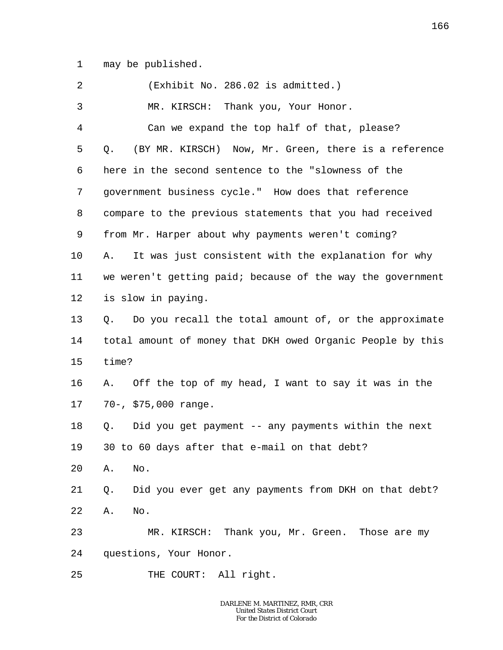1 may be published.

| 2              | (Exhibit No. 286.02 is admitted.)                          |
|----------------|------------------------------------------------------------|
| $\mathfrak{Z}$ | MR. KIRSCH: Thank you, Your Honor.                         |
| $\overline{4}$ | Can we expand the top half of that, please?                |
| 5              | (BY MR. KIRSCH) Now, Mr. Green, there is a reference<br>Q. |
| 6              | here in the second sentence to the "slowness of the        |
| 7              | government business cycle." How does that reference        |
| 8              | compare to the previous statements that you had received   |
| 9              | from Mr. Harper about why payments weren't coming?         |
| 10             | It was just consistent with the explanation for why<br>Α.  |
| 11             | we weren't getting paid; because of the way the government |
| 12             | is slow in paying.                                         |
| 13             | Q. Do you recall the total amount of, or the approximate   |
| 14             | total amount of money that DKH owed Organic People by this |
| 15             | time?                                                      |
| 16             | A. Off the top of my head, I want to say it was in the     |
| 17             | 70-, \$75,000 range.                                       |
| 18             | Did you get payment -- any payments within the next<br>Q.  |
| 19             | 30 to 60 days after that e-mail on that debt?              |
| 20             | No.<br>Α.                                                  |
| 21             | Did you ever get any payments from DKH on that debt?<br>Q. |
| 22             | No.<br>Α.                                                  |
| 23             | MR. KIRSCH: Thank you, Mr. Green. Those are my             |
| 24             | questions, Your Honor.                                     |
| 25             | All right.<br>THE COURT:                                   |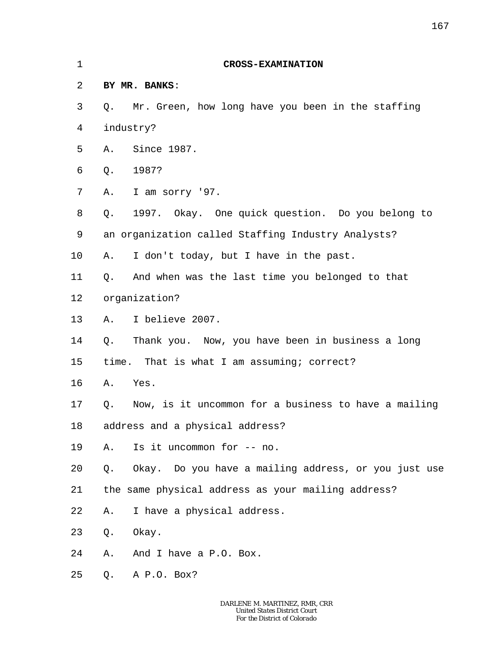| 1  |    | <b>CROSS-EXAMINATION</b>                             |
|----|----|------------------------------------------------------|
| 2  |    | BY MR. BANKS:                                        |
| 3  | Q. | Mr. Green, how long have you been in the staffing    |
| 4  |    | industry?                                            |
| 5  | Α. | Since 1987.                                          |
| 6  | Q. | 1987?                                                |
| 7  | Α. | I am sorry '97.                                      |
| 8  | Q. | 1997. Okay. One quick question. Do you belong to     |
| 9  |    | an organization called Staffing Industry Analysts?   |
| 10 | Α. | I don't today, but I have in the past.               |
| 11 | Q. | And when was the last time you belonged to that      |
| 12 |    | organization?                                        |
| 13 | Α. | I believe 2007.                                      |
| 14 | Q. | Thank you. Now, you have been in business a long     |
| 15 |    | time. That is what I am assuming; correct?           |
| 16 | Α. | Yes.                                                 |
| 17 | Q. | Now, is it uncommon for a business to have a mailing |
| 18 |    | address and a physical address?                      |
| 19 | Α. | Is it uncommon for -- no.                            |
| 20 | Q. | Okay. Do you have a mailing address, or you just use |
| 21 |    | the same physical address as your mailing address?   |
| 22 | Α. | I have a physical address.                           |
| 23 | Q. | Okay.                                                |
| 24 | Α. | And I have a P.O. Box.                               |
| 25 |    | Q. A P.O. Box?                                       |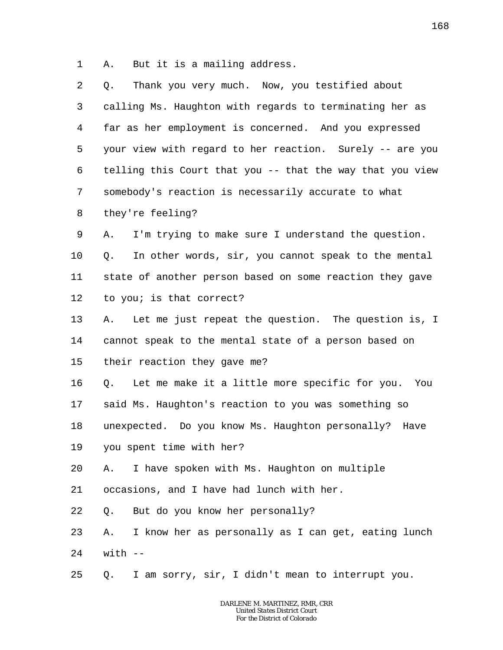1 A. But it is a mailing address.

| 2  | Thank you very much. Now, you testified about<br>Q.       |
|----|-----------------------------------------------------------|
| 3  | calling Ms. Haughton with regards to terminating her as   |
| 4  | far as her employment is concerned. And you expressed     |
| 5  | your view with regard to her reaction. Surely -- are you  |
| 6  | telling this Court that you -- that the way that you view |
| 7  | somebody's reaction is necessarily accurate to what       |
| 8  | they're feeling?                                          |
| 9  | I'm trying to make sure I understand the question.<br>Α.  |
| 10 | In other words, sir, you cannot speak to the mental<br>Q. |
| 11 | state of another person based on some reaction they gave  |
| 12 | to you; is that correct?                                  |
| 13 | Let me just repeat the question. The question is, I<br>Α. |
| 14 | cannot speak to the mental state of a person based on     |
| 15 | their reaction they gave me?                              |
| 16 | Q.<br>Let me make it a little more specific for you. You  |
| 17 | said Ms. Haughton's reaction to you was something so      |
| 18 | unexpected. Do you know Ms. Haughton personally? Have     |
| 19 | you spent time with her?                                  |
| 20 | I have spoken with Ms. Haughton on multiple<br>Α.         |
| 21 | occasions, and I have had lunch with her.                 |
| 22 | But do you know her personally?<br>Q.                     |
| 23 | I know her as personally as I can get, eating lunch<br>Α. |
| 24 | $with$ $-$                                                |
| 25 | I am sorry, sir, I didn't mean to interrupt you.<br>Q.    |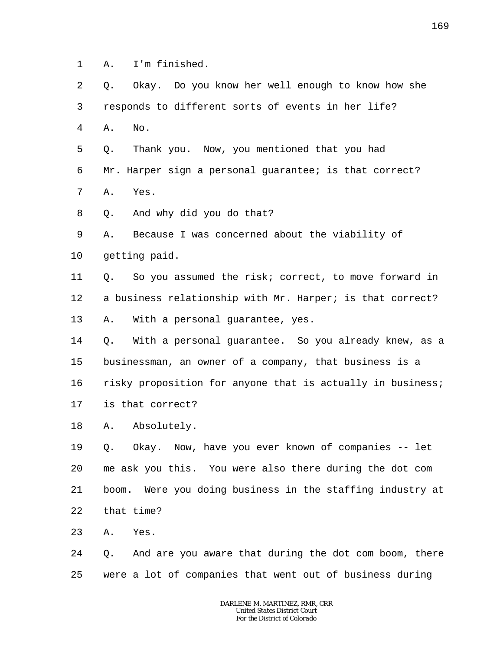- 1 A. I'm finished.
- 2 3 Q. Okay. Do you know her well enough to know how she responds to different sorts of events in her life?
- 4 A. No.

5 6 7 Q. Thank you. Now, you mentioned that you had Mr. Harper sign a personal guarantee; is that correct? A. Yes.

8 Q. And why did you do that?

9 10 A. Because I was concerned about the viability of getting paid.

11 12 13 Q. So you assumed the risk; correct, to move forward in a business relationship with Mr. Harper; is that correct? A. With a personal guarantee, yes.

14 15 16 17 Q. With a personal guarantee. So you already knew, as a businessman, an owner of a company, that business is a risky proposition for anyone that is actually in business; is that correct?

18 A. Absolutely.

19 20 21 22 Q. Okay. Now, have you ever known of companies -- let me ask you this. You were also there during the dot com boom. Were you doing business in the staffing industry at that time?

23 A. Yes.

24 25 Q. And are you aware that during the dot com boom, there were a lot of companies that went out of business during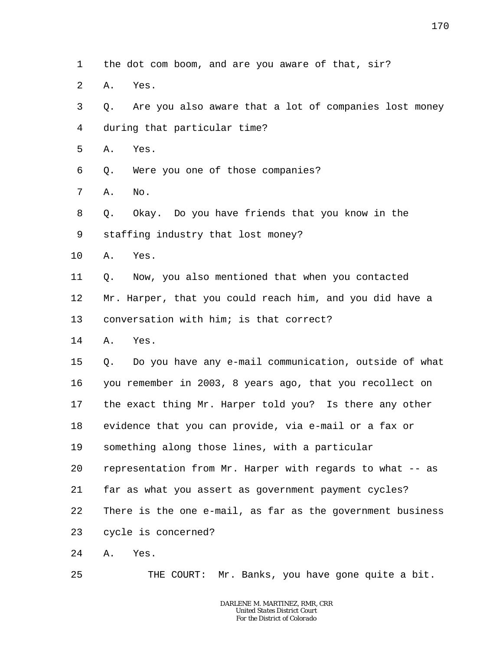- 1 the dot com boom, and are you aware of that, sir?
- $\overline{a}$ A. Yes.
- 3 4 Q. Are you also aware that a lot of companies lost money during that particular time?
- 5 A. Yes.
- 6 Q. Were you one of those companies?
- 7 A. No.
- 8 9 Q. Okay. Do you have friends that you know in the staffing industry that lost money?
- 10 A. Yes.
- 11 Q. Now, you also mentioned that when you contacted

12 Mr. Harper, that you could reach him, and you did have a

13 conversation with him; is that correct?

14 A. Yes.

15 16 17 18 19 20 21 22 Q. Do you have any e-mail communication, outside of what you remember in 2003, 8 years ago, that you recollect on the exact thing Mr. Harper told you? Is there any other evidence that you can provide, via e-mail or a fax or something along those lines, with a particular representation from Mr. Harper with regards to what -- as far as what you assert as government payment cycles? There is the one e-mail, as far as the government business

23 cycle is concerned?

24 A. Yes.

25 THE COURT: Mr. Banks, you have gone quite a bit.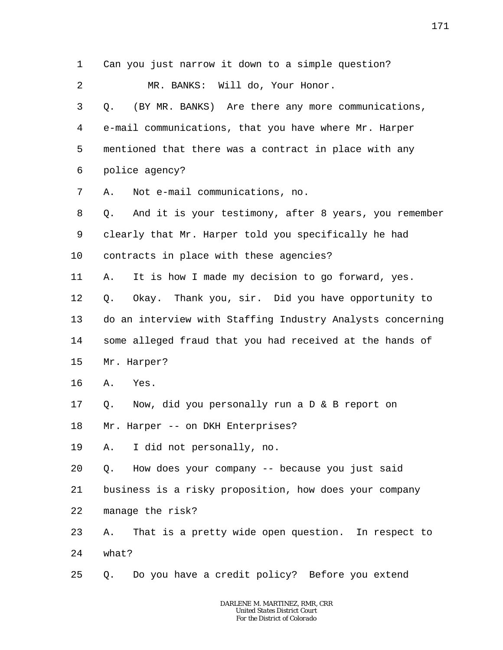1 2 3 4 5 6 7 8 9 10 11 12 13 14 15 16 17 18 19 20 21 22 23 24 25 Can you just narrow it down to a simple question? MR. BANKS: Will do, Your Honor. Q. (BY MR. BANKS) Are there any more communications, e-mail communications, that you have where Mr. Harper mentioned that there was a contract in place with any police agency? A. Not e-mail communications, no. Q. And it is your testimony, after 8 years, you remember clearly that Mr. Harper told you specifically he had contracts in place with these agencies? A. It is how I made my decision to go forward, yes. Q. Okay. Thank you, sir. Did you have opportunity to do an interview with Staffing Industry Analysts concerning some alleged fraud that you had received at the hands of Mr. Harper? A. Yes. Q. Now, did you personally run a D & B report on Mr. Harper -- on DKH Enterprises? A. I did not personally, no. Q. How does your company -- because you just said business is a risky proposition, how does your company manage the risk? A. That is a pretty wide open question. In respect to what? Q. Do you have a credit policy? Before you extend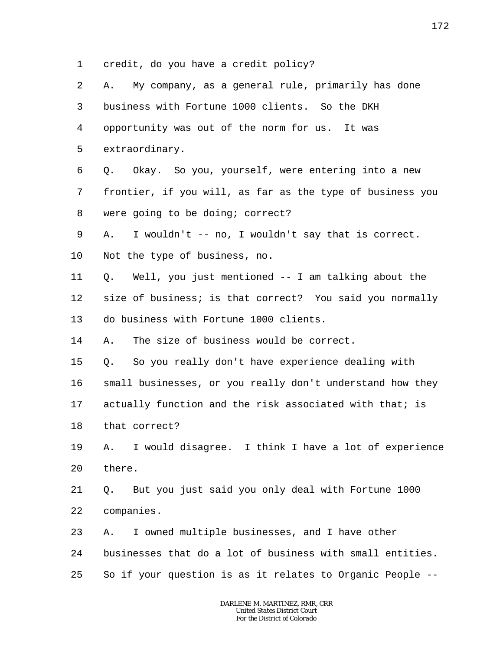1 credit, do you have a credit policy?

| 2  | My company, as a general rule, primarily has done<br>Α.   |
|----|-----------------------------------------------------------|
| 3  | business with Fortune 1000 clients. So the DKH            |
| 4  | opportunity was out of the norm for us. It was            |
| 5  | extraordinary.                                            |
| 6  | Okay. So you, yourself, were entering into a new<br>Q.    |
| 7  | frontier, if you will, as far as the type of business you |
| 8  | were going to be doing; correct?                          |
| 9  | I wouldn't -- no, I wouldn't say that is correct.<br>Α.   |
| 10 | Not the type of business, no.                             |
| 11 | Well, you just mentioned -- I am talking about the<br>Q.  |
| 12 | size of business; is that correct? You said you normally  |
| 13 | do business with Fortune 1000 clients.                    |
| 14 | The size of business would be correct.<br>Α.              |
| 15 | So you really don't have experience dealing with<br>Q.    |
| 16 | small businesses, or you really don't understand how they |
| 17 | actually function and the risk associated with that; is   |
| 18 | that correct?                                             |
| 19 | A. I would disagree. I think I have a lot of experience   |
| 20 | there.                                                    |
| 21 | But you just said you only deal with Fortune 1000<br>Q.   |
| 22 | companies.                                                |
| 23 | I owned multiple businesses, and I have other<br>Α.       |
| 24 | businesses that do a lot of business with small entities. |
| 25 | So if your question is as it relates to Organic People -- |
|    |                                                           |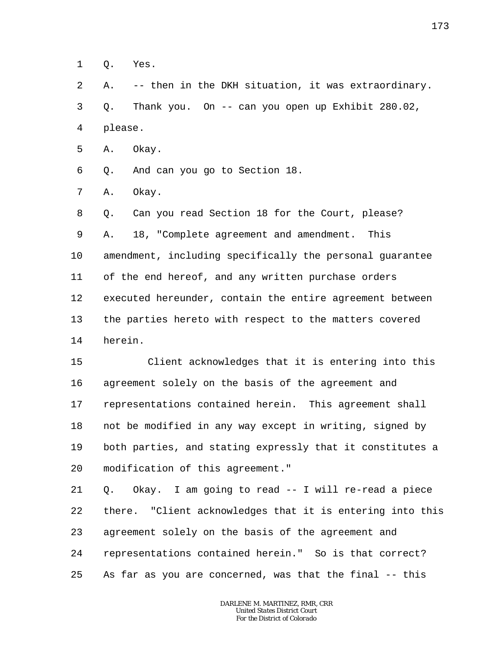1 Q. Yes.

2 3 4 A. -- then in the DKH situation, it was extraordinary. Q. Thank you. On -- can you open up Exhibit 280.02, please.

5 A. Okay.

6 Q. And can you go to Section 18.

7 A. Okay.

8 9 10 11 12 13 14 Q. Can you read Section 18 for the Court, please? A. 18, "Complete agreement and amendment. This amendment, including specifically the personal guarantee of the end hereof, and any written purchase orders executed hereunder, contain the entire agreement between the parties hereto with respect to the matters covered herein.

15 16 17 18 19 20 Client acknowledges that it is entering into this agreement solely on the basis of the agreement and representations contained herein. This agreement shall not be modified in any way except in writing, signed by both parties, and stating expressly that it constitutes a modification of this agreement."

21 22 23 24 25 Q. Okay. I am going to read -- I will re-read a piece there. "Client acknowledges that it is entering into this agreement solely on the basis of the agreement and representations contained herein." So is that correct? As far as you are concerned, was that the final -- this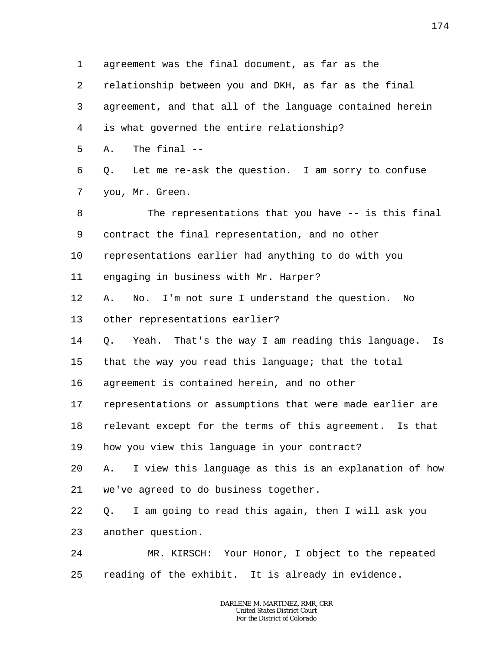1 2 3 4 5 6 7 8 9 10 11 12 13 14 15 16 17 18 19 20 21 22 23 24 25 agreement was the final document, as far as the relationship between you and DKH, as far as the final agreement, and that all of the language contained herein is what governed the entire relationship? A. The final -- Q. Let me re-ask the question. I am sorry to confuse you, Mr. Green. The representations that you have -- is this final contract the final representation, and no other representations earlier had anything to do with you engaging in business with Mr. Harper? A. No. I'm not sure I understand the question. No other representations earlier? Q. Yeah. That's the way I am reading this language. Is that the way you read this language; that the total agreement is contained herein, and no other representations or assumptions that were made earlier are relevant except for the terms of this agreement. Is that how you view this language in your contract? A. I view this language as this is an explanation of how we've agreed to do business together. Q. I am going to read this again, then I will ask you another question. MR. KIRSCH: Your Honor, I object to the repeated reading of the exhibit. It is already in evidence.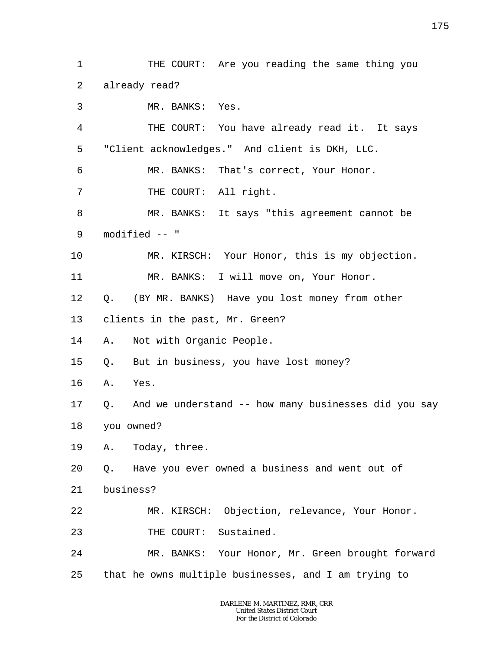2 3 4 5 6 7 8 9 10 11 12 13 14 15 16 17 18 19 20 already read? MR. BANKS: Yes. THE COURT: You have already read it. It says "Client acknowledges." And client is DKH, LLC. MR. BANKS: That's correct, Your Honor. THE COURT: All right. MR. BANKS: It says "this agreement cannot be modified -- " MR. KIRSCH: Your Honor, this is my objection. MR. BANKS: I will move on, Your Honor. Q. (BY MR. BANKS) Have you lost money from other clients in the past, Mr. Green? A. Not with Organic People. Q. But in business, you have lost money? A. Yes. Q. And we understand -- how many businesses did you say you owned? A. Today, three. Q. Have you ever owned a business and went out of

THE COURT: Are you reading the same thing you

21 business?

1

- 22 MR. KIRSCH: Objection, relevance, Your Honor.
- 23 THE COURT: Sustained.
- 24 25 MR. BANKS: Your Honor, Mr. Green brought forward that he owns multiple businesses, and I am trying to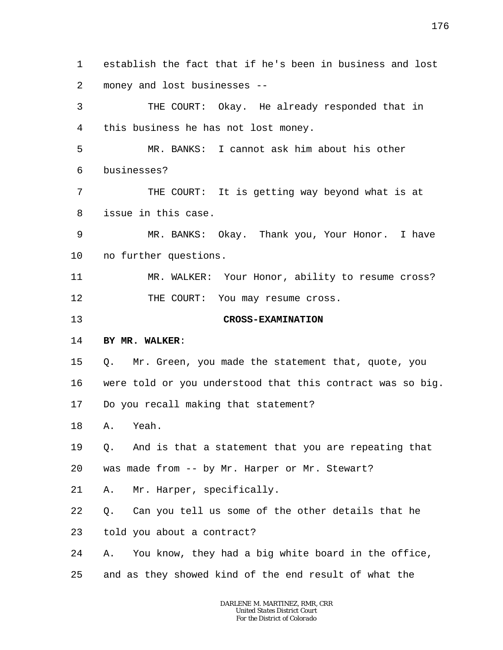1 2 establish the fact that if he's been in business and lost money and lost businesses --

3 4 THE COURT: Okay. He already responded that in this business he has not lost money.

5 6 MR. BANKS: I cannot ask him about his other businesses?

7 8 THE COURT: It is getting way beyond what is at issue in this case.

9 10 MR. BANKS: Okay. Thank you, Your Honor. I have no further questions.

11 12 MR. WALKER: Your Honor, ability to resume cross? THE COURT: You may resume cross.

13

## **CROSS-EXAMINATION**

## 14 **BY MR. WALKER**:

15 Q. Mr. Green, you made the statement that, quote, you

16 were told or you understood that this contract was so big.

17 Do you recall making that statement?

18 A. Yeah.

19 Q. And is that a statement that you are repeating that

20 was made from -- by Mr. Harper or Mr. Stewart?

21 A. Mr. Harper, specifically.

22 Q. Can you tell us some of the other details that he

23 told you about a contract?

24 A. You know, they had a big white board in the office,

25 and as they showed kind of the end result of what the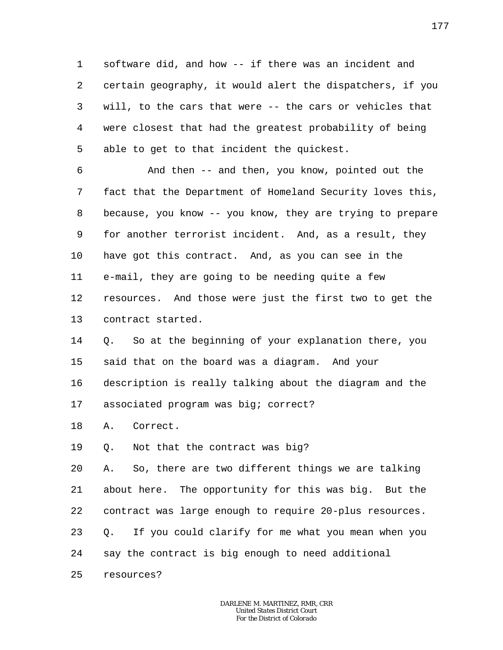1 2 3 4 5 software did, and how -- if there was an incident and certain geography, it would alert the dispatchers, if you will, to the cars that were -- the cars or vehicles that were closest that had the greatest probability of being able to get to that incident the quickest.

6 7 8 9 10 11 12 13 And then -- and then, you know, pointed out the fact that the Department of Homeland Security loves this, because, you know -- you know, they are trying to prepare for another terrorist incident. And, as a result, they have got this contract. And, as you can see in the e-mail, they are going to be needing quite a few resources. And those were just the first two to get the contract started.

14 15 Q. So at the beginning of your explanation there, you said that on the board was a diagram. And your

16 17 description is really talking about the diagram and the associated program was big; correct?

18 A. Correct.

19 Q. Not that the contract was big?

20 21 22 23 24 A. So, there are two different things we are talking about here. The opportunity for this was big. But the contract was large enough to require 20-plus resources. Q. If you could clarify for me what you mean when you say the contract is big enough to need additional

25 resources?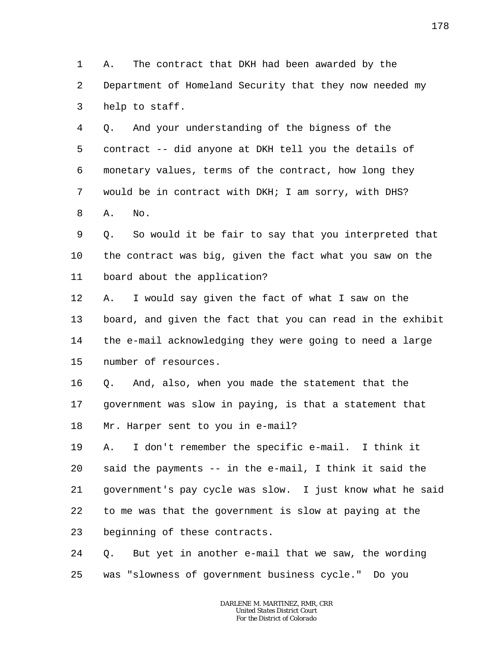1 2 3 A. The contract that DKH had been awarded by the Department of Homeland Security that they now needed my help to staff.

4 5 6 7 8 Q. And your understanding of the bigness of the contract -- did anyone at DKH tell you the details of monetary values, terms of the contract, how long they would be in contract with DKH; I am sorry, with DHS? A. No.

9 10 11 Q. So would it be fair to say that you interpreted that the contract was big, given the fact what you saw on the board about the application?

12 13 14 15 A. I would say given the fact of what I saw on the board, and given the fact that you can read in the exhibit the e-mail acknowledging they were going to need a large number of resources.

16 17 18 Q. And, also, when you made the statement that the government was slow in paying, is that a statement that Mr. Harper sent to you in e-mail?

19 20 21 22 23 A. I don't remember the specific e-mail. I think it said the payments -- in the e-mail, I think it said the government's pay cycle was slow. I just know what he said to me was that the government is slow at paying at the beginning of these contracts.

24 25 Q. But yet in another e-mail that we saw, the wording was "slowness of government business cycle." Do you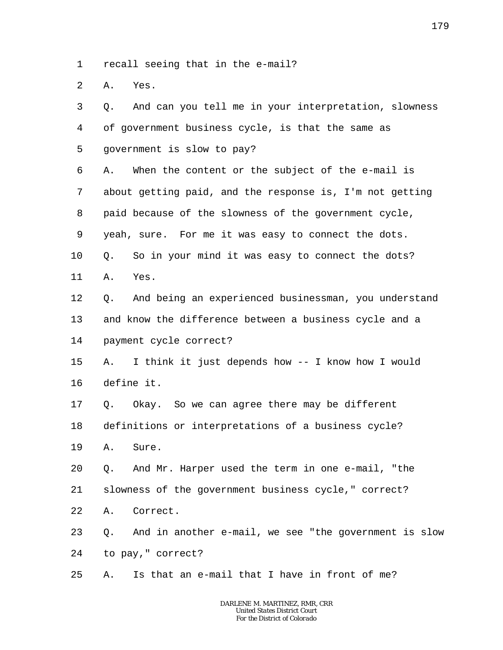1 recall seeing that in the e-mail?

2 A. Yes.

| 3  | Q. | And can you tell me in your interpretation, slowness     |
|----|----|----------------------------------------------------------|
| 4  |    | of government business cycle, is that the same as        |
| 5  |    | government is slow to pay?                               |
| 6  | Α. | When the content or the subject of the e-mail is         |
| 7  |    | about getting paid, and the response is, I'm not getting |
| 8  |    | paid because of the slowness of the government cycle,    |
| 9  |    | yeah, sure. For me it was easy to connect the dots.      |
| 10 | Q. | So in your mind it was easy to connect the dots?         |
| 11 | Α. | Yes.                                                     |
| 12 | Q. | And being an experienced businessman, you understand     |
| 13 |    | and know the difference between a business cycle and a   |
| 14 |    | payment cycle correct?                                   |
| 15 | Α. | I think it just depends how -- I know how I would        |
| 16 |    | define it.                                               |
| 17 | Q. | Okay. So we can agree there may be different             |
| 18 |    | definitions or interpretations of a business cycle?      |
| 19 | Α. | Sure.                                                    |
| 20 |    | Q. And Mr. Harper used the term in one e-mail, "the      |
| 21 |    | slowness of the government business cycle," correct?     |
| 22 | Α. | Correct.                                                 |
| 23 | О. | And in another e-mail, we see "the government is slow    |
| 24 |    | to pay, " correct?                                       |
| 25 | Α. | Is that an e-mail that I have in front of me?            |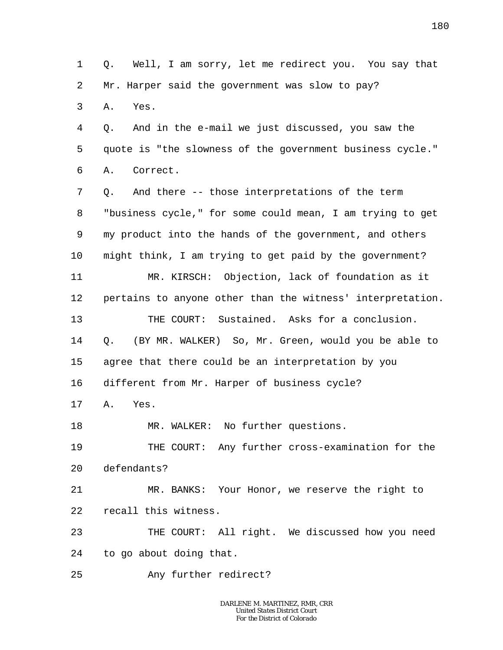1 2 3 4 5 6 7 8 9 10 11 12 13 14 15 16 17 18 19  $2.0$ 21 22 23 24 25 Q. Well, I am sorry, let me redirect you. You say that Mr. Harper said the government was slow to pay? A. Yes. Q. And in the e-mail we just discussed, you saw the quote is "the slowness of the government business cycle." A. Correct. Q. And there -- those interpretations of the term "business cycle," for some could mean, I am trying to get my product into the hands of the government, and others might think, I am trying to get paid by the government? MR. KIRSCH: Objection, lack of foundation as it pertains to anyone other than the witness' interpretation. THE COURT: Sustained. Asks for a conclusion. Q. (BY MR. WALKER) So, Mr. Green, would you be able to agree that there could be an interpretation by you different from Mr. Harper of business cycle? A. Yes. MR. WALKER: No further questions. THE COURT: Any further cross-examination for the defendants? MR. BANKS: Your Honor, we reserve the right to recall this witness. THE COURT: All right. We discussed how you need to go about doing that. Any further redirect?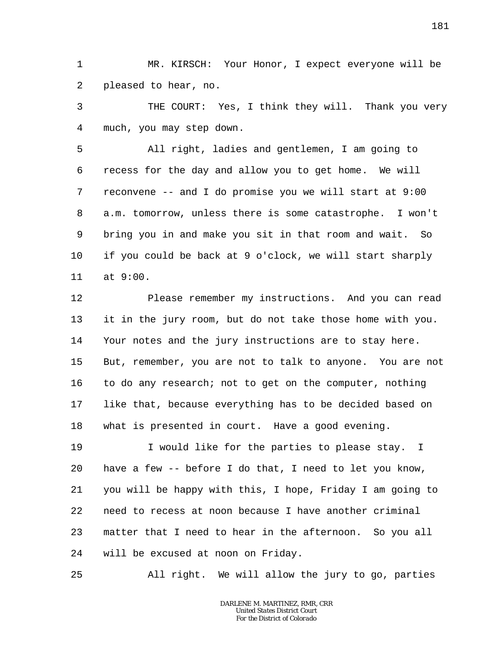1 2 MR. KIRSCH: Your Honor, I expect everyone will be pleased to hear, no.

3 4 THE COURT: Yes, I think they will. Thank you very much, you may step down.

5 6 7 8 9 10 11 All right, ladies and gentlemen, I am going to recess for the day and allow you to get home. We will reconvene -- and I do promise you we will start at 9:00 a.m. tomorrow, unless there is some catastrophe. I won't bring you in and make you sit in that room and wait. So if you could be back at 9 o'clock, we will start sharply at 9:00.

12 13 14 15 16 17 18 Please remember my instructions. And you can read it in the jury room, but do not take those home with you. Your notes and the jury instructions are to stay here. But, remember, you are not to talk to anyone. You are not to do any research; not to get on the computer, nothing like that, because everything has to be decided based on what is presented in court. Have a good evening.

19 20 21 22 23 24 I would like for the parties to please stay. I have a few -- before I do that, I need to let you know, you will be happy with this, I hope, Friday I am going to need to recess at noon because I have another criminal matter that I need to hear in the afternoon. So you all will be excused at noon on Friday.

25 All right. We will allow the jury to go, parties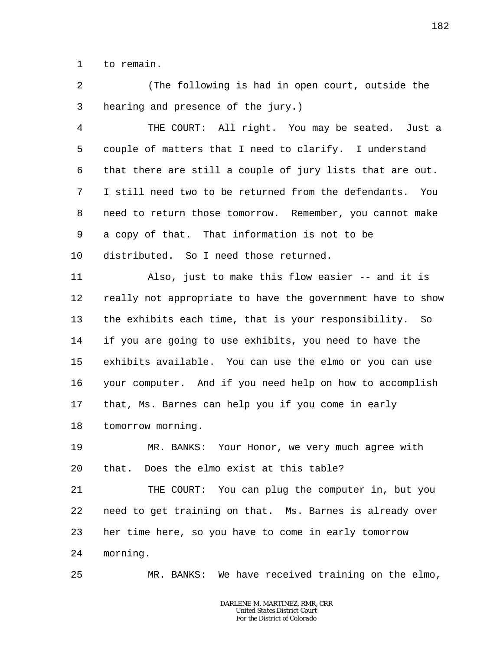1 to remain.

25

2 3 (The following is had in open court, outside the hearing and presence of the jury.)

4 5 6 7 8 9 10 THE COURT: All right. You may be seated. Just a couple of matters that I need to clarify. I understand that there are still a couple of jury lists that are out. I still need two to be returned from the defendants. You need to return those tomorrow. Remember, you cannot make a copy of that. That information is not to be distributed. So I need those returned.

11 12 13 14 15 16 17 18 Also, just to make this flow easier -- and it is really not appropriate to have the government have to show the exhibits each time, that is your responsibility. So if you are going to use exhibits, you need to have the exhibits available. You can use the elmo or you can use your computer. And if you need help on how to accomplish that, Ms. Barnes can help you if you come in early tomorrow morning.

19 20 MR. BANKS: Your Honor, we very much agree with that. Does the elmo exist at this table?

21 22 23 24 THE COURT: You can plug the computer in, but you need to get training on that. Ms. Barnes is already over her time here, so you have to come in early tomorrow morning.

MR. BANKS: We have received training on the elmo,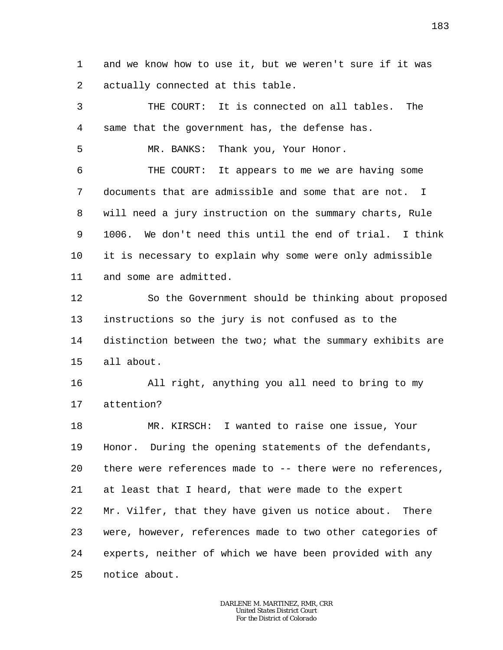1 2 and we know how to use it, but we weren't sure if it was actually connected at this table.

3 4 5 6 7 8 9 10 11 12 13 14 15 16 17 18 19 20 21 22 THE COURT: It is connected on all tables. The same that the government has, the defense has. MR. BANKS: Thank you, Your Honor. THE COURT: It appears to me we are having some documents that are admissible and some that are not. I will need a jury instruction on the summary charts, Rule 1006. We don't need this until the end of trial. I think it is necessary to explain why some were only admissible and some are admitted. So the Government should be thinking about proposed instructions so the jury is not confused as to the distinction between the two; what the summary exhibits are all about. All right, anything you all need to bring to my attention? MR. KIRSCH: I wanted to raise one issue, Your Honor. During the opening statements of the defendants, there were references made to -- there were no references, at least that I heard, that were made to the expert Mr. Vilfer, that they have given us notice about. There

23 24 25 were, however, references made to two other categories of experts, neither of which we have been provided with any notice about.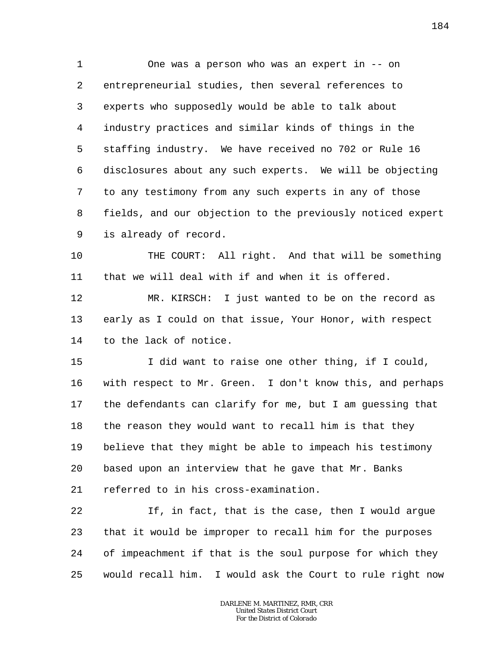1 2 3 4 5 6 7 8 9 One was a person who was an expert in -- on entrepreneurial studies, then several references to experts who supposedly would be able to talk about industry practices and similar kinds of things in the staffing industry. We have received no 702 or Rule 16 disclosures about any such experts. We will be objecting to any testimony from any such experts in any of those fields, and our objection to the previously noticed expert is already of record.

10 11 THE COURT: All right. And that will be something that we will deal with if and when it is offered.

12 13 14 MR. KIRSCH: I just wanted to be on the record as early as I could on that issue, Your Honor, with respect to the lack of notice.

15 16 17 18 19 20 I did want to raise one other thing, if I could, with respect to Mr. Green. I don't know this, and perhaps the defendants can clarify for me, but I am guessing that the reason they would want to recall him is that they believe that they might be able to impeach his testimony based upon an interview that he gave that Mr. Banks

21 referred to in his cross-examination.

22 23 24 25 If, in fact, that is the case, then I would argue that it would be improper to recall him for the purposes of impeachment if that is the soul purpose for which they would recall him. I would ask the Court to rule right now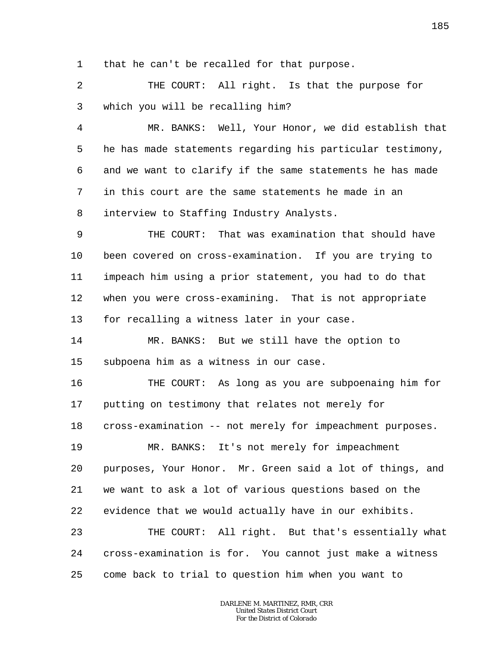1 that he can't be recalled for that purpose.

2 3 THE COURT: All right. Is that the purpose for which you will be recalling him?

4 5 6 7 8 MR. BANKS: Well, Your Honor, we did establish that he has made statements regarding his particular testimony, and we want to clarify if the same statements he has made in this court are the same statements he made in an interview to Staffing Industry Analysts.

9 10 11 12 13 THE COURT: That was examination that should have been covered on cross-examination. If you are trying to impeach him using a prior statement, you had to do that when you were cross-examining. That is not appropriate for recalling a witness later in your case.

14 15 MR. BANKS: But we still have the option to subpoena him as a witness in our case.

16 17 18 19 20 21 22 23 THE COURT: As long as you are subpoenaing him for putting on testimony that relates not merely for cross-examination -- not merely for impeachment purposes. MR. BANKS: It's not merely for impeachment purposes, Your Honor. Mr. Green said a lot of things, and we want to ask a lot of various questions based on the evidence that we would actually have in our exhibits. THE COURT: All right. But that's essentially what

24 25 cross-examination is for. You cannot just make a witness come back to trial to question him when you want to

> *DARLENE M. MARTINEZ, RMR, CRR United States District Court For the District of Colorado*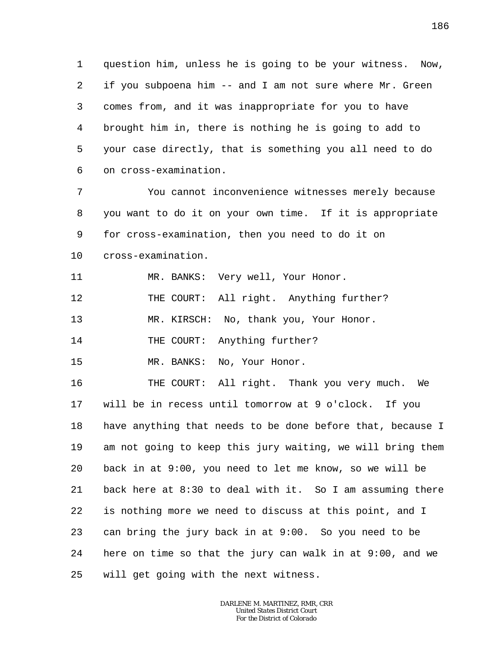1 2 3 4 5 6 question him, unless he is going to be your witness. Now, if you subpoena him -- and I am not sure where Mr. Green comes from, and it was inappropriate for you to have brought him in, there is nothing he is going to add to your case directly, that is something you all need to do on cross-examination.

7 8 9 10 You cannot inconvenience witnesses merely because you want to do it on your own time. If it is appropriate for cross-examination, then you need to do it on cross-examination.

11 MR. BANKS: Very well, Your Honor.

12 THE COURT: All right. Anything further?

13 MR. KIRSCH: No, thank you, Your Honor.

14 THE COURT: Anything further?

15 MR. BANKS: No, Your Honor.

16 17 18 19 20 21 22 23 24 25 THE COURT: All right. Thank you very much. We will be in recess until tomorrow at 9 o'clock. If you have anything that needs to be done before that, because I am not going to keep this jury waiting, we will bring them back in at 9:00, you need to let me know, so we will be back here at 8:30 to deal with it. So I am assuming there is nothing more we need to discuss at this point, and I can bring the jury back in at 9:00. So you need to be here on time so that the jury can walk in at 9:00, and we will get going with the next witness.

> *DARLENE M. MARTINEZ, RMR, CRR United States District Court For the District of Colorado*